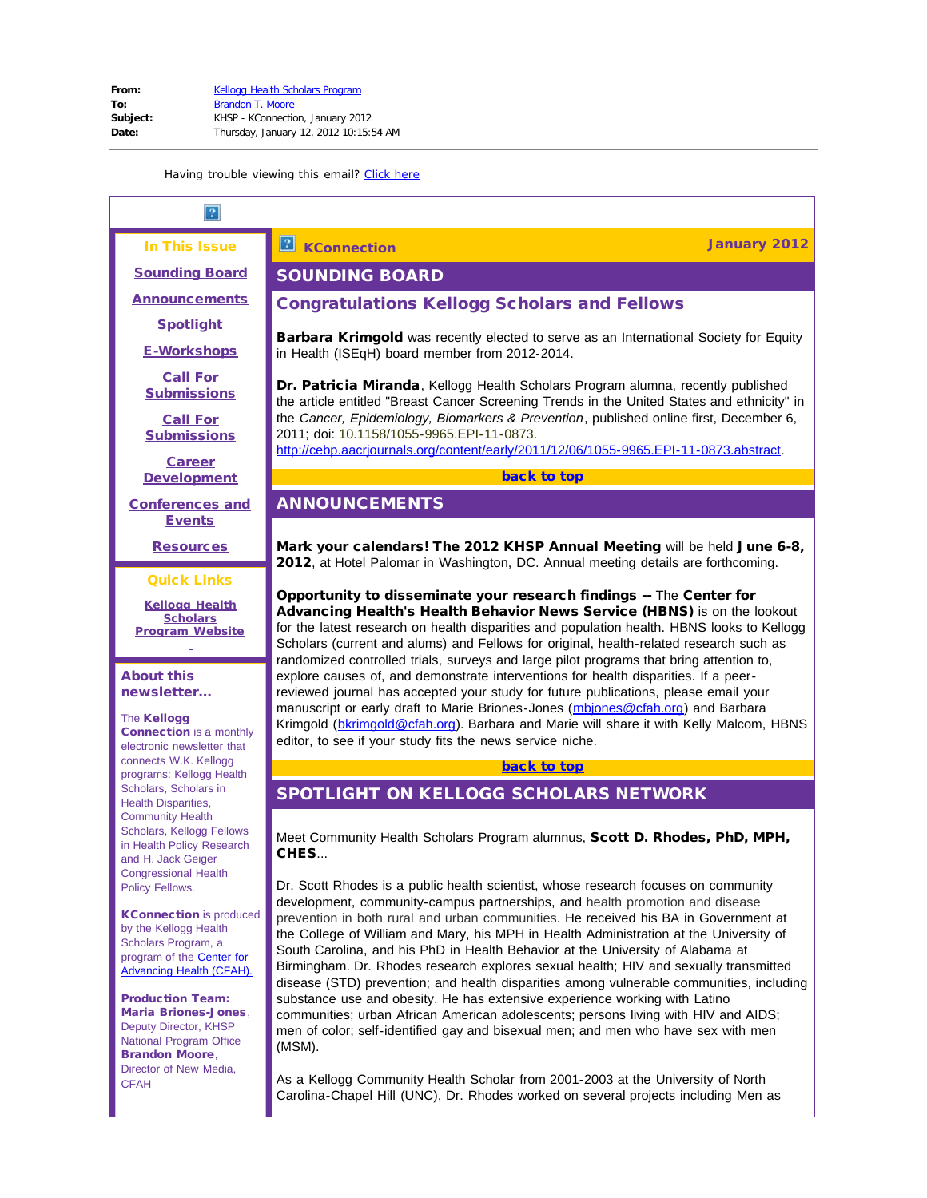In This Issue

<span id="page-0-3"></span><span id="page-0-0"></span>[Sounding Board](#page-0-0)

**[Announcements](#page-0-1)** 

**[Spotlight](#page-0-2)** 

[E-Workshops](#page-1-0)

[Call For](#page-1-1) **[Submissions](#page-1-1)** 

[Call For](#page-3-0) **[Submissions](#page-3-0)** 

**[Career](#page-11-0) [Development](#page-11-0)** 

<span id="page-0-4"></span><span id="page-0-1"></span>[Conferences and](#page-22-0) **[Events](#page-22-0)** 

**[Resources](#page-24-0)** 

## Quick Links

**[Kellogg Health](http://r20.rs6.net/tn.jsp?llr=5gytkqcab&et=1109071822203&s=1&e=001Rs1z22Qa5_dzwuKKnyKIxTwNFi9AY8pWo02T41NJ6Rmqh8oIuvt_bNbfbOpE1pFHACPmvXtA6dfE9mXcv_FJN3uf8AAJROrxf90PdDn18QM6_0GH8yqzwskXDNG3bccL) [Scholars](http://r20.rs6.net/tn.jsp?llr=5gytkqcab&et=1109071822203&s=1&e=001Rs1z22Qa5_dzwuKKnyKIxTwNFi9AY8pWo02T41NJ6Rmqh8oIuvt_bNbfbOpE1pFHACPmvXtA6dfE9mXcv_FJN3uf8AAJROrxf90PdDn18QM6_0GH8yqzwskXDNG3bccL) [Program](http://r20.rs6.net/tn.jsp?llr=5gytkqcab&et=1109071822203&s=1&e=001Rs1z22Qa5_dzwuKKnyKIxTwNFi9AY8pWo02T41NJ6Rmqh8oIuvt_bNbfbOpE1pFHACPmvXtA6dfE9mXcv_FJN3uf8AAJROrxf90PdDn18QM6_0GH8yqzwskXDNG3bccL) Website**

### About this newsletter...

### The Kellogg

<span id="page-0-2"></span>Connection is a monthly electronic newsletter that connects W.K. Kellogg programs: Kellogg Health Scholars, Scholars in Health Disparities, Community Health Scholars, Kellogg Fellows in Health Policy Research and H. Jack Geiger Congressional Health Policy Fellows.

**KConnection** is produced by the Kellogg Health Scholars Program, a program of the [Center for](http://r20.rs6.net/tn.jsp?llr=5gytkqcab&et=1109071822203&s=1&e=001Rs1z22Qa5_esmRHe--CPeR5gZ9NDEhw7p0aZGyuh3zQl-1CdvApx61l8GiYNEEdWeFWbRJ-DYbVE2wzBPGsZiED71jjSHhfbvlJG5HxjwIk=) [Advancing Health \(CFAH\).](http://r20.rs6.net/tn.jsp?llr=5gytkqcab&et=1109071822203&s=1&e=001Rs1z22Qa5_esmRHe--CPeR5gZ9NDEhw7p0aZGyuh3zQl-1CdvApx61l8GiYNEEdWeFWbRJ-DYbVE2wzBPGsZiED71jjSHhfbvlJG5HxjwIk=)

Production Team: Maria Briones-Jones, Deputy Director, KHSP National Program Office Brandon Moore, Director of New Media, **CFAH** 

**KConnection Connection January 2012** 

# SOUNDING BOARD

# Congratulations Kellogg Scholars and Fellows

**Barbara Krimgold** was recently elected to serve as an International Society for Equity in Health (ISEqH) board member from 2012-2014.

Dr. Patricia Miranda, Kellogg Health Scholars Program alumna, recently published the article entitled "Breast Cancer Screening Trends in the United States and ethnicity" in the *Cancer, Epidemiology, Biomarkers & Prevention*, published online first, December 6, 2011; doi: 10.1158/1055-9965.EPI-11-0873.

[http://cebp.aacrjournals.org/content/early/2011/12/06/1055-9965.EPI-11-0873.abstract](http://r20.rs6.net/tn.jsp?llr=5gytkqcab&et=1109071822203&s=1&e=001Rs1z22Qa5_dO6EZj154VCy-RZ4ZWjxvsHEaiHXV0Iz7Y2hb6D5CRD2sZ8ldhQyPoGtXymVhJ5t6lmKlwkpAQ3TEWZX-ZW4Z86YJAEHQ3t5HgIAA7FTZpWoWyn4TfOSriqPqHkMCQJQjZ0D-er8TiV6s6DblbT03tSa8XnzfhWMBIbGN0P4poEDYOAG2MAZfmjcosgM1EHRg=).

[back to top](#page-0-3)

# ANNOUNCEMENTS

Mark your calendars! The 2012 KHSP Annual Meeting will be held June 6-8, 2012, at Hotel Palomar in Washington, DC. Annual meeting details are forthcoming.

Opportunity to disseminate your research findings -- The Center for Advancing Health's Health Behavior News Service (HBNS) is on the lookout for the latest research on health disparities and population health. HBNS looks to Kellogg Scholars (current and alums) and Fellows for original, health-related research such as randomized controlled trials, surveys and large pilot programs that bring attention to, explore causes of, and demonstrate interventions for health disparities. If a peerreviewed journal has accepted your study for future publications, please email your manuscript or early draft to Marie Briones-Jones ([mbjones@cfah.org](mailto:mbjones@cfah.org)) and Barbara Krimgold ([bkrimgold@cfah.org](mailto:bkrimgold@cfah.org)). Barbara and Marie will share it with Kelly Malcom, HBNS editor, to see if your study fits the news service niche.

[back to top](#page-0-3)

# SPOTLIGHT ON KELLOGG SCHOLARS NETWORK

Meet Community Health Scholars Program alumnus, Scott D. Rhodes, PhD, MPH, CHES...

Dr. Scott Rhodes is a public health scientist, whose research focuses on community development, community-campus partnerships, and health promotion and disease prevention in both rural and urban communities. He received his BA in Government at the College of William and Mary, his MPH in Health Administration at the University of South Carolina, and his PhD in Health Behavior at the University of Alabama at Birmingham. Dr. Rhodes research explores sexual health; HIV and sexually transmitted disease (STD) prevention; and health disparities among vulnerable communities, including substance use and obesity. He has extensive experience working with Latino communities; urban African American adolescents; persons living with HIV and AIDS; men of color; self-identified gay and bisexual men; and men who have sex with men (MSM).

As a Kellogg Community Health Scholar from 2001-2003 at the University of North Carolina-Chapel Hill (UNC), Dr. Rhodes worked on several projects including Men as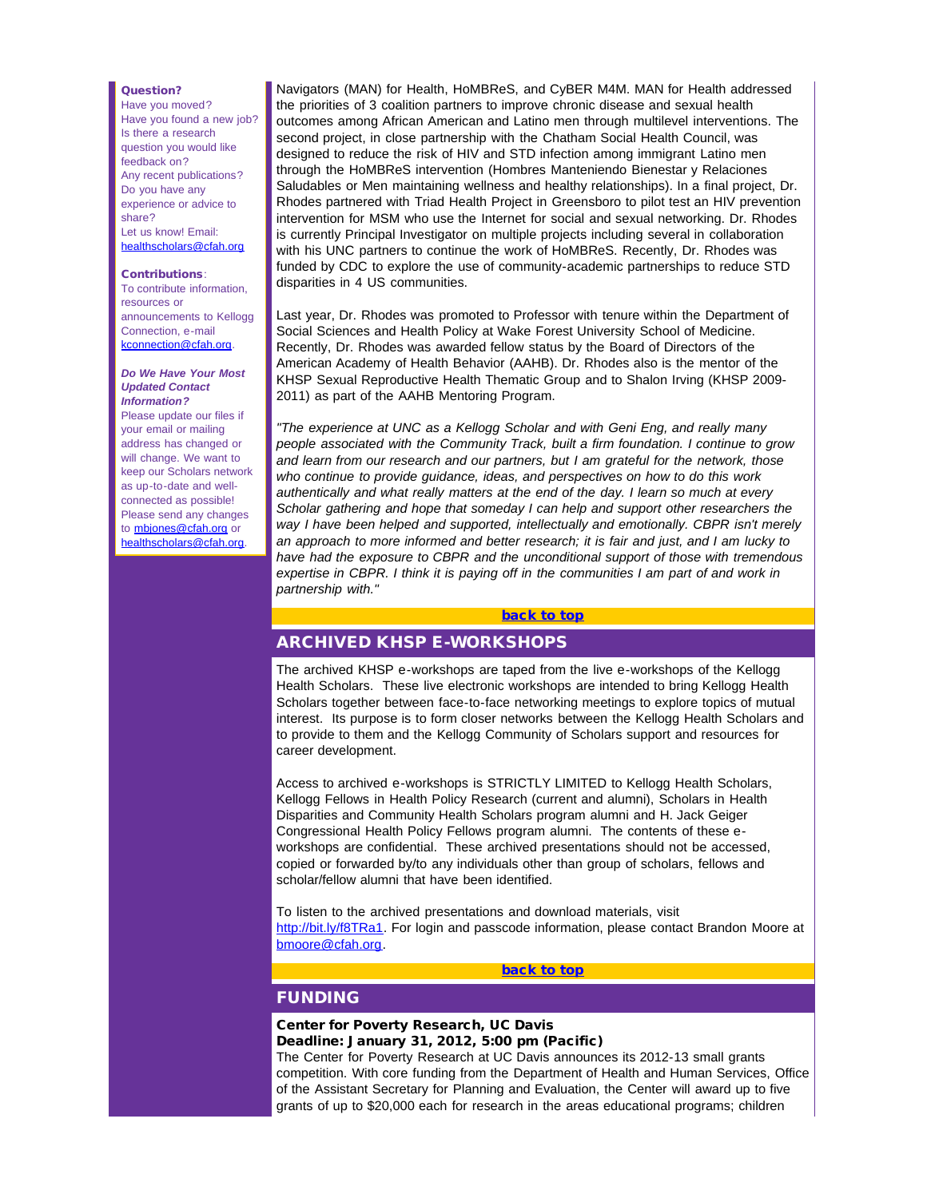#### Question?

Have you moved? Have you found a new job? Is there a research question you would like feedback on? Any recent publications? Do you have any experience or advice to share? Let us know! Email: [healthscholars@cfah.org](mailto:healthscholars@cfah.org)

#### Contributions:

To contribute information, resources or announcements to Kellogg Connection, e-mail [kconnection@cfah.org](mailto:kconnection@cfah.org).

#### *Do We Have Your Most Updated Contact Information?*

<span id="page-1-0"></span>Please update our files if your email or mailing address has changed or will change. We want to keep our Scholars network as up-to-date and wellconnected as possible! Please send any changes to [mbjones@cfah.org](mailto:mbjones@cfah.org) or [healthscholars@cfah.org](mailto:healthscholars@cfah.org).

Navigators (MAN) for Health, HoMBReS, and CyBER M4M. MAN for Health addressed the priorities of 3 coalition partners to improve chronic disease and sexual health outcomes among African American and Latino men through multilevel interventions. The second project, in close partnership with the Chatham Social Health Council, was designed to reduce the risk of HIV and STD infection among immigrant Latino men through the HoMBReS intervention (Hombres Manteniendo Bienestar y Relaciones Saludables or Men maintaining wellness and healthy relationships). In a final project, Dr. Rhodes partnered with Triad Health Project in Greensboro to pilot test an HIV prevention intervention for MSM who use the Internet for social and sexual networking. Dr. Rhodes is currently Principal Investigator on multiple projects including several in collaboration with his UNC partners to continue the work of HoMBReS. Recently, Dr. Rhodes was funded by CDC to explore the use of community-academic partnerships to reduce STD disparities in 4 US communities.

Last year, Dr. Rhodes was promoted to Professor with tenure within the Department of Social Sciences and Health Policy at Wake Forest University School of Medicine. Recently, Dr. Rhodes was awarded fellow status by the Board of Directors of the American Academy of Health Behavior (AAHB). Dr. Rhodes also is the mentor of the KHSP Sexual Reproductive Health Thematic Group and to Shalon Irving (KHSP 2009- 2011) as part of the AAHB Mentoring Program.

*"The experience at UNC as a Kellogg Scholar and with Geni Eng, and really many people associated with the Community Track, built a firm foundation. I continue to grow and learn from our research and our partners, but I am grateful for the network, those who continue to provide guidance, ideas, and perspectives on how to do this work authentically and what really matters at the end of the day. I learn so much at every Scholar gathering and hope that someday I can help and support other researchers the way I have been helped and supported, intellectually and emotionally. CBPR isn't merely an approach to more informed and better research; it is fair and just, and I am lucky to have had the exposure to CBPR and the unconditional support of those with tremendous expertise in CBPR. I think it is paying off in the communities I am part of and work in partnership with."*

#### [back to top](#page-0-4)

# ARCHIVED KHSP E-WORKSHOPS

The archived KHSP e-workshops are taped from the live e-workshops of the Kellogg Health Scholars. These live electronic workshops are intended to bring Kellogg Health Scholars together between face-to-face networking meetings to explore topics of mutual interest. Its purpose is to form closer networks between the Kellogg Health Scholars and to provide to them and the Kellogg Community of Scholars support and resources for career development.

<span id="page-1-1"></span>Access to archived e-workshops is STRICTLY LIMITED to Kellogg Health Scholars, Kellogg Fellows in Health Policy Research (current and alumni), Scholars in Health Disparities and Community Health Scholars program alumni and H. Jack Geiger Congressional Health Policy Fellows program alumni. The contents of these eworkshops are confidential. These archived presentations should not be accessed, copied or forwarded by/to any individuals other than group of scholars, fellows and scholar/fellow alumni that have been identified.

To listen to the archived presentations and download materials, visit [http://bit.ly/f8TRa1.](http://r20.rs6.net/tn.jsp?llr=5gytkqcab&et=1109071822203&s=1&e=001Rs1z22Qa5_crXxP0992yF3avzW6uVWzT5GuqlSblXbmYqLOHq-g68UNtn0ijBnLQyRFTmsD8q-hl23ntvUfbxT_4eVu3Ahdzk0Fa5WIFcUPr_9SpoRyjRLv96YNzFcoGoxfnwaSvr5c=) For login and passcode information, please contact Brandon Moore at [bmoore@cfah.org.](mailto:bmoore@cfah.org)

#### [back to top](#page-0-4)

# FUNDING

#### Center for Poverty Research, UC Davis Deadline: January 31, 2012, 5:00 pm (Pacific)

The Center for Poverty Research at UC Davis announces its 2012-13 small grants competition. With core funding from the Department of Health and Human Services, Office of the Assistant Secretary for Planning and Evaluation, the Center will award up to five grants of up to \$20,000 each for research in the areas educational programs; children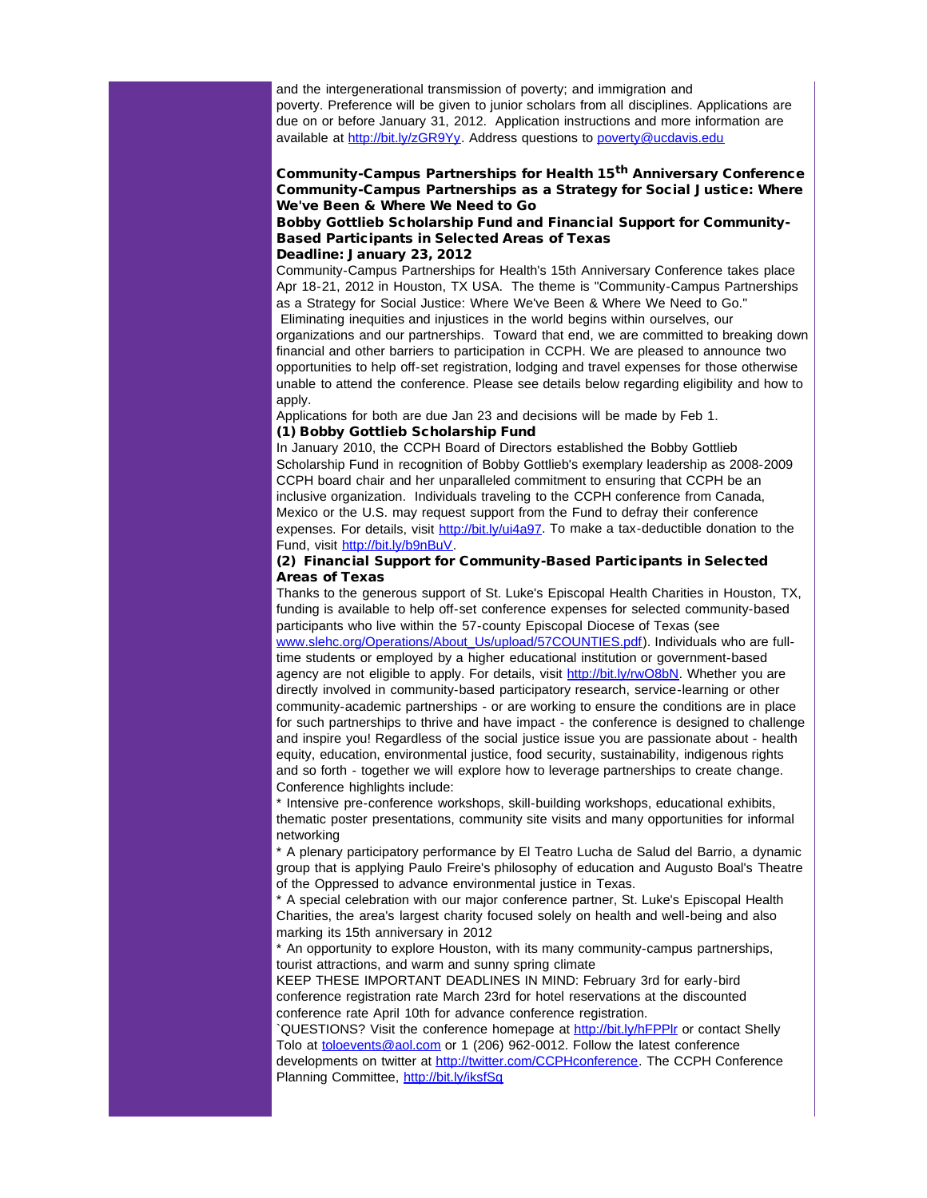and the intergenerational transmission of poverty; and immigration and poverty. Preference will be given to junior scholars from all disciplines. Applications are due on or before January 31, 2012. Application instructions and more information are available at [http://bit.ly/zGR9Yy.](http://r20.rs6.net/tn.jsp?llr=5gytkqcab&et=1109071822203&s=1&e=001Rs1z22Qa5_d8s8APGiCG9XDatoVPeED7PgqJVKq4-_mP_4jSah9ebWjXF-n6mCw5MDBDgYKAnMccJ2Ot-dmOfgPpTSlRYHFLV3BYka48Aag=) Address questions to [poverty@ucdavis.edu](mailto:poverty@ucdavis.edu)

### Community-Campus Partnerships for Health 15<sup>th</sup> Anniversary Conference Community-Campus Partnerships as a Strategy for Social Justice: Where We've Been & Where We Need to Go

# Bobby Gottlieb Scholarship Fund and Financial Support for Community-Based Participants in Selected Areas of Texas

#### Deadline: January 23, 2012

Community-Campus Partnerships for Health's 15th Anniversary Conference takes place Apr 18-21, 2012 in Houston, TX USA. The theme is "Community-Campus Partnerships as a Strategy for Social Justice: Where We've Been & Where We Need to Go." Eliminating inequities and injustices in the world begins within ourselves, our

organizations and our partnerships. Toward that end, we are committed to breaking down financial and other barriers to participation in CCPH. We are pleased to announce two opportunities to help off-set registration, lodging and travel expenses for those otherwise unable to attend the conference. Please see details below regarding eligibility and how to apply.

Applications for both are due Jan 23 and decisions will be made by Feb 1.

### (1) Bobby Gottlieb Scholarship Fund

In January 2010, the CCPH Board of Directors established the Bobby Gottlieb Scholarship Fund in recognition of Bobby Gottlieb's exemplary leadership as 2008-2009 CCPH board chair and her unparalleled commitment to ensuring that CCPH be an inclusive organization. Individuals traveling to the CCPH conference from Canada, Mexico or the U.S. may request support from the Fund to defray their conference expenses. For details, visit [http://bit.ly/ui4a97](http://r20.rs6.net/tn.jsp?llr=5gytkqcab&et=1109071822203&s=1&e=001Rs1z22Qa5_cd1OW_jyiqYNHYwpw--4qDV7eBjLlb7eufnQI5i1u8wfZEiH6Cv4sQsbo0rospgYQftCsfXFlP0MtuonZ1vHJDNrm-IDqaOZ8=). To make a tax-deductible donation to the Fund, visit [http://bit.ly/b9nBuV](http://r20.rs6.net/tn.jsp?llr=5gytkqcab&et=1109071822203&s=1&e=001Rs1z22Qa5_e113KnoiYto-PygmJQlGUkXSPE-Lq4yyrypqI0Hbn-BTQ5QLIfZxtepnseQb6B0br-HYV-MjK5ypY5As-XUQbf4XhNwH-IT6M=).

### (2) Financial Support for Community-Based Participants in Selected Areas of Texas

Thanks to the generous support of St. Luke's Episcopal Health Charities in Houston, TX, funding is available to help off-set conference expenses for selected community-based participants who live within the 57-county Episcopal Diocese of Texas (see [www.slehc.org/Operations/About\\_Us/upload/57COUNTIES.pdf\)](http://r20.rs6.net/tn.jsp?llr=5gytkqcab&et=1109071822203&s=1&e=001Rs1z22Qa5_faL9USWrritPP3fv4aEMJOqJ5tZzD41vY6Sb4Og1LHgKqysgzTE33f1TGSREcFYapu4FdsU7IICp1Qiy-M71DQGkOhhskfB8jB7MAOEqe_43CSBUkmqEQaJNLLdec4ksonGFOmhKp6CfZOvqYRiHK0epEWkE98Fzk=). Individuals who are fulltime students or employed by a higher educational institution or government-based agency are not eligible to apply. For details, visit [http://bit.ly/rwO8bN.](http://r20.rs6.net/tn.jsp?llr=5gytkqcab&et=1109071822203&s=1&e=001Rs1z22Qa5_d3t0DydsOXZlUCZ72g-39Nm2OKSo3aPkeVkM5vhLNMQgHsLm5si90aRmKARnifTFfdP-32U19D77OdwLR0OuqScAuYyIW9IVg=) Whether you are directly involved in community-based participatory research, service-learning or other community-academic partnerships - or are working to ensure the conditions are in place for such partnerships to thrive and have impact - the conference is designed to challenge and inspire you! Regardless of the social justice issue you are passionate about - health equity, education, environmental justice, food security, sustainability, indigenous rights and so forth - together we will explore how to leverage partnerships to create change. Conference highlights include:

\* Intensive pre-conference workshops, skill-building workshops, educational exhibits, thematic poster presentations, community site visits and many opportunities for informal networking

\* A plenary participatory performance by El Teatro Lucha de Salud del Barrio, a dynamic group that is applying Paulo Freire's philosophy of education and Augusto Boal's Theatre of the Oppressed to advance environmental justice in Texas.

\* A special celebration with our major conference partner, St. Luke's Episcopal Health Charities, the area's largest charity focused solely on health and well-being and also marking its 15th anniversary in 2012

\* An opportunity to explore Houston, with its many community-campus partnerships, tourist attractions, and warm and sunny spring climate

KEEP THESE IMPORTANT DEADLINES IN MIND: February 3rd for early-bird conference registration rate March 23rd for hotel reservations at the discounted conference rate April 10th for advance conference registration.

`QUESTIONS? Visit the conference homepage at [http://bit.ly/hFPPlr](http://r20.rs6.net/tn.jsp?llr=5gytkqcab&et=1109071822203&s=1&e=001Rs1z22Qa5_eeOSJzZ9YTGAA1Q7s5QCxIUTexecS6j4faCRWUtHDrk1HQqrwRN6-54HXtXYDkiiRogWN6FqL8B2q0Gu5kYqTYw1ol71Dc-jw=) or contact Shelly Tolo at [toloevents@aol.com](mailto:toloevents@aol.com) or 1 (206) 962-0012. Follow the latest conference developments on twitter at [http://twitter.com/CCPHconference](http://r20.rs6.net/tn.jsp?llr=5gytkqcab&et=1109071822203&s=1&e=001Rs1z22Qa5_fg7T43SJqdkQAilh93O_ux6yY85hj7Jwvbo3mIfYkmU1635-3UvFU5ntAKNRFYglIYFCxi9aorNbSm00HFq6Iktj-Vu4rQ772Dckp-6-mot1C2gIjHT0lA). The CCPH Conference Planning Committee, [http://bit.ly/iksfSq](http://r20.rs6.net/tn.jsp?llr=5gytkqcab&et=1109071822203&s=1&e=001Rs1z22Qa5_dtu_YU5-5mGN71fyULRIL8EBVzL9Hdq9MpmsCE6V-6fLP11T9EzJSAlOnSpnacO1aOaduToLeaRCUJP2OBS-5kHUrVmkPKpmg=)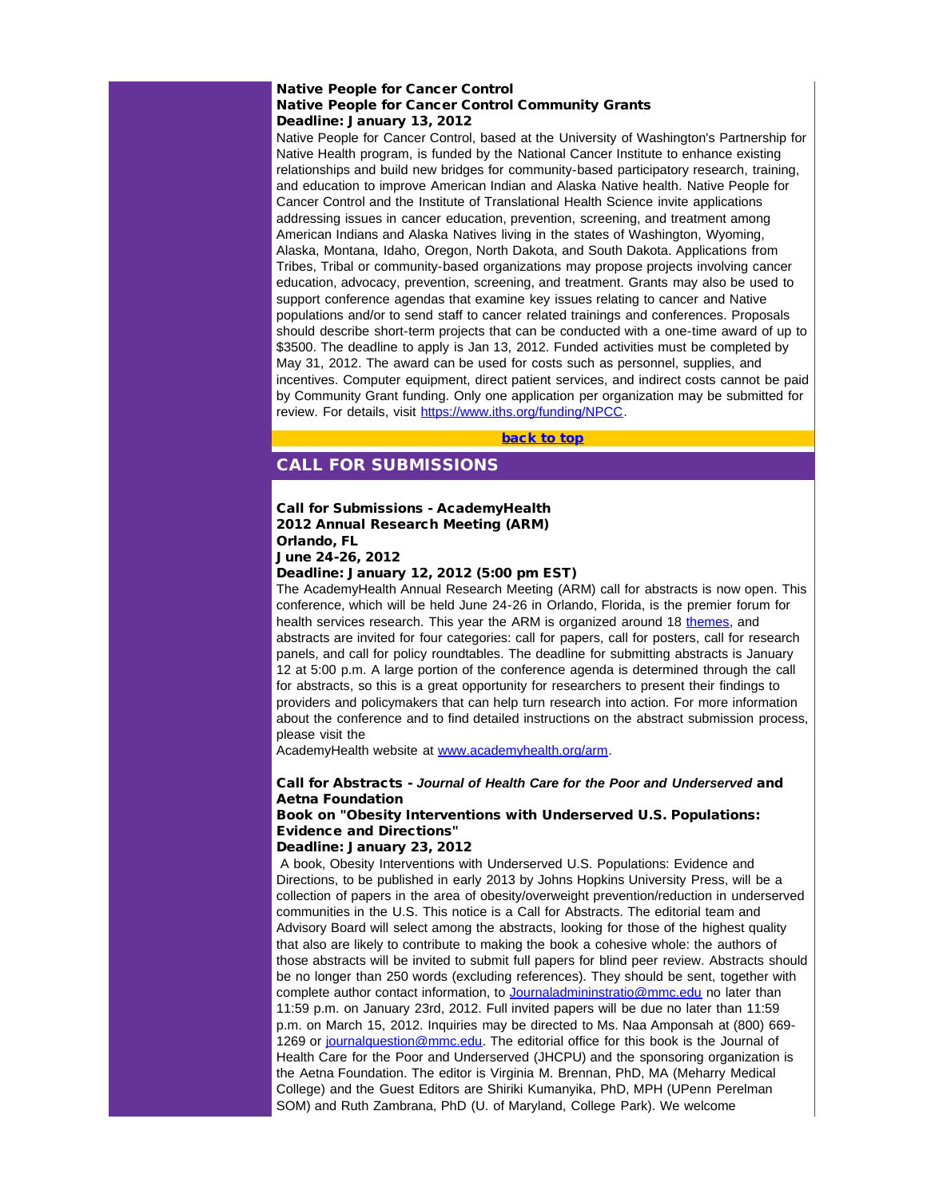### Native People for Cancer Control Native People for Cancer Control Community Grants Deadline: January 13, 2012

<span id="page-3-0"></span>Native People for Cancer Control, based at the University of Washington's Partnership for Native Health program, is funded by the National Cancer Institute to enhance existing relationships and build new bridges for community-based participatory research, training, and education to improve American Indian and Alaska Native health. Native People for Cancer Control and the Institute of Translational Health Science invite applications addressing issues in cancer education, prevention, screening, and treatment among American Indians and Alaska Natives living in the states of Washington, Wyoming, Alaska, Montana, Idaho, Oregon, North Dakota, and South Dakota. Applications from Tribes, Tribal or community-based organizations may propose projects involving cancer education, advocacy, prevention, screening, and treatment. Grants may also be used to support conference agendas that examine key issues relating to cancer and Native populations and/or to send staff to cancer related trainings and conferences. Proposals should describe short-term projects that can be conducted with a one-time award of up to \$3500. The deadline to apply is Jan 13, 2012. Funded activities must be completed by May 31, 2012. The award can be used for costs such as personnel, supplies, and incentives. Computer equipment, direct patient services, and indirect costs cannot be paid by Community Grant funding. Only one application per organization may be submitted for review. For details, visit [https://www.iths.org/funding/NPCC](http://r20.rs6.net/tn.jsp?llr=5gytkqcab&et=1109071822203&s=1&e=001Rs1z22Qa5_fwcc5Yq4iMk70VRSgADAUIFLpHlWVA3ehB6Q9qae6p5Bcze1rCaRtbr5CSnbmWx1nTBmDDRotGOzELNhhkzKfFiUG86LFzZLe2ReqFBisbDankb-knhcQi).

[back to top](#page-0-4)

# CALL FOR SUBMISSIONS

# Call for Submissions - AcademyHealth 2012 Annual Research Meeting (ARM) Orlando, FL

June 24-26, 2012

### Deadline: January 12, 2012 (5:00 pm EST)

The AcademyHealth Annual Research Meeting (ARM) call for abstracts is now open. This conference, which will be held June 24-26 in Orlando, Florida, is the premier forum for health services research. This year the ARM is organized around 18 [themes](http://r20.rs6.net/tn.jsp?llr=5gytkqcab&et=1109071822203&s=1&e=001Rs1z22Qa5_cRMWJronxtw98BCWAif2fvy3vh21PddTgR7llBb6bWLhnL6-gT5htowcgF-xrUuZrydAeyAW7oUXg-312JfEfNg7o43hPXUq3uAbTryhnFZNOTatvHI7jd8djIqCDviowCs9AoCpAK-Cgo-g8hal8hflG10AhTGkM2vV1ZClthSX-Zmsa-6LJHcH3VLG6m5kw=), and abstracts are invited for four categories: call for papers, call for posters, call for research panels, and call for policy roundtables. The deadline for submitting abstracts is January 12 at 5:00 p.m. A large portion of the conference agenda is determined through the call for abstracts, so this is a great opportunity for researchers to present their findings to providers and policymakers that can help turn research into action. For more information about the conference and to find detailed instructions on the abstract submission process, please visit the

AcademyHealth website at [www.academyhealth.org/arm](http://r20.rs6.net/tn.jsp?llr=5gytkqcab&et=1109071822203&s=1&e=001Rs1z22Qa5_dVYSaWrCjtDgUZ97LasGQyN-4G8TbqAolX7fDrC8VpF2zDmoXrGtZ9XF0igQWVcZPCzIWsBnol7ZKfkZFij7iGhrwNhjRwDUq75-aFbKvNww==).

### Call for Abstracts - *Journal of Health Care for the Poor and Underserved* and Aetna Foundation

## Book on "Obesity Interventions with Underserved U.S. Populations: Evidence and Directions"

### Deadline: January 23, 2012

A book, Obesity Interventions with Underserved U.S. Populations: Evidence and Directions, to be published in early 2013 by Johns Hopkins University Press, will be a collection of papers in the area of obesity/overweight prevention/reduction in underserved communities in the U.S. This notice is a Call for Abstracts. The editorial team and Advisory Board will select among the abstracts, looking for those of the highest quality that also are likely to contribute to making the book a cohesive whole: the authors of those abstracts will be invited to submit full papers for blind peer review. Abstracts should be no longer than 250 words (excluding references). They should be sent, together with complete author contact information, to [Journaladmininstratio@mmc.edu](mailto:Journaladmininstratio@mmc.edu?) no later than 11:59 p.m. on January 23rd, 2012. Full invited papers will be due no later than 11:59 p.m. on March 15, 2012. Inquiries may be directed to Ms. Naa Amponsah at (800) 669- 1269 or journal question@mmc.edu. The editorial office for this book is the Journal of Health Care for the Poor and Underserved (JHCPU) and the sponsoring organization is the Aetna Foundation. The editor is Virginia M. Brennan, PhD, MA (Meharry Medical College) and the Guest Editors are Shiriki Kumanyika, PhD, MPH (UPenn Perelman SOM) and Ruth Zambrana, PhD (U. of Maryland, College Park). We welcome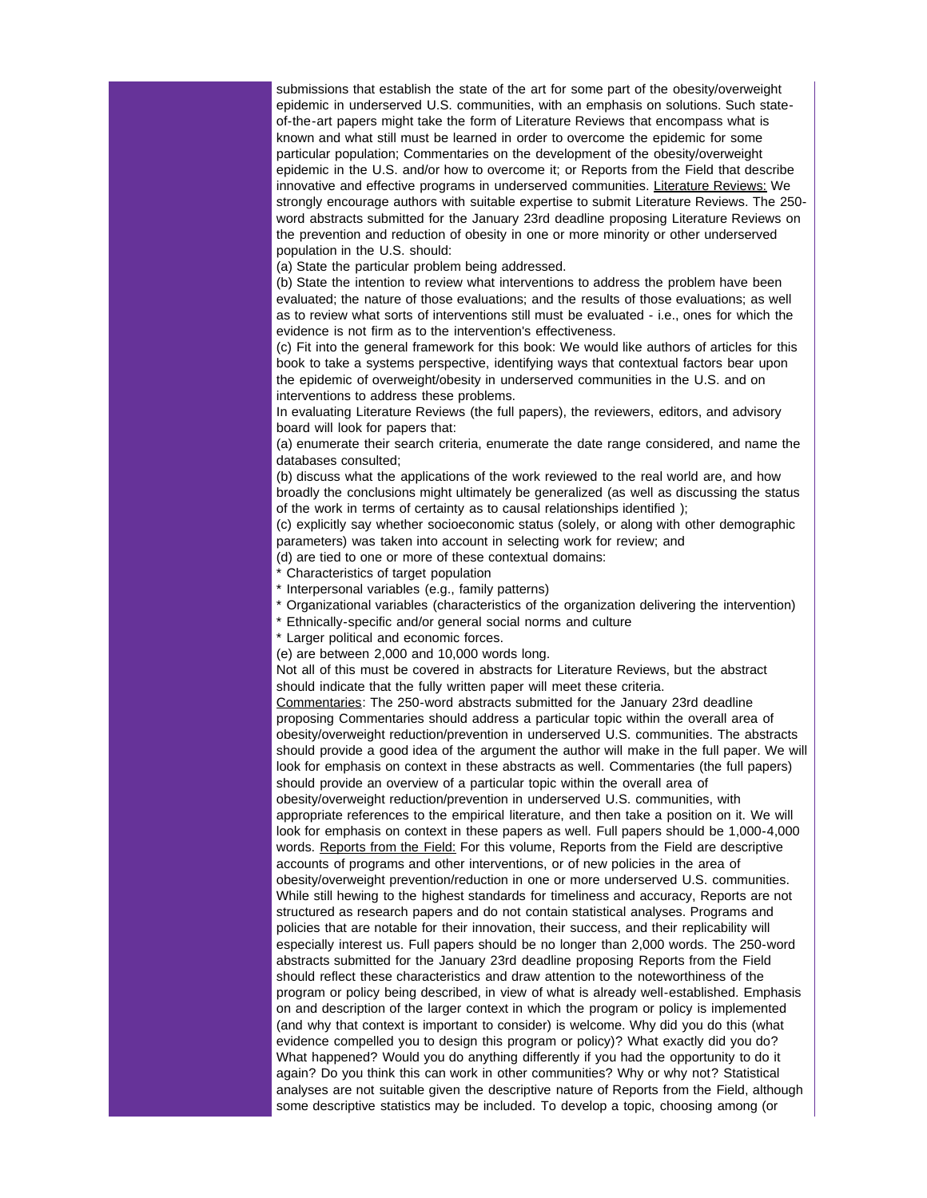submissions that establish the state of the art for some part of the obesity/overweight epidemic in underserved U.S. communities, with an emphasis on solutions. Such stateof-the-art papers might take the form of Literature Reviews that encompass what is known and what still must be learned in order to overcome the epidemic for some particular population; Commentaries on the development of the obesity/overweight epidemic in the U.S. and/or how to overcome it; or Reports from the Field that describe innovative and effective programs in underserved communities. Literature Reviews: We strongly encourage authors with suitable expertise to submit Literature Reviews. The 250 word abstracts submitted for the January 23rd deadline proposing Literature Reviews on the prevention and reduction of obesity in one or more minority or other underserved population in the U.S. should:

(a) State the particular problem being addressed.

(b) State the intention to review what interventions to address the problem have been evaluated; the nature of those evaluations; and the results of those evaluations; as well as to review what sorts of interventions still must be evaluated - i.e., ones for which the evidence is not firm as to the intervention's effectiveness.

(c) Fit into the general framework for this book: We would like authors of articles for this book to take a systems perspective, identifying ways that contextual factors bear upon the epidemic of overweight/obesity in underserved communities in the U.S. and on interventions to address these problems.

In evaluating Literature Reviews (the full papers), the reviewers, editors, and advisory board will look for papers that:

(a) enumerate their search criteria, enumerate the date range considered, and name the databases consulted;

(b) discuss what the applications of the work reviewed to the real world are, and how broadly the conclusions might ultimately be generalized (as well as discussing the status of the work in terms of certainty as to causal relationships identified );

(c) explicitly say whether socioeconomic status (solely, or along with other demographic parameters) was taken into account in selecting work for review; and

(d) are tied to one or more of these contextual domains:

\* Characteristics of target population

- \* Interpersonal variables (e.g., family patterns)
- \* Organizational variables (characteristics of the organization delivering the intervention)
- \* Ethnically-specific and/or general social norms and culture

\* Larger political and economic forces.

(e) are between 2,000 and 10,000 words long.

Not all of this must be covered in abstracts for Literature Reviews, but the abstract should indicate that the fully written paper will meet these criteria.

Commentaries: The 250-word abstracts submitted for the January 23rd deadline proposing Commentaries should address a particular topic within the overall area of obesity/overweight reduction/prevention in underserved U.S. communities. The abstracts should provide a good idea of the argument the author will make in the full paper. We will look for emphasis on context in these abstracts as well. Commentaries (the full papers) should provide an overview of a particular topic within the overall area of obesity/overweight reduction/prevention in underserved U.S. communities, with appropriate references to the empirical literature, and then take a position on it. We will look for emphasis on context in these papers as well. Full papers should be 1,000-4,000 words. Reports from the Field: For this volume, Reports from the Field are descriptive accounts of programs and other interventions, or of new policies in the area of obesity/overweight prevention/reduction in one or more underserved U.S. communities. While still hewing to the highest standards for timeliness and accuracy, Reports are not structured as research papers and do not contain statistical analyses. Programs and policies that are notable for their innovation, their success, and their replicability will especially interest us. Full papers should be no longer than 2,000 words. The 250-word abstracts submitted for the January 23rd deadline proposing Reports from the Field should reflect these characteristics and draw attention to the noteworthiness of the program or policy being described, in view of what is already well-established. Emphasis on and description of the larger context in which the program or policy is implemented (and why that context is important to consider) is welcome. Why did you do this (what evidence compelled you to design this program or policy)? What exactly did you do? What happened? Would you do anything differently if you had the opportunity to do it again? Do you think this can work in other communities? Why or why not? Statistical analyses are not suitable given the descriptive nature of Reports from the Field, although some descriptive statistics may be included. To develop a topic, choosing among (or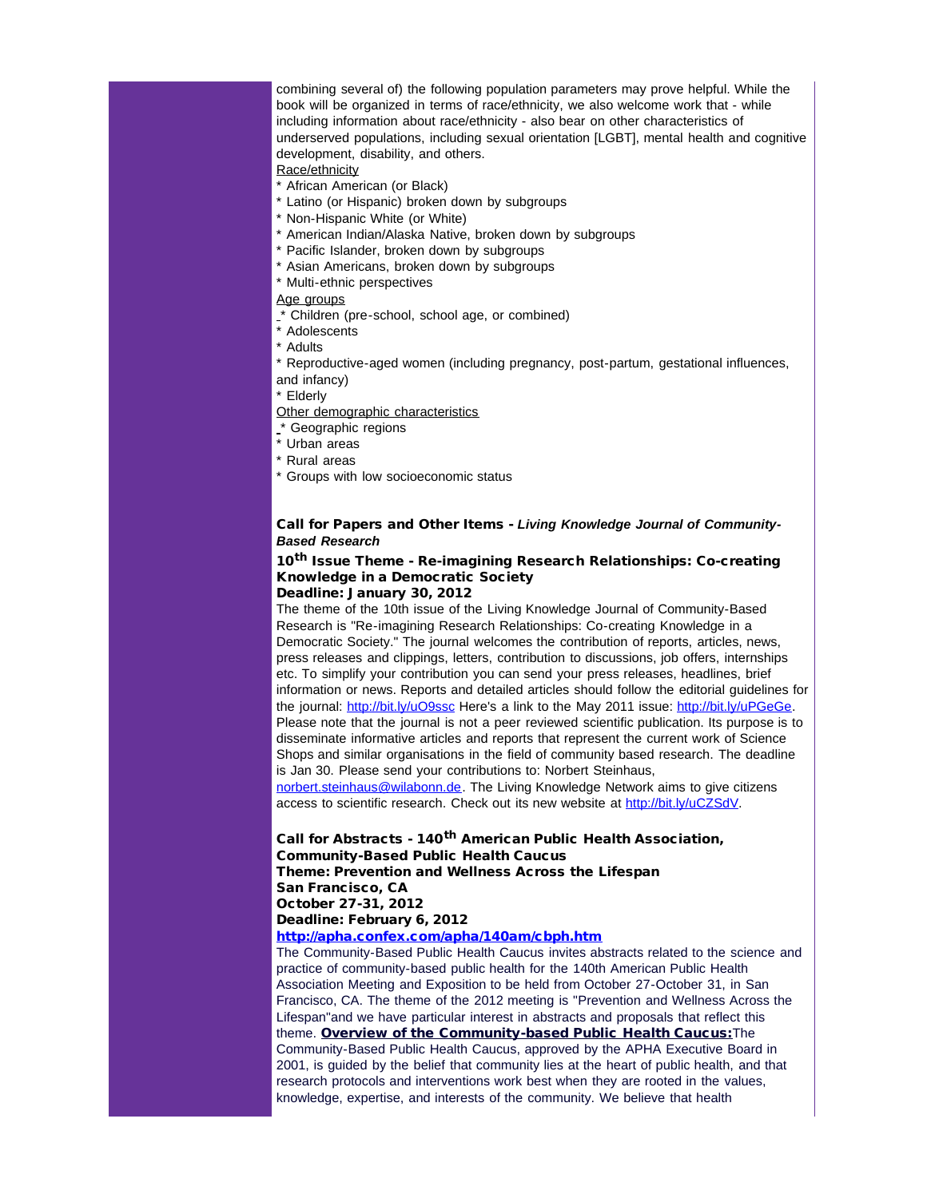combining several of) the following population parameters may prove helpful. While the book will be organized in terms of race/ethnicity, we also welcome work that - while including information about race/ethnicity - also bear on other characteristics of underserved populations, including sexual orientation [LGBT], mental health and cognitive development, disability, and others.

### Race/ethnicity

- \* African American (or Black)
- \* Latino (or Hispanic) broken down by subgroups
- \* Non-Hispanic White (or White)
- \* American Indian/Alaska Native, broken down by subgroups
- \* Pacific Islander, broken down by subgroups
- \* Asian Americans, broken down by subgroups
- \* Multi-ethnic perspectives

## Age groups

- $\zeta^*$  Children (pre-school, school age, or combined)
- \* Adolescents
- \* Adults
- \* Reproductive-aged women (including pregnancy, post-partum, gestational influences,
- and infancy)

#### \* Elderly

- Other demographic characteristics
- \* Geographic regions
- \* Urban areas
- \* Rural areas
- \* Groups with low socioeconomic status

### Call for Papers and Other Items - *Living Knowledge Journal of Community-Based Research*

# 10<sup>th</sup> Issue Theme - Re-imagining Research Relationships: Co-creating Knowledge in a Democratic Society

### Deadline: January 30, 2012

The theme of the 10th issue of the Living Knowledge Journal of Community-Based Research is "Re-imagining Research Relationships: Co-creating Knowledge in a Democratic Society." The journal welcomes the contribution of reports, articles, news, press releases and clippings, letters, contribution to discussions, job offers, internships etc. To simplify your contribution you can send your press releases, headlines, brief information or news. Reports and detailed articles should follow the editorial guidelines for the journal: [http://bit.ly/uO9ssc](http://r20.rs6.net/tn.jsp?llr=5gytkqcab&et=1109071822203&s=1&e=001Rs1z22Qa5_fW2hSaZl3NJDX2_gbbRpc9QcMPJEYzplL2UmOoJ7WtqrhTKd7jxzXc3DrR_6EbjR3T-bCsXKBbDXAwT_1aVHYM0dZPwR6c1Cs=) Here's a link to the May 2011 issue: [http://bit.ly/uPGeGe](http://r20.rs6.net/tn.jsp?llr=5gytkqcab&et=1109071822203&s=1&e=001Rs1z22Qa5_cDxqLmqLULM-CytZF3SbtgmdPmDpTljolTwpxWouMnrXUU4WnDUNe3riTgUtx6aTisqctjLptUeA8dhu0QCHbuD9SrPj6oMD8=). Please note that the journal is not a peer reviewed scientific publication. Its purpose is to disseminate informative articles and reports that represent the current work of Science Shops and similar organisations in the field of community based research. The deadline is Jan 30. Please send your contributions to: Norbert Steinhaus,

[norbert.steinhaus@wilabonn.de.](mailto:norbert.steinhaus@wilabonn.de?) The Living Knowledge Network aims to give citizens access to scientific research. Check out its new website at [http://bit.ly/uCZSdV](http://r20.rs6.net/tn.jsp?llr=5gytkqcab&et=1109071822203&s=1&e=001Rs1z22Qa5_e_NR2H6JWlpFawAj4GeHeMLsq3nx_0YzALSjXo7sRws99etW6G_nSc1ThZjI-zGBBXVEUDVml5B5yscv8PLS2lgBqlJF4WvMQ=).

### Call for Abstracts - 140<sup>th</sup> American Public Health Association, Community-Based Public Health Caucus Theme: Prevention and Wellness Across the Lifespan

San Francisco, CA

October 27-31, 2012

# Deadline: February 6, 2012

## [http://apha.confex.com/apha/140am/cbph.htm](http://r20.rs6.net/tn.jsp?llr=5gytkqcab&et=1109071822203&s=1&e=001Rs1z22Qa5_e9xnayOzfn7Cux1tf8eiRDzaeUHGhXuXfD2ZkLSAHv6YXttcjtnoFE19jZua97JgwYifHa9y_DwvWkvaociSBIeWFIDdC37ZfEyO8KuFD1kl23LmkybC9OPMtv54jHkPs=)

The Community-Based Public Health Caucus invites abstracts related to the science and practice of community-based public health for the 140th American Public Health Association Meeting and Exposition to be held from October 27-October 31, in San Francisco, CA. The theme of the 2012 meeting is "Prevention and Wellness Across the Lifespan"and we have particular interest in abstracts and proposals that reflect this theme. Overview of the Community-based Public Health Caucus: The Community-Based Public Health Caucus, approved by the APHA Executive Board in 2001, is guided by the belief that community lies at the heart of public health, and that research protocols and interventions work best when they are rooted in the values, knowledge, expertise, and interests of the community. We believe that health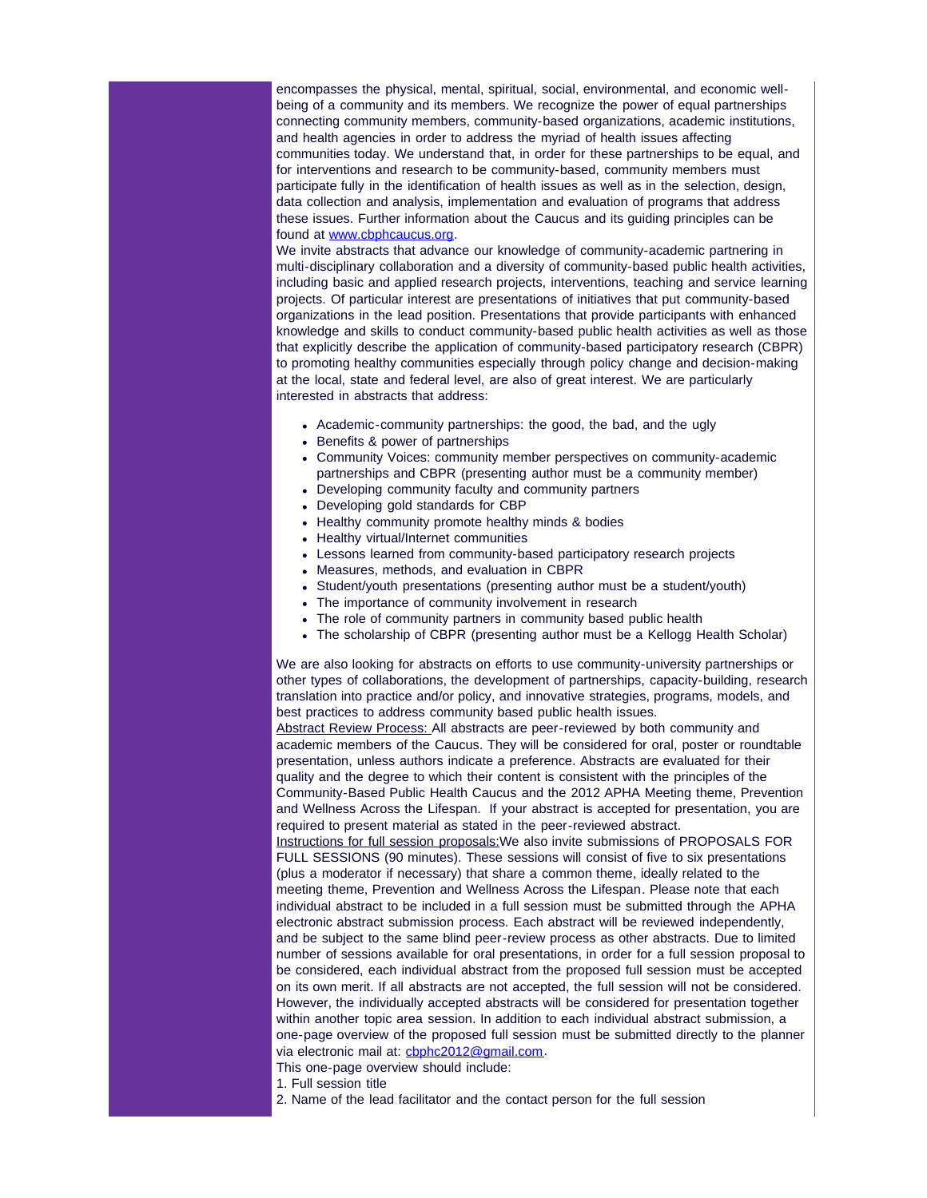encompasses the physical, mental, spiritual, social, environmental, and economic wellbeing of a community and its members. We recognize the power of equal partnerships connecting community members, community-based organizations, academic institutions, and health agencies in order to address the myriad of health issues affecting communities today. We understand that, in order for these partnerships to be equal, and for interventions and research to be community-based, community members must participate fully in the identification of health issues as well as in the selection, design, data collection and analysis, implementation and evaluation of programs that address these issues. Further information about the Caucus and its guiding principles can be found at [www.cbphcaucus.org](http://r20.rs6.net/tn.jsp?llr=5gytkqcab&et=1109071822203&s=1&e=001Rs1z22Qa5_eWQZki3y3VEBJZ82JTThYF9cMABx6UDyK-qHt0_4IjT1rRwu-syBXK185mDLADJstjL7RBw32BvQQR6W4gZ1wKNSQBRUUfUHdewhnp89gCwQ==).

We invite abstracts that advance our knowledge of community-academic partnering in multi-disciplinary collaboration and a diversity of community-based public health activities, including basic and applied research projects, interventions, teaching and service learning projects. Of particular interest are presentations of initiatives that put community-based organizations in the lead position. Presentations that provide participants with enhanced knowledge and skills to conduct community-based public health activities as well as those that explicitly describe the application of community-based participatory research (CBPR) to promoting healthy communities especially through policy change and decision-making at the local, state and federal level, are also of great interest. We are particularly interested in abstracts that address:

- Academic-community partnerships: the good, the bad, and the ugly
- Benefits & power of partnerships
- Community Voices: community member perspectives on community-academic partnerships and CBPR (presenting author must be a community member)
- Developing community faculty and community partners
- Developing gold standards for CBP
- Healthy community promote healthy minds & bodies
- Healthy virtual/Internet communities
- Lessons learned from community-based participatory research projects
- Measures, methods, and evaluation in CBPR
- Student/youth presentations (presenting author must be a student/youth)
- The importance of community involvement in research
- The role of community partners in community based public health
- The scholarship of CBPR (presenting author must be a Kellogg Health Scholar)

We are also looking for abstracts on efforts to use community-university partnerships or other types of collaborations, the development of partnerships, capacity-building, research translation into practice and/or policy, and innovative strategies, programs, models, and best practices to address community based public health issues.

Abstract Review Process: All abstracts are peer-reviewed by both community and academic members of the Caucus. They will be considered for oral, poster or roundtable presentation, unless authors indicate a preference. Abstracts are evaluated for their quality and the degree to which their content is consistent with the principles of the Community-Based Public Health Caucus and the 2012 APHA Meeting theme, Prevention and Wellness Across the Lifespan. If your abstract is accepted for presentation, you are required to present material as stated in the peer-reviewed abstract.

Instructions for full session proposals:We also invite submissions of PROPOSALS FOR FULL SESSIONS (90 minutes). These sessions will consist of five to six presentations (plus a moderator if necessary) that share a common theme, ideally related to the meeting theme, Prevention and Wellness Across the Lifespan. Please note that each individual abstract to be included in a full session must be submitted through the APHA electronic abstract submission process. Each abstract will be reviewed independently, and be subject to the same blind peer-review process as other abstracts. Due to limited number of sessions available for oral presentations, in order for a full session proposal to be considered, each individual abstract from the proposed full session must be accepted on its own merit. If all abstracts are not accepted, the full session will not be considered. However, the individually accepted abstracts will be considered for presentation together within another topic area session. In addition to each individual abstract submission, a one-page overview of the proposed full session must be submitted directly to the planner via electronic mail at: [cbphc2012@gmail.com](mailto:cbphc2012@gmail.com?).

This one-page overview should include:

1. Full session title

2. Name of the lead facilitator and the contact person for the full session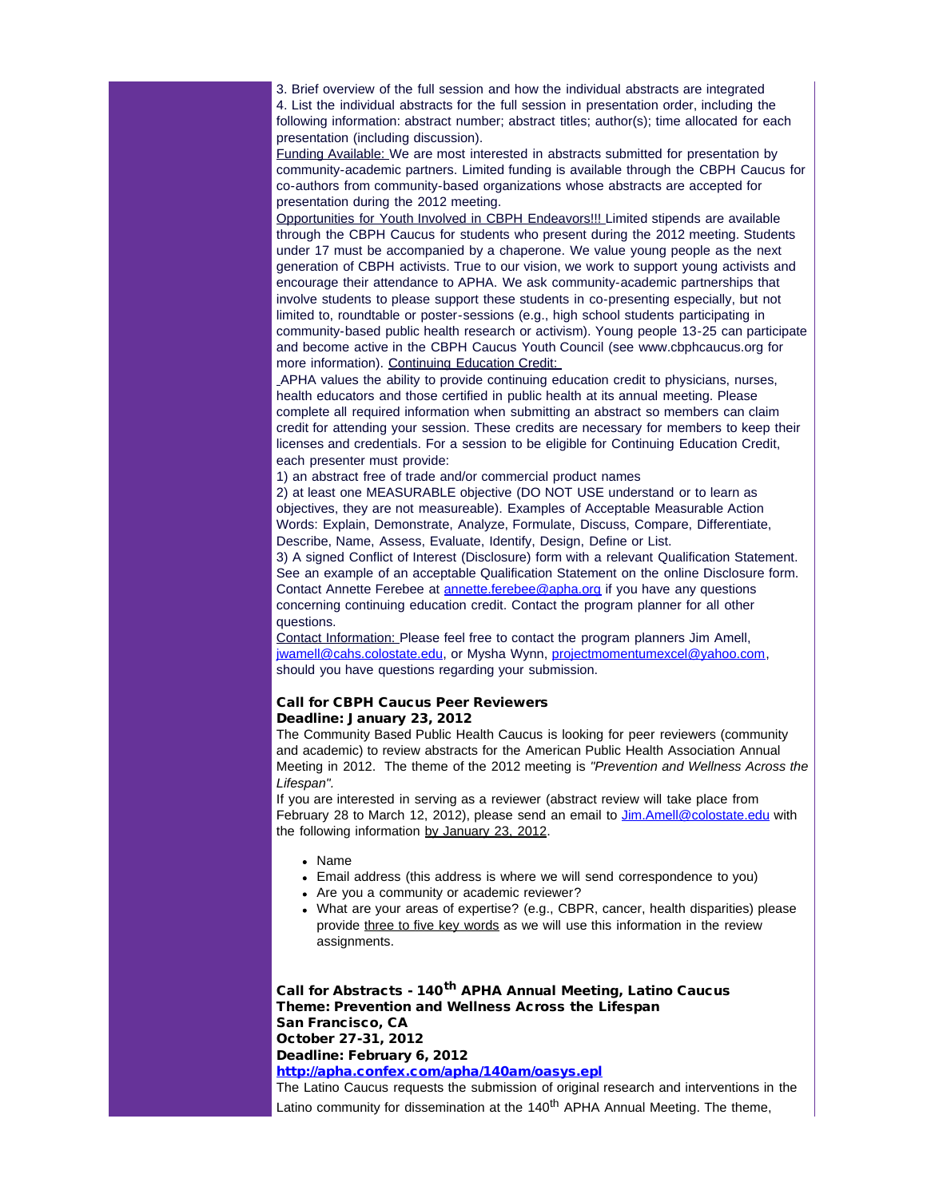3. Brief overview of the full session and how the individual abstracts are integrated 4. List the individual abstracts for the full session in presentation order, including the following information: abstract number; abstract titles; author(s); time allocated for each presentation (including discussion).

Funding Available: We are most interested in abstracts submitted for presentation by community-academic partners. Limited funding is available through the CBPH Caucus for co-authors from community-based organizations whose abstracts are accepted for presentation during the 2012 meeting.

Opportunities for Youth Involved in CBPH Endeavors!!! Limited stipends are available through the CBPH Caucus for students who present during the 2012 meeting. Students under 17 must be accompanied by a chaperone. We value young people as the next generation of CBPH activists. True to our vision, we work to support young activists and encourage their attendance to APHA. We ask community-academic partnerships that involve students to please support these students in co-presenting especially, but not limited to, roundtable or poster-sessions (e.g., high school students participating in community-based public health research or activism). Young people 13-25 can participate and become active in the CBPH Caucus Youth Council (see www.cbphcaucus.org for more information). Continuing Education Credit:

APHA values the ability to provide continuing education credit to physicians, nurses, health educators and those certified in public health at its annual meeting. Please complete all required information when submitting an abstract so members can claim credit for attending your session. These credits are necessary for members to keep their licenses and credentials. For a session to be eligible for Continuing Education Credit, each presenter must provide:

1) an abstract free of trade and/or commercial product names

2) at least one MEASURABLE objective (DO NOT USE understand or to learn as objectives, they are not measureable). Examples of Acceptable Measurable Action Words: Explain, Demonstrate, Analyze, Formulate, Discuss, Compare, Differentiate, Describe, Name, Assess, Evaluate, Identify, Design, Define or List.

3) A signed Conflict of Interest (Disclosure) form with a relevant Qualification Statement. See an example of an acceptable Qualification Statement on the online Disclosure form. Contact Annette Ferebee at **annette.ferebee@apha.org** if you have any questions concerning continuing education credit. Contact the program planner for all other questions.

Contact Information: Please feel free to contact the program planners Jim Amell, [jwamell@cahs.colostate.edu,](mailto:jwamell@cahs.colostate.edu?) or Mysha Wynn, [projectmomentumexcel@yahoo.com](mailto:projectmomentumexcel@yahoo.com?), should you have questions regarding your submission.

### Call for CBPH Caucus Peer Reviewers Deadline: January 23, 2012

The Community Based Public Health Caucus is looking for peer reviewers (community and academic) to review abstracts for the American Public Health Association Annual Meeting in 2012. The theme of the 2012 meeting is *"Prevention and Wellness Across the Lifespan".*

If you are interested in serving as a reviewer (abstract review will take place from February 28 to March 12, 2012), please send an email to *Jim.Amell@colostate.edu* with the following information by January 23, 2012.

- Name
- Email address (this address is where we will send correspondence to you)
- Are you a community or academic reviewer?
- What are your areas of expertise? (e.g., CBPR, cancer, health disparities) please provide three to five key words as we will use this information in the review assignments.

Call for Abstracts - 140<sup>th</sup> APHA Annual Meeting, Latino Caucus Theme: Prevention and Wellness Across the Lifespan San Francisco, CA October 27-31, 2012 Deadline: February 6, 2012 [http://apha.confex.com/apha/140am/oasys.epl](http://r20.rs6.net/tn.jsp?llr=5gytkqcab&et=1109071822203&s=1&e=001Rs1z22Qa5_d4Y2txlCIw4ok-65RKAK-7WAGY1vqrV3x9ojc6ipxt-Jea9cvMpEpbBgLv9f78CrrB-iqPjfQUyJ3RWDARMofsCOPp9y0HtH6HzmfqwsDyzQ==) The Latino Caucus requests the submission of original research and interventions in the

Latino community for dissemination at the  $140<sup>th</sup>$  APHA Annual Meeting. The theme,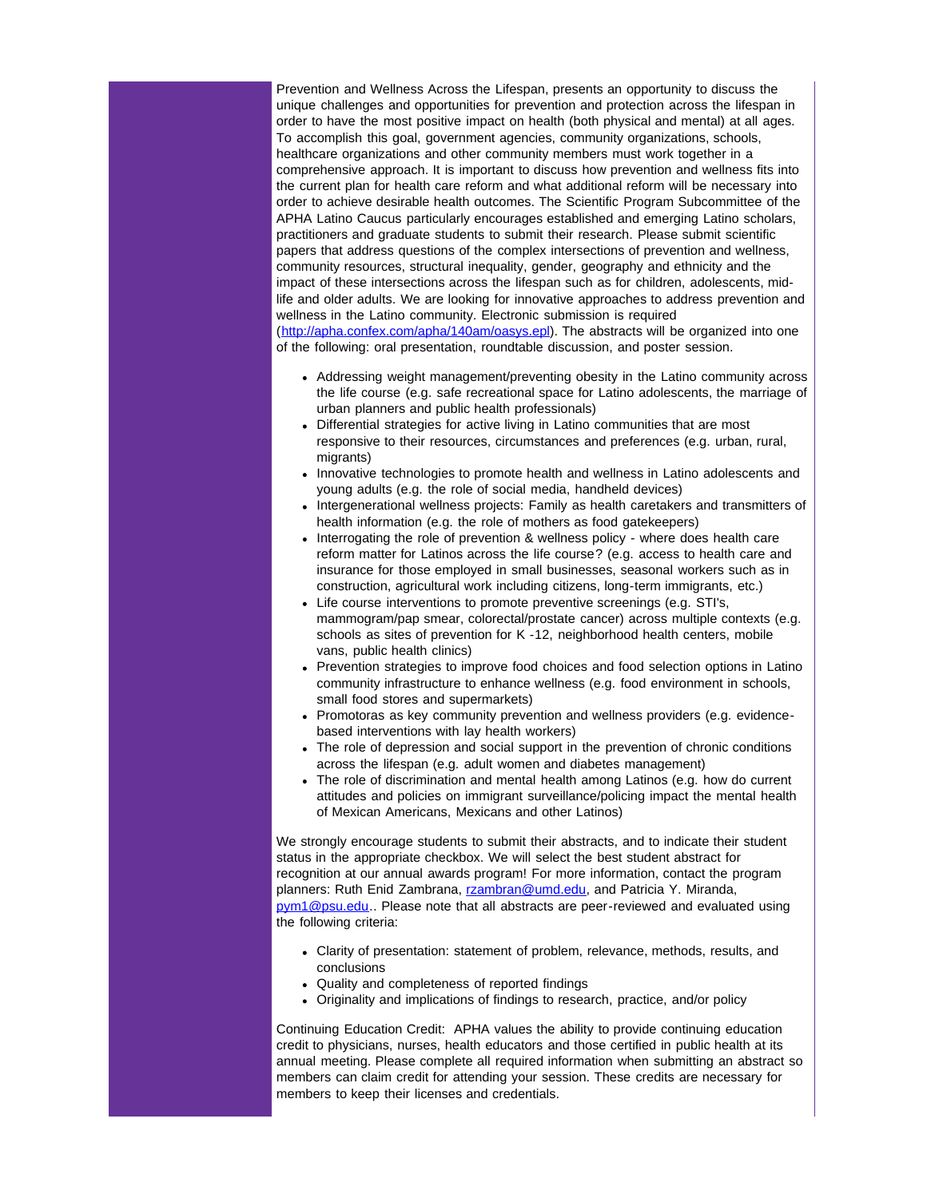Prevention and Wellness Across the Lifespan, presents an opportunity to discuss the unique challenges and opportunities for prevention and protection across the lifespan in order to have the most positive impact on health (both physical and mental) at all ages. To accomplish this goal, government agencies, community organizations, schools, healthcare organizations and other community members must work together in a comprehensive approach. It is important to discuss how prevention and wellness fits into the current plan for health care reform and what additional reform will be necessary into order to achieve desirable health outcomes. The Scientific Program Subcommittee of the APHA Latino Caucus particularly encourages established and emerging Latino scholars, practitioners and graduate students to submit their research. Please submit scientific papers that address questions of the complex intersections of prevention and wellness, community resources, structural inequality, gender, geography and ethnicity and the impact of these intersections across the lifespan such as for children, adolescents, midlife and older adults. We are looking for innovative approaches to address prevention and wellness in the Latino community. Electronic submission is required ([http://apha.confex.com/apha/140am/oasys.epl](http://r20.rs6.net/tn.jsp?llr=5gytkqcab&et=1109071822203&s=1&e=001Rs1z22Qa5_d4Y2txlCIw4ok-65RKAK-7WAGY1vqrV3x9ojc6ipxt-Jea9cvMpEpbBgLv9f78CrrB-iqPjfQUyJ3RWDARMofsCOPp9y0HtH6HzmfqwsDyzQ==)). The abstracts will be organized into one of the following: oral presentation, roundtable discussion, and poster session.

- Addressing weight management/preventing obesity in the Latino community across the life course (e.g. safe recreational space for Latino adolescents, the marriage of urban planners and public health professionals)
- Differential strategies for active living in Latino communities that are most responsive to their resources, circumstances and preferences (e.g. urban, rural, migrants)
- Innovative technologies to promote health and wellness in Latino adolescents and young adults (e.g. the role of social media, handheld devices)
- Intergenerational wellness projects: Family as health caretakers and transmitters of health information (e.g. the role of mothers as food gatekeepers)
- Interrogating the role of prevention & wellness policy where does health care reform matter for Latinos across the life course? (e.g. access to health care and insurance for those employed in small businesses, seasonal workers such as in construction, agricultural work including citizens, long-term immigrants, etc.)
- Life course interventions to promote preventive screenings (e.g. STI's, mammogram/pap smear, colorectal/prostate cancer) across multiple contexts (e.g. schools as sites of prevention for K -12, neighborhood health centers, mobile vans, public health clinics)
- Prevention strategies to improve food choices and food selection options in Latino community infrastructure to enhance wellness (e.g. food environment in schools, small food stores and supermarkets)
- Promotoras as key community prevention and wellness providers (e.g. evidencebased interventions with lay health workers)
- The role of depression and social support in the prevention of chronic conditions across the lifespan (e.g. adult women and diabetes management)
- The role of discrimination and mental health among Latinos (e.g. how do current attitudes and policies on immigrant surveillance/policing impact the mental health of Mexican Americans, Mexicans and other Latinos)

We strongly encourage students to submit their abstracts, and to indicate their student status in the appropriate checkbox. We will select the best student abstract for recognition at our annual awards program! For more information, contact the program planners: Ruth Enid Zambrana, [rzambran@umd.edu](mailto:rzambran@umd.edu?), and Patricia Y. Miranda, [pym1@psu.edu](mailto:pym1@psu.edu?).. Please note that all abstracts are peer-reviewed and evaluated using the following criteria:

- Clarity of presentation: statement of problem, relevance, methods, results, and conclusions
- Quality and completeness of reported findings
- Originality and implications of findings to research, practice, and/or policy

Continuing Education Credit: APHA values the ability to provide continuing education credit to physicians, nurses, health educators and those certified in public health at its annual meeting. Please complete all required information when submitting an abstract so members can claim credit for attending your session. These credits are necessary for members to keep their licenses and credentials.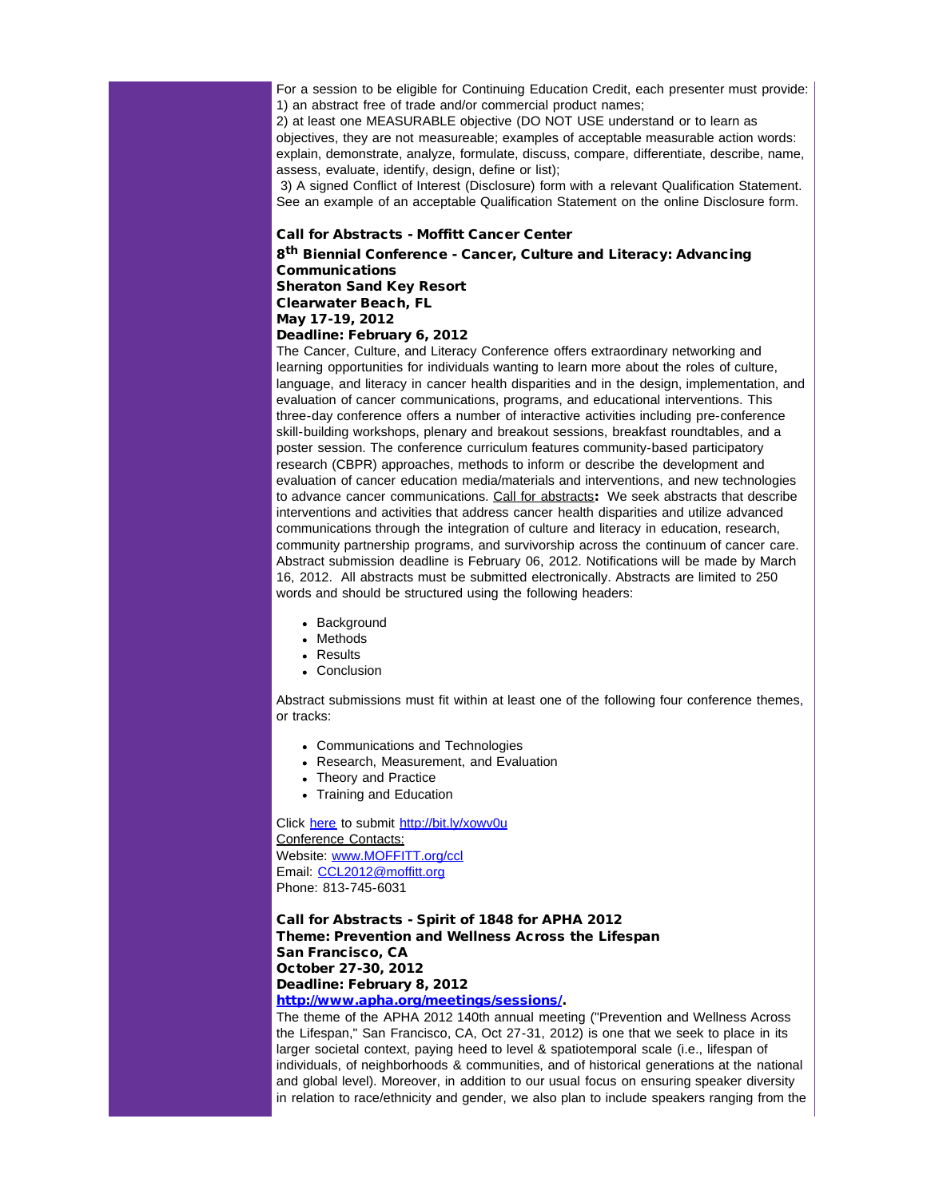For a session to be eligible for Continuing Education Credit, each presenter must provide: 1) an abstract free of trade and/or commercial product names;

2) at least one MEASURABLE objective (DO NOT USE understand or to learn as objectives, they are not measureable; examples of acceptable measurable action words: explain, demonstrate, analyze, formulate, discuss, compare, differentiate, describe, name, assess, evaluate, identify, design, define or list);

3) A signed Conflict of Interest (Disclosure) form with a relevant Qualification Statement. See an example of an acceptable Qualification Statement on the online Disclosure form.

### Call for Abstracts - Moffitt Cancer Center

8th Biennial Conference - Cancer, Culture and Literacy: Advancing Communications Sheraton Sand Key Resort Clearwater Beach, FL May 17-19, 2012

Deadline: February 6, 2012

The Cancer, Culture, and Literacy Conference offers extraordinary networking and learning opportunities for individuals wanting to learn more about the roles of culture, language, and literacy in cancer health disparities and in the design, implementation, and evaluation of cancer communications, programs, and educational interventions. This three-day conference offers a number of interactive activities including pre-conference skill-building workshops, plenary and breakout sessions, breakfast roundtables, and a poster session. The conference curriculum features community-based participatory research (CBPR) approaches, methods to inform or describe the development and evaluation of cancer education media/materials and interventions, and new technologies to advance cancer communications. Call for abstracts: We seek abstracts that describe interventions and activities that address cancer health disparities and utilize advanced communications through the integration of culture and literacy in education, research, community partnership programs, and survivorship across the continuum of cancer care. Abstract submission deadline is February 06, 2012. Notifications will be made by March 16, 2012. All abstracts must be submitted electronically. Abstracts are limited to 250 words and should be structured using the following headers:

- Background
- Methods
- Results
- Conclusion

Abstract submissions must fit within at least one of the following four conference themes, or tracks:

- Communications and Technologies
- Research, Measurement, and Evaluation
- Theory and Practice
- Training and Education

Click [here](http://r20.rs6.net/tn.jsp?llr=5gytkqcab&et=1109071822203&s=1&e=001Rs1z22Qa5_esufJwrVgnmI93cev5DBPMt0T_cOFPWWQo2J5KibI77vSYMVwXsQf2WMYfdYAUh9KgiM2saCqpYR7aAnR-IUXkN4rcgp37XASc4vxywQMutxkFyL81wCF3QIcMdYCzRTrNHgPxo4Iaz8eVktbje0D6YWzMNTGMkbNOlS6T9nPAAjt8QM3cZiOmf7zCM089Gwg=) to submit [http://bit.ly/xowv0u](http://r20.rs6.net/tn.jsp?llr=5gytkqcab&et=1109071822203&s=1&e=001Rs1z22Qa5_eInR-NH9S7Qdgu1-oEDNyk9SPXfyS7iVw0FqpDGd5hNUGFlGHZTj9ZKNhTHEus03k1MaQCvYC4p0ayncnmswhOURiW-Qbl0e8=) Conference Contacts: Website: [www.MOFFITT.org/ccl](http://r20.rs6.net/tn.jsp?llr=5gytkqcab&et=1109071822203&s=1&e=001Rs1z22Qa5_eAezvpK2Isgg6kffd7cKn2RK02xFdkloOB9K9KIHfJe30IRtq6p3FeEOAnQpgON_TAnpPdhHi1C2cl5leXpIULzGvxtLo-2i33x9UQQVNtZg==) Email: [CCL2012@moffitt.org](mailto:CCL2012@moffitt.org?) Phone: 813-745-6031

Call for Abstracts - Spirit of 1848 for APHA 2012 Theme: Prevention and Wellness Across the Lifespan San Francisco, CA October 27-30, 2012 Deadline: February 8, 2012

[http://www.apha.org/meetings/sessions/.](http://r20.rs6.net/tn.jsp?llr=5gytkqcab&et=1109071822203&s=1&e=001Rs1z22Qa5_fKSUbiy6P-YtMNx7xzy7bnaZAGc5TasPaPQJ0KeeaY5U0qBJfdKiDN1i0BfzOTo7n8RUY5dwMShtrLC7Ib7p_nT14fV_kAX8QP64Bz8z25NaZqJnEph8j8aEobtI5amW4=)

The theme of the APHA 2012 140th annual meeting ("Prevention and Wellness Across the Lifespan," San Francisco, CA, Oct 27-31, 2012) is one that we seek to place in its larger societal context, paying heed to level & spatiotemporal scale (i.e., lifespan of individuals, of neighborhoods & communities, and of historical generations at the national and global level). Moreover, in addition to our usual focus on ensuring speaker diversity in relation to race/ethnicity and gender, we also plan to include speakers ranging from the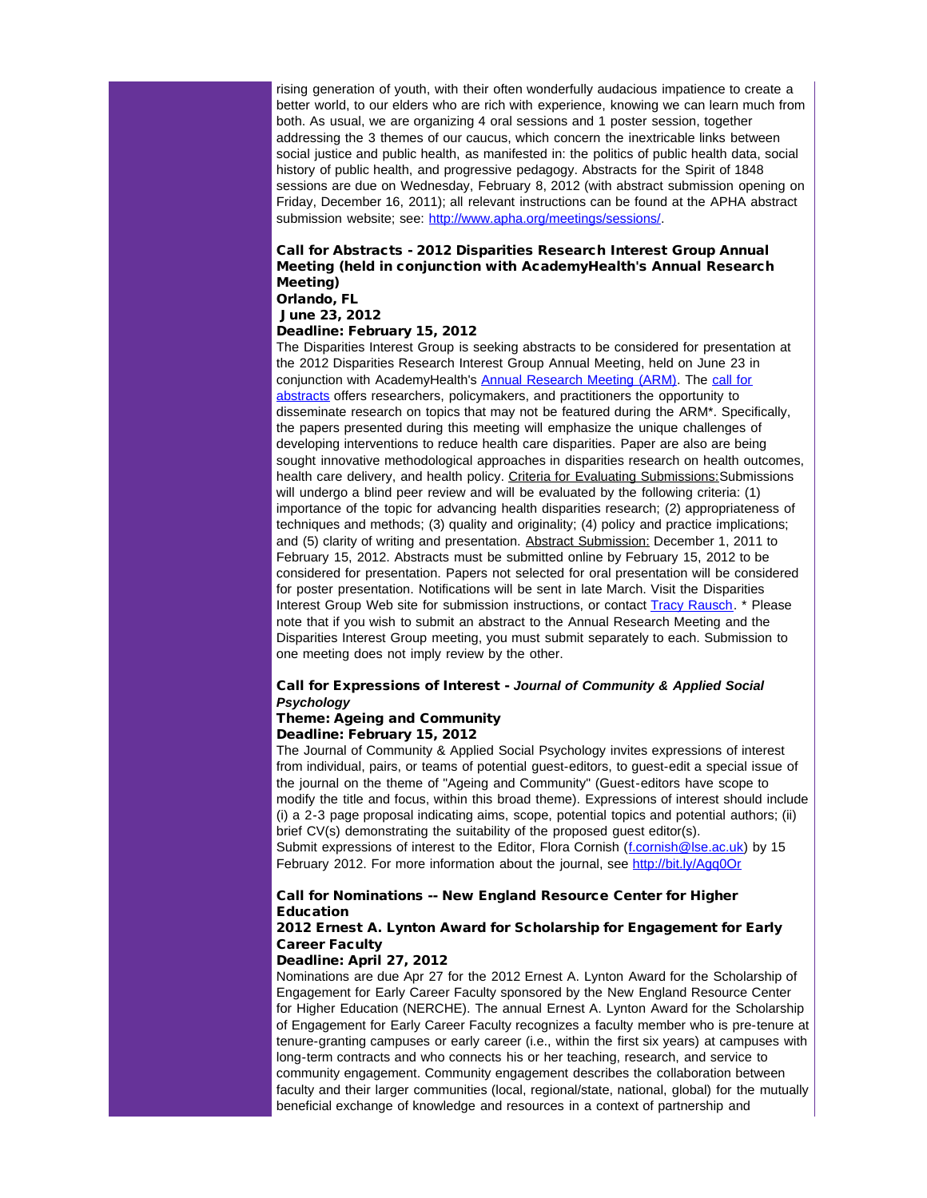rising generation of youth, with their often wonderfully audacious impatience to create a better world, to our elders who are rich with experience, knowing we can learn much from both. As usual, we are organizing 4 oral sessions and 1 poster session, together addressing the 3 themes of our caucus, which concern the inextricable links between social justice and public health, as manifested in: the politics of public health data, social history of public health, and progressive pedagogy. Abstracts for the Spirit of 1848 sessions are due on Wednesday, February 8, 2012 (with abstract submission opening on Friday, December 16, 2011); all relevant instructions can be found at the APHA abstract submission website; see: [http://www.apha.org/meetings/sessions/](http://r20.rs6.net/tn.jsp?llr=5gytkqcab&et=1109071822203&s=1&e=001Rs1z22Qa5_fKSUbiy6P-YtMNx7xzy7bnaZAGc5TasPaPQJ0KeeaY5U0qBJfdKiDN1i0BfzOTo7n8RUY5dwMShtrLC7Ib7p_nT14fV_kAX8QP64Bz8z25NaZqJnEph8j8aEobtI5amW4=).

## Call for Abstracts - 2012 Disparities Research Interest Group Annual Meeting (held in conjunction with AcademyHealth's Annual Research Meeting)

Orlando, FL

# June 23, 2012

## Deadline: February 15, 2012

The Disparities Interest Group is seeking abstracts to be considered for presentation at the 2012 Disparities Research Interest Group Annual Meeting, held on June 23 in conjunction with AcademyHealth's [Annual Research Meeting \(ARM\)](http://r20.rs6.net/tn.jsp?llr=5gytkqcab&et=1109071822203&s=1&e=001Rs1z22Qa5_f9hqvW6FCzDOzIQhXV14jcOCa9UXmRBi3wTg-U-BukvZyvi5m7YG5aIndRfyULQVi6eXpwtdyeuQU58uhNy0fjD0nf--1LIjlq6j08xQtgbnRd_H5cgVAbRyItNtBOVChSf5oszd759XjN7-tgJGvVyuM2_LOEvmjRCcbcYlif9YpzFZEAfiBU6EyrGitOXuvSb0KTkb3rYiAeTp6rTersSWGUlT4HEzTB9GgxpUhV2ud1f14C6zN-SPUG1g3wViw=). The [call for](http://r20.rs6.net/tn.jsp?llr=5gytkqcab&et=1109071822203&s=1&e=001Rs1z22Qa5_fh2UkgigQqu2Yc3n66QtrwNiqJYiSw3ors4d1j9uekwR8syZDqlO-7NmmPXg0qlrosY4P4E2Wa5TVR5zxmS6Yubny1SBj1Ide2HlPxdofOcKfTr6s9Ym9CvuSZxyLNmUP_1-y43LYVJOeJfEaOC-h0aTIuT6-aW_fbguujNdFn-BPKA6-8p1au0GE0BeGAnfIDp2ZuvgQhYw==) [abstracts](http://r20.rs6.net/tn.jsp?llr=5gytkqcab&et=1109071822203&s=1&e=001Rs1z22Qa5_fh2UkgigQqu2Yc3n66QtrwNiqJYiSw3ors4d1j9uekwR8syZDqlO-7NmmPXg0qlrosY4P4E2Wa5TVR5zxmS6Yubny1SBj1Ide2HlPxdofOcKfTr6s9Ym9CvuSZxyLNmUP_1-y43LYVJOeJfEaOC-h0aTIuT6-aW_fbguujNdFn-BPKA6-8p1au0GE0BeGAnfIDp2ZuvgQhYw==) offers researchers, policymakers, and practitioners the opportunity to disseminate research on topics that may not be featured during the ARM\*. Specifically, the papers presented during this meeting will emphasize the unique challenges of developing interventions to reduce health care disparities. Paper are also are being sought innovative methodological approaches in disparities research on health outcomes, health care delivery, and health policy. Criteria for Evaluating Submissions: Submissions will undergo a blind peer review and will be evaluated by the following criteria: (1) importance of the topic for advancing health disparities research; (2) appropriateness of techniques and methods; (3) quality and originality; (4) policy and practice implications; and (5) clarity of writing and presentation. Abstract Submission: December 1, 2011 to February 15, 2012. Abstracts must be submitted online by February 15, 2012 to be considered for presentation. Papers not selected for oral presentation will be considered for poster presentation. Notifications will be sent in late March. Visit the Disparities Interest Group Web site for submission instructions, or contact **[Tracy Rausch.](mailto:tracy.rausch@academyhealth.org?subject=DISP%20Call%20for%20Abstracts)** \* Please note that if you wish to submit an abstract to the Annual Research Meeting and the Disparities Interest Group meeting, you must submit separately to each. Submission to one meeting does not imply review by the other.

### Call for Expressions of Interest - *Journal of Community & Applied Social Psychology*

# Theme: Ageing and Community

# Deadline: February 15, 2012

The Journal of Community & Applied Social Psychology invites expressions of interest from individual, pairs, or teams of potential guest-editors, to guest-edit a special issue of the journal on the theme of "Ageing and Community" (Guest-editors have scope to modify the title and focus, within this broad theme). Expressions of interest should include (i) a 2-3 page proposal indicating aims, scope, potential topics and potential authors; (ii) brief CV(s) demonstrating the suitability of the proposed guest editor(s). Submit expressions of interest to the Editor, Flora Cornish ([f.cornish@lse.ac.uk](mailto:f.cornish@lse.ac.uk?)) by 15 February 2012. For more information about the journal, see [http://bit.ly/Agq0Or](http://r20.rs6.net/tn.jsp?llr=5gytkqcab&et=1109071822203&s=1&e=001Rs1z22Qa5_c7Lzqzqjof0C_N_DHDPFSFltX91kY_VAsbg9cEv1EFeIgTmhyVlDpON53Hgs3mcFsDsCfmSYYt79KbSGb_lpD_ecupuCmyLQc=)

### Call for Nominations -- New England Resource Center for Higher Education

### 2012 Ernest A. Lynton Award for Scholarship for Engagement for Early Career Faculty

### Deadline: April 27, 2012

Nominations are due Apr 27 for the 2012 Ernest A. Lynton Award for the Scholarship of Engagement for Early Career Faculty sponsored by the New England Resource Center for Higher Education (NERCHE). The annual Ernest A. Lynton Award for the Scholarship of Engagement for Early Career Faculty recognizes a faculty member who is pre-tenure at tenure-granting campuses or early career (i.e., within the first six years) at campuses with long-term contracts and who connects his or her teaching, research, and service to community engagement. Community engagement describes the collaboration between faculty and their larger communities (local, regional/state, national, global) for the mutually beneficial exchange of knowledge and resources in a context of partnership and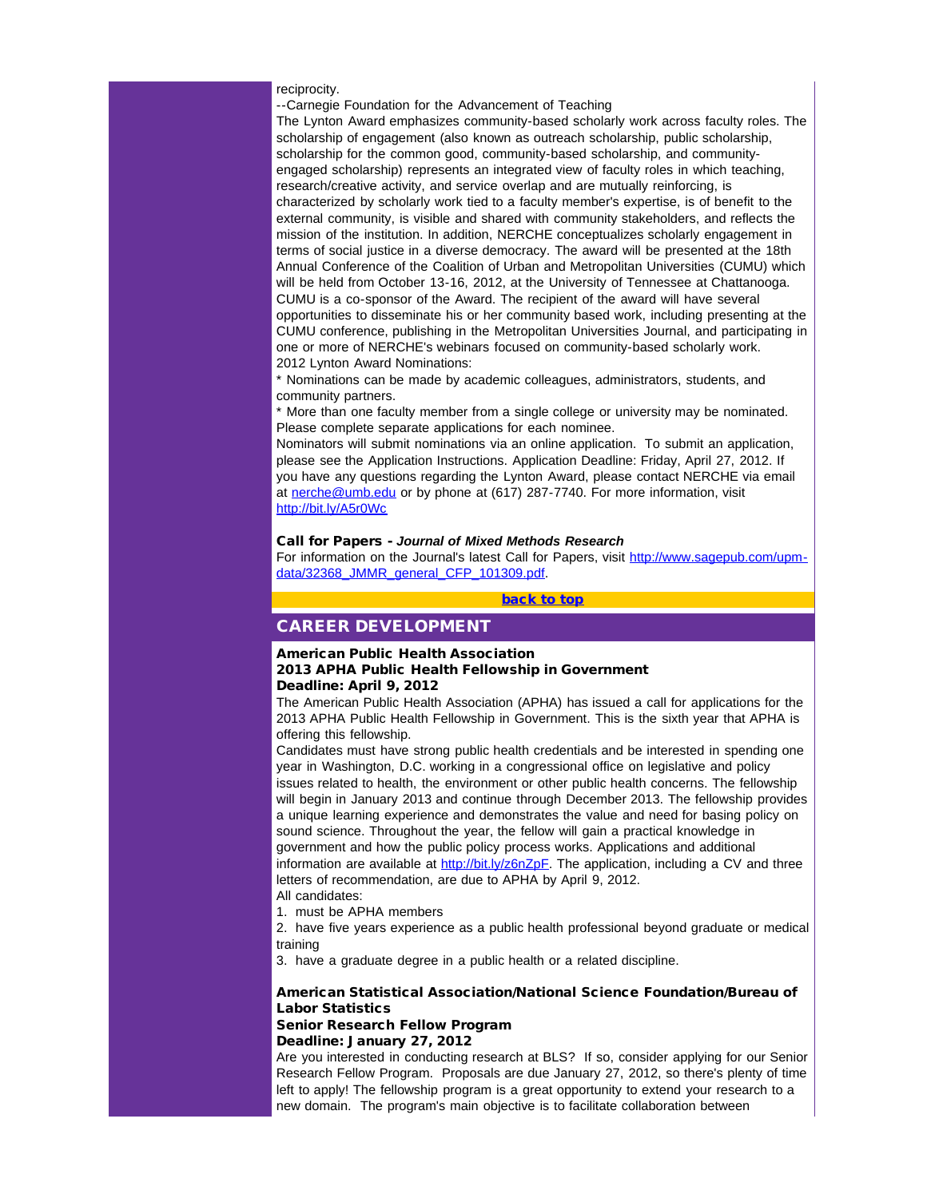### reciprocity.

--Carnegie Foundation for the Advancement of Teaching

The Lynton Award emphasizes community-based scholarly work across faculty roles. The scholarship of engagement (also known as outreach scholarship, public scholarship, scholarship for the common good, community-based scholarship, and communityengaged scholarship) represents an integrated view of faculty roles in which teaching, research/creative activity, and service overlap and are mutually reinforcing, is characterized by scholarly work tied to a faculty member's expertise, is of benefit to the external community, is visible and shared with community stakeholders, and reflects the mission of the institution. In addition, NERCHE conceptualizes scholarly engagement in terms of social justice in a diverse democracy. The award will be presented at the 18th Annual Conference of the Coalition of Urban and Metropolitan Universities (CUMU) which will be held from October 13-16, 2012, at the University of Tennessee at Chattanooga. CUMU is a co-sponsor of the Award. The recipient of the award will have several opportunities to disseminate his or her community based work, including presenting at the CUMU conference, publishing in the Metropolitan Universities Journal, and participating in one or more of NERCHE's webinars focused on community-based scholarly work. 2012 Lynton Award Nominations:

<span id="page-11-0"></span>\* Nominations can be made by academic colleagues, administrators, students, and community partners.

\* More than one faculty member from a single college or university may be nominated. Please complete separate applications for each nominee.

Nominators will submit nominations via an online application. To submit an application, please see the Application Instructions. Application Deadline: Friday, April 27, 2012. If you have any questions regarding the Lynton Award, please contact NERCHE via email at [nerche@umb.edu](mailto:nerche@umb.edu?) or by phone at (617) 287-7740. For more information, visit [http://bit.ly/A5r0Wc](http://r20.rs6.net/tn.jsp?llr=5gytkqcab&et=1109071822203&s=1&e=001Rs1z22Qa5_dxDaEfNHFuVnpzr71TfLuF_cju-6blti0BTqGf7gvl4Mduj8IuAwCs3U3YXSC5HZBGbP-dXzvhg-tCWbIAzQOgYVcNbNXm4Q0=)

#### Call for Papers - *Journal of Mixed Methods Research*

For information on the Journal's latest Call for Papers, visit [http://www.sagepub.com/upm](http://r20.rs6.net/tn.jsp?llr=5gytkqcab&et=1109071822203&s=1&e=001Rs1z22Qa5_cOhiwDIxw__tFhFQTnZjKr3q3eBJLJESaeaK0CmzZOA5AtKOTnZKqCANgXRaceNdx8rkexjmSxZFV21YLhArA3oZzx8-z1xBJsR5MhCbotklnBBq3edqwjNYtCivM_wAnXdBYQDer8ms9lNxPwtdcK5z2WDfti1h0=)[data/32368\\_JMMR\\_general\\_CFP\\_101309.pdf](http://r20.rs6.net/tn.jsp?llr=5gytkqcab&et=1109071822203&s=1&e=001Rs1z22Qa5_cOhiwDIxw__tFhFQTnZjKr3q3eBJLJESaeaK0CmzZOA5AtKOTnZKqCANgXRaceNdx8rkexjmSxZFV21YLhArA3oZzx8-z1xBJsR5MhCbotklnBBq3edqwjNYtCivM_wAnXdBYQDer8ms9lNxPwtdcK5z2WDfti1h0=).

[back to top](#page-0-4)

### CAREER DEVELOPMENT

### American Public Health Association 2013 APHA Public Health Fellowship in Government

### Deadline: April 9, 2012

The American Public Health Association (APHA) has issued a call for applications for the 2013 APHA Public Health Fellowship in Government. This is the sixth year that APHA is offering this fellowship.

Candidates must have strong public health credentials and be interested in spending one year in Washington, D.C. working in a congressional office on legislative and policy issues related to health, the environment or other public health concerns. The fellowship will begin in January 2013 and continue through December 2013. The fellowship provides a unique learning experience and demonstrates the value and need for basing policy on sound science. Throughout the year, the fellow will gain a practical knowledge in government and how the public policy process works. Applications and additional information are available at [http://bit.ly/z6nZpF](http://r20.rs6.net/tn.jsp?llr=5gytkqcab&et=1109071822203&s=1&e=001Rs1z22Qa5_dwSr4ldMOR8vzTRqYYEPZWAZZo3BCJctbbHYBsltmRi05AP0FknPx8dvPhHEWFGfskewWS8j13ro_5-2y1MOaXzHn7qYOAiyk=). The application, including a CV and three letters of recommendation, are due to APHA by April 9, 2012. All candidates:

1. must be APHA members

2. have five years experience as a public health professional beyond graduate or medical training

3. have a graduate degree in a public health or a related discipline.

### American Statistical Association/National Science Foundation/Bureau of Labor Statistics

#### Senior Research Fellow Program Deadline: January 27, 2012

Are you interested in conducting research at BLS? If so, consider applying for our Senior Research Fellow Program. Proposals are due January 27, 2012, so there's plenty of time left to apply! The fellowship program is a great opportunity to extend your research to a new domain. The program's main objective is to facilitate collaboration between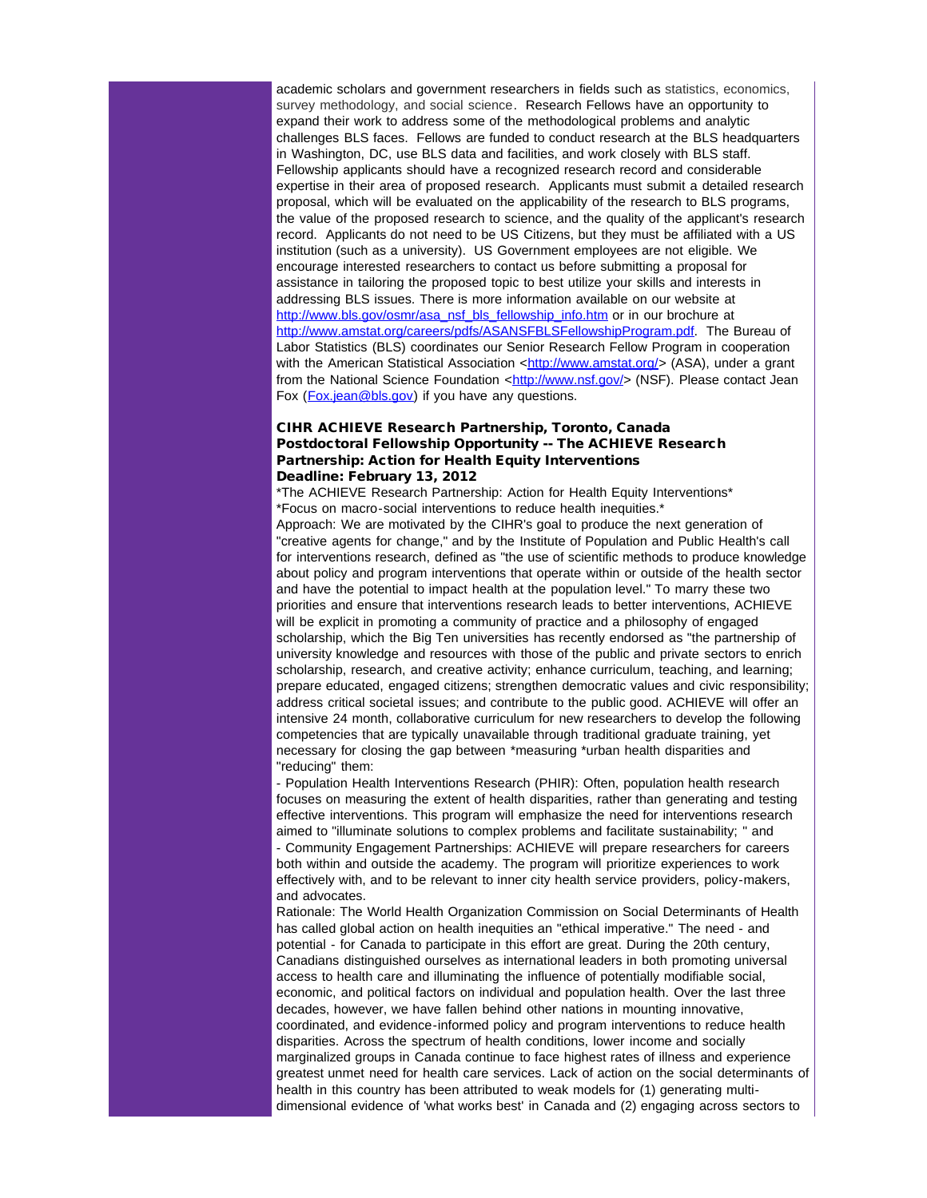academic scholars and government researchers in fields such as statistics, economics, survey methodology, and social science. Research Fellows have an opportunity to expand their work to address some of the methodological problems and analytic challenges BLS faces. Fellows are funded to conduct research at the BLS headquarters in Washington, DC, use BLS data and facilities, and work closely with BLS staff. Fellowship applicants should have a recognized research record and considerable expertise in their area of proposed research. Applicants must submit a detailed research proposal, which will be evaluated on the applicability of the research to BLS programs, the value of the proposed research to science, and the quality of the applicant's research record. Applicants do not need to be US Citizens, but they must be affiliated with a US institution (such as a university). US Government employees are not eligible. We encourage interested researchers to contact us before submitting a proposal for assistance in tailoring the proposed topic to best utilize your skills and interests in addressing BLS issues. There is more information available on our website at [http://www.bls.gov/osmr/asa\\_nsf\\_bls\\_fellowship\\_info.htm](http://r20.rs6.net/tn.jsp?llr=5gytkqcab&et=1109071822203&s=1&e=001Rs1z22Qa5_c_WnRAsIH_I8-SKW3YxzITZ3f1pmoHcINISEYFCIdWl9p9RfLIRbG29WuUrBA8XW0LMKFACRQ3yawPYEn0EFd_GenF7JJIYfvWXRgmn9tyoCC3gxnnN_IijNu3ObU0_YLgtBikfB-43zgaZoUFnMFv) or in our brochure at [http://www.amstat.org/careers/pdfs/ASANSFBLSFellowshipProgram.pdf.](http://r20.rs6.net/tn.jsp?llr=5gytkqcab&et=1109071822203&s=1&e=001Rs1z22Qa5_dxlITW0uvXRluBlnsHkHT-VM_V1v91wW2ppzfMMThf5F6c_WmbGb-IBbkLFZPyYj9RPwu--MBTlBsylV8MXluFEtblm489_sC0QsqCHy-44dSk9qssJsqALSxkbbyAJUAZXc4AR7MqeSbIUfzEjUBtodRMU2jPY2I=) The Bureau of Labor Statistics (BLS) coordinates our Senior Research Fellow Program in cooperation with the American Statistical Association  $\langle$ [http://www.amstat.org/>](http://r20.rs6.net/tn.jsp?llr=5gytkqcab&et=1109071822203&s=1&e=001Rs1z22Qa5_dpPdYDTGZB8PFOcxk-w5V7taQ4xOg8OEo1PDDWpW1V9IujZ1PMzodCeghprrBNyY-XznHdbu6UVmSi_BGTODbwOAtzaKb1xFU=) (ASA), under a grant from the National Science Foundation <[http://www.nsf.gov/](http://r20.rs6.net/tn.jsp?llr=5gytkqcab&et=1109071822203&s=1&e=001Rs1z22Qa5_eJ7zlVOY0cF7pyWRnBvOAbhzB-w34wxFATtulwiGRr0d3IGjlqLNttlVZcKGRF4-60tj3OOHru2_1W0FBWbEg6K8KrgR4k5Ko=)> (NSF). Please contact Jean Fox (*[Fox.jean@bls.gov](mailto:Fox.jean@bls.gov)*) if you have any questions.

### CIHR ACHIEVE Research Partnership, Toronto, Canada Postdoctoral Fellowship Opportunity -- The ACHIEVE Research Partnership: Action for Health Equity Interventions Deadline: February 13, 2012

\*The ACHIEVE Research Partnership: Action for Health Equity Interventions\* \*Focus on macro-social interventions to reduce health inequities.\*

Approach: We are motivated by the CIHR's goal to produce the next generation of "creative agents for change," and by the Institute of Population and Public Health's call for interventions research, defined as "the use of scientific methods to produce knowledge about policy and program interventions that operate within or outside of the health sector and have the potential to impact health at the population level." To marry these two priorities and ensure that interventions research leads to better interventions, ACHIEVE will be explicit in promoting a community of practice and a philosophy of engaged scholarship, which the Big Ten universities has recently endorsed as "the partnership of university knowledge and resources with those of the public and private sectors to enrich scholarship, research, and creative activity; enhance curriculum, teaching, and learning; prepare educated, engaged citizens; strengthen democratic values and civic responsibility; address critical societal issues; and contribute to the public good. ACHIEVE will offer an intensive 24 month, collaborative curriculum for new researchers to develop the following competencies that are typically unavailable through traditional graduate training, yet necessary for closing the gap between \*measuring \*urban health disparities and "reducing" them:

- Population Health Interventions Research (PHIR): Often, population health research focuses on measuring the extent of health disparities, rather than generating and testing effective interventions. This program will emphasize the need for interventions research aimed to "illuminate solutions to complex problems and facilitate sustainability; " and - Community Engagement Partnerships: ACHIEVE will prepare researchers for careers both within and outside the academy. The program will prioritize experiences to work effectively with, and to be relevant to inner city health service providers, policy-makers, and advocates.

Rationale: The World Health Organization Commission on Social Determinants of Health has called global action on health inequities an "ethical imperative." The need - and potential - for Canada to participate in this effort are great. During the 20th century, Canadians distinguished ourselves as international leaders in both promoting universal access to health care and illuminating the influence of potentially modifiable social, economic, and political factors on individual and population health. Over the last three decades, however, we have fallen behind other nations in mounting innovative, coordinated, and evidence-informed policy and program interventions to reduce health disparities. Across the spectrum of health conditions, lower income and socially marginalized groups in Canada continue to face highest rates of illness and experience greatest unmet need for health care services. Lack of action on the social determinants of health in this country has been attributed to weak models for (1) generating multidimensional evidence of 'what works best' in Canada and (2) engaging across sectors to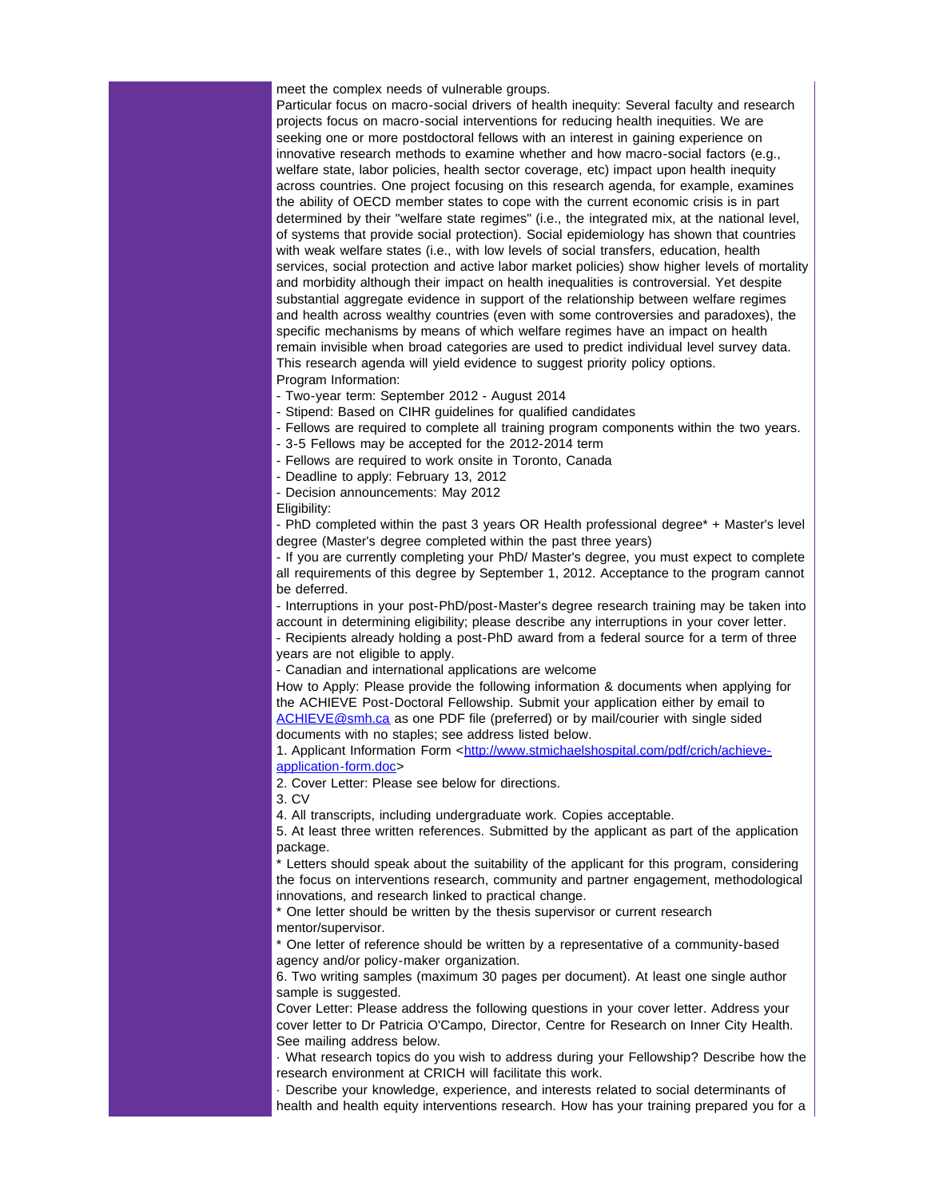meet the complex needs of vulnerable groups.

Particular focus on macro-social drivers of health inequity: Several faculty and research projects focus on macro-social interventions for reducing health inequities. We are seeking one or more postdoctoral fellows with an interest in gaining experience on innovative research methods to examine whether and how macro-social factors (e.g., welfare state, labor policies, health sector coverage, etc) impact upon health inequity across countries. One project focusing on this research agenda, for example, examines the ability of OECD member states to cope with the current economic crisis is in part determined by their "welfare state regimes" (i.e., the integrated mix, at the national level, of systems that provide social protection). Social epidemiology has shown that countries with weak welfare states (i.e., with low levels of social transfers, education, health services, social protection and active labor market policies) show higher levels of mortality and morbidity although their impact on health inequalities is controversial. Yet despite substantial aggregate evidence in support of the relationship between welfare regimes and health across wealthy countries (even with some controversies and paradoxes), the specific mechanisms by means of which welfare regimes have an impact on health remain invisible when broad categories are used to predict individual level survey data. This research agenda will yield evidence to suggest priority policy options. Program Information:

- Two-year term: September 2012 - August 2014

- Stipend: Based on CIHR guidelines for qualified candidates

- Fellows are required to complete all training program components within the two years.

- 3-5 Fellows may be accepted for the 2012-2014 term

- Fellows are required to work onsite in Toronto, Canada

- Deadline to apply: February 13, 2012

- Decision announcements: May 2012

Eligibility:

- PhD completed within the past 3 years OR Health professional degree\* + Master's level degree (Master's degree completed within the past three years)

- If you are currently completing your PhD/ Master's degree, you must expect to complete all requirements of this degree by September 1, 2012. Acceptance to the program cannot be deferred.

- Interruptions in your post-PhD/post-Master's degree research training may be taken into account in determining eligibility; please describe any interruptions in your cover letter.

- Recipients already holding a post-PhD award from a federal source for a term of three years are not eligible to apply.

- Canadian and international applications are welcome

How to Apply: Please provide the following information & documents when applying for the ACHIEVE Post-Doctoral Fellowship. Submit your application either by email to [ACHIEVE@smh.ca](mailto:ACHIEVE@smh.ca) as one PDF file (preferred) or by mail/courier with single sided documents with no staples; see address listed below.

1. Applicant Information Form <[http://www.stmichaelshospital.com/pdf/crich/achieve](http://r20.rs6.net/tn.jsp?llr=5gytkqcab&et=1109071822203&s=1&e=001Rs1z22Qa5_cju7Q7YYk-Pm-LNf8kkIhq9KdWkn88gsoqnakg2VtajRV6WmQ7aaw-tDUKSWVqLHoeUnJR8v6xQMipgwUw_j3kQPW1Ez1xjqljNJKD9jGUYEhRkazo01l_bPsn4t4Pl-MdErZvRh_QI-Xzkyv4nlBRd-QmYqaLrQ5IhvIucl2V6Q==)[application-form.doc](http://r20.rs6.net/tn.jsp?llr=5gytkqcab&et=1109071822203&s=1&e=001Rs1z22Qa5_cju7Q7YYk-Pm-LNf8kkIhq9KdWkn88gsoqnakg2VtajRV6WmQ7aaw-tDUKSWVqLHoeUnJR8v6xQMipgwUw_j3kQPW1Ez1xjqljNJKD9jGUYEhRkazo01l_bPsn4t4Pl-MdErZvRh_QI-Xzkyv4nlBRd-QmYqaLrQ5IhvIucl2V6Q==)>

2. Cover Letter: Please see below for directions.

3. CV

4. All transcripts, including undergraduate work. Copies acceptable.

5. At least three written references. Submitted by the applicant as part of the application package.

Letters should speak about the suitability of the applicant for this program, considering the focus on interventions research, community and partner engagement, methodological innovations, and research linked to practical change.

\* One letter should be written by the thesis supervisor or current research mentor/supervisor.

\* One letter of reference should be written by a representative of a community-based agency and/or policy-maker organization.

6. Two writing samples (maximum 30 pages per document). At least one single author sample is suggested.

Cover Letter: Please address the following questions in your cover letter. Address your cover letter to Dr Patricia O'Campo, Director, Centre for Research on Inner City Health. See mailing address below.

· What research topics do you wish to address during your Fellowship? Describe how the research environment at CRICH will facilitate this work.

· Describe your knowledge, experience, and interests related to social determinants of health and health equity interventions research. How has your training prepared you for a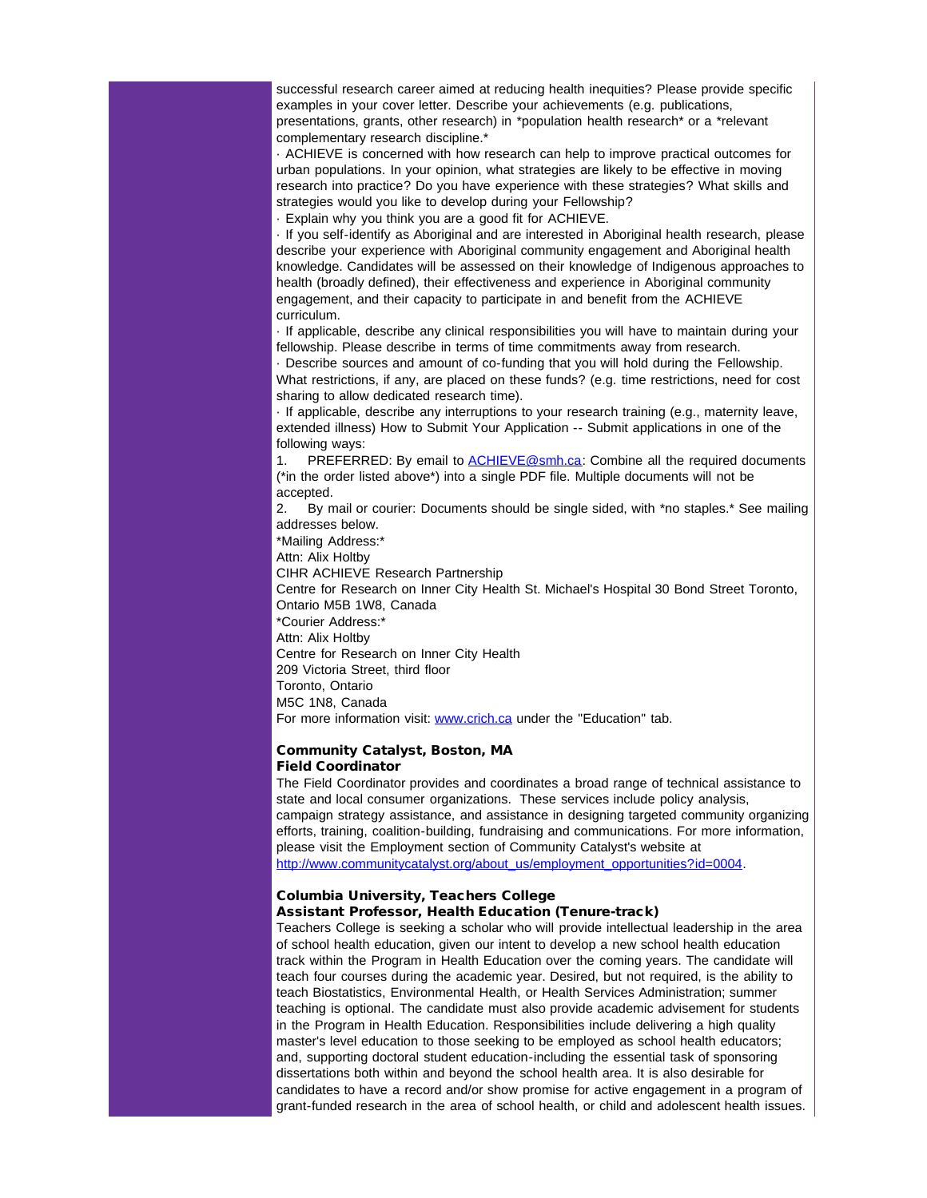successful research career aimed at reducing health inequities? Please provide specific examples in your cover letter. Describe your achievements (e.g. publications, presentations, grants, other research) in \*population health research\* or a \*relevant complementary research discipline.\*

· ACHIEVE is concerned with how research can help to improve practical outcomes for urban populations. In your opinion, what strategies are likely to be effective in moving research into practice? Do you have experience with these strategies? What skills and strategies would you like to develop during your Fellowship?

· Explain why you think you are a good fit for ACHIEVE.

· If you self-identify as Aboriginal and are interested in Aboriginal health research, please describe your experience with Aboriginal community engagement and Aboriginal health knowledge. Candidates will be assessed on their knowledge of Indigenous approaches to health (broadly defined), their effectiveness and experience in Aboriginal community engagement, and their capacity to participate in and benefit from the ACHIEVE curriculum.

· If applicable, describe any clinical responsibilities you will have to maintain during your fellowship. Please describe in terms of time commitments away from research.

· Describe sources and amount of co-funding that you will hold during the Fellowship. What restrictions, if any, are placed on these funds? (e.g. time restrictions, need for cost sharing to allow dedicated research time).

· If applicable, describe any interruptions to your research training (e.g., maternity leave, extended illness) How to Submit Your Application -- Submit applications in one of the following ways:

1. PREFERRED: By email to [ACHIEVE@smh.ca](mailto:ACHIEVE@smh.ca): Combine all the required documents (\*in the order listed above\*) into a single PDF file. Multiple documents will not be accepted.

2. By mail or courier: Documents should be single sided, with \*no staples.\* See mailing addresses below.

\*Mailing Address:\*

Attn: Alix Holtby

CIHR ACHIEVE Research Partnership

Centre for Research on Inner City Health St. Michael's Hospital 30 Bond Street Toronto, Ontario M5B 1W8, Canada

\*Courier Address:\*

Attn: Alix Holtby

Centre for Research on Inner City Health

209 Victoria Street, third floor

Toronto, Ontario

M5C 1N8, Canada

For more information visit: [www.crich.ca](http://r20.rs6.net/tn.jsp?llr=5gytkqcab&et=1109071822203&s=1&e=001Rs1z22Qa5_dNq-wWd4q5vSQPXtTiPXhEab9nLMfC2EC_QHplzcpiHuWuVveXeU-1rku5O7fuvG-ofVoGNGtfyHuEE8p_rHfdOJiqlREcUKk=) under the "Education" tab.

### Community Catalyst, Boston, MA Field Coordinator

The Field Coordinator provides and coordinates a broad range of technical assistance to state and local consumer organizations. These services include policy analysis, campaign strategy assistance, and assistance in designing targeted community organizing efforts, training, coalition-building, fundraising and communications. For more information, please visit the Employment section of Community Catalyst's website at [http://www.communitycatalyst.org/about\\_us/employment\\_opportunities?id=0004.](http://r20.rs6.net/tn.jsp?llr=5gytkqcab&et=1109071822203&s=1&e=001Rs1z22Qa5_f7tk1S7XPNEV2Y38VUCACHJdyuRxblUbprrk6mFyrpF1qB5ed6tGjOXbo-QBqjQ-9Ll3bMPzBT7GoH7TpFKracQlqNsrtT4vqO-KYd9-EQBLrnXUlX2I7fUkIkeT7Q4o4FcgnzCoV4xqc_5kicm8_rJInaGf7gd0yCP7Q9AVV16A==)

## Columbia University, Teachers College Assistant Professor, Health Education (Tenure-track)

Teachers College is seeking a scholar who will provide intellectual leadership in the area of school health education, given our intent to develop a new school health education track within the Program in Health Education over the coming years. The candidate will teach four courses during the academic year. Desired, but not required, is the ability to teach Biostatistics, Environmental Health, or Health Services Administration; summer teaching is optional. The candidate must also provide academic advisement for students in the Program in Health Education. Responsibilities include delivering a high quality master's level education to those seeking to be employed as school health educators; and, supporting doctoral student education-including the essential task of sponsoring dissertations both within and beyond the school health area. It is also desirable for candidates to have a record and/or show promise for active engagement in a program of grant-funded research in the area of school health, or child and adolescent health issues.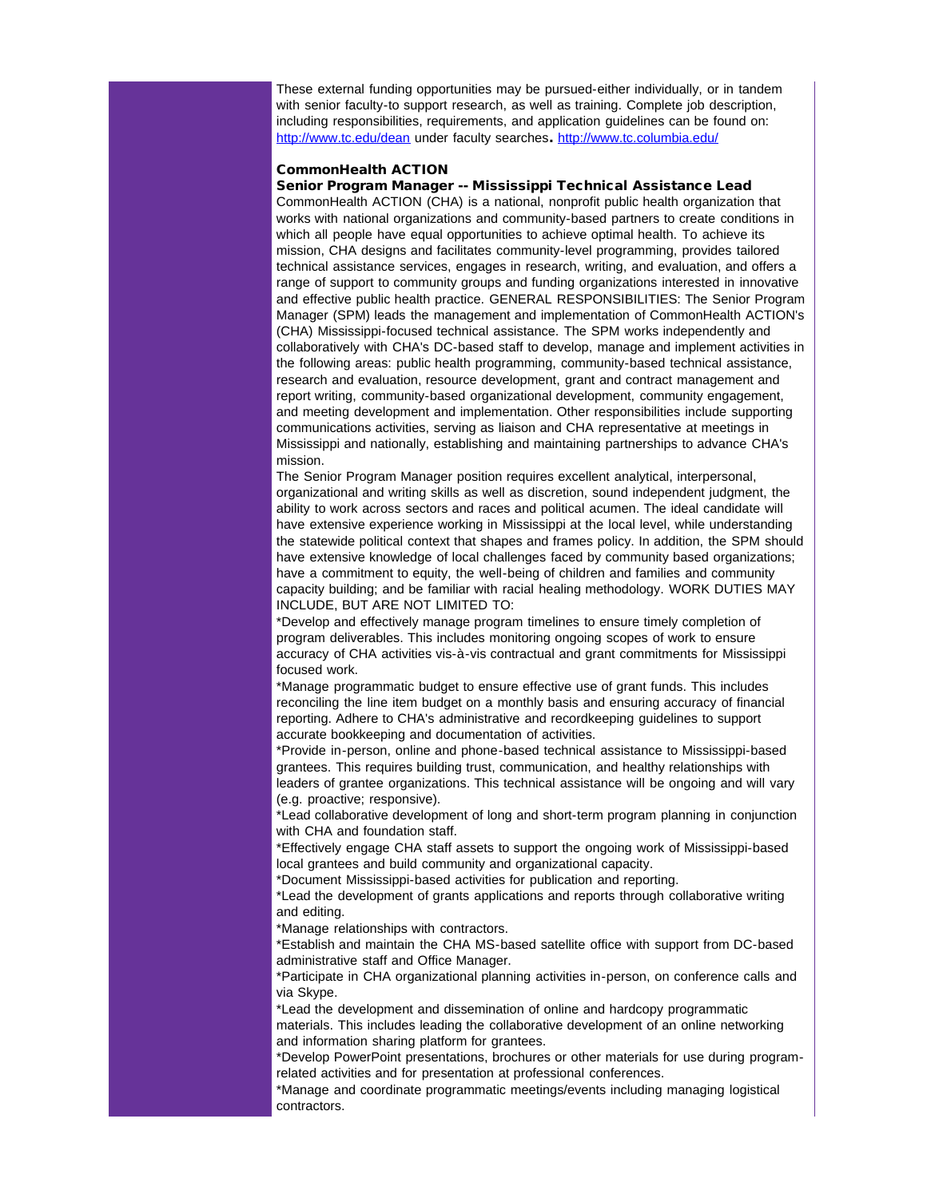These external funding opportunities may be pursued-either individually, or in tandem with senior faculty-to support research, as well as training. Complete job description, including responsibilities, requirements, and application guidelines can be found on: [http://www.tc.edu/dean](http://r20.rs6.net/tn.jsp?llr=5gytkqcab&et=1109071822203&s=1&e=001Rs1z22Qa5_dHvJ9oxC9IxuPSsv3xJZla84bNGxodb9-2jglU_Z4-25wlOUH0JAuhpGcX7jigpUrSOIwD708JTyD93Nvx0jxuUIog_h0iPC8=) under faculty searches. [http://www.tc.columbia.edu/](http://r20.rs6.net/tn.jsp?llr=5gytkqcab&et=1109071822203&s=1&e=001Rs1z22Qa5_fhE1K7xA_djyhG1GoEGT6SJsvFAKoGHOdGVps92xNePRrJgNAew5jptoHPl2Ar70zw4iuLiOpL8PddyLqzCH2F-k7zwSd9sgxPQvnS85N_Og==)

#### CommonHealth ACTION

Senior Program Manager -- Mississippi Technical Assistance Lead CommonHealth ACTION (CHA) is a national, nonprofit public health organization that works with national organizations and community-based partners to create conditions in which all people have equal opportunities to achieve optimal health. To achieve its mission, CHA designs and facilitates community-level programming, provides tailored technical assistance services, engages in research, writing, and evaluation, and offers a range of support to community groups and funding organizations interested in innovative and effective public health practice. GENERAL RESPONSIBILITIES: The Senior Program Manager (SPM) leads the management and implementation of CommonHealth ACTION's (CHA) Mississippi-focused technical assistance. The SPM works independently and collaboratively with CHA's DC-based staff to develop, manage and implement activities in the following areas: public health programming, community-based technical assistance, research and evaluation, resource development, grant and contract management and report writing, community-based organizational development, community engagement, and meeting development and implementation. Other responsibilities include supporting communications activities, serving as liaison and CHA representative at meetings in Mississippi and nationally, establishing and maintaining partnerships to advance CHA's mission.

The Senior Program Manager position requires excellent analytical, interpersonal, organizational and writing skills as well as discretion, sound independent judgment, the ability to work across sectors and races and political acumen. The ideal candidate will have extensive experience working in Mississippi at the local level, while understanding the statewide political context that shapes and frames policy. In addition, the SPM should have extensive knowledge of local challenges faced by community based organizations; have a commitment to equity, the well-being of children and families and community capacity building; and be familiar with racial healing methodology. WORK DUTIES MAY INCLUDE, BUT ARE NOT LIMITED TO:

\*Develop and effectively manage program timelines to ensure timely completion of program deliverables. This includes monitoring ongoing scopes of work to ensure accuracy of CHA activities vis-à-vis contractual and grant commitments for Mississippi focused work.

\*Manage programmatic budget to ensure effective use of grant funds. This includes reconciling the line item budget on a monthly basis and ensuring accuracy of financial reporting. Adhere to CHA's administrative and recordkeeping guidelines to support accurate bookkeeping and documentation of activities.

\*Provide in-person, online and phone-based technical assistance to Mississippi-based grantees. This requires building trust, communication, and healthy relationships with leaders of grantee organizations. This technical assistance will be ongoing and will vary (e.g. proactive; responsive).

\*Lead collaborative development of long and short-term program planning in conjunction with CHA and foundation staff.

\*Effectively engage CHA staff assets to support the ongoing work of Mississippi-based local grantees and build community and organizational capacity.

\*Document Mississippi-based activities for publication and reporting.

\*Lead the development of grants applications and reports through collaborative writing and editing.

\*Manage relationships with contractors.

\*Establish and maintain the CHA MS-based satellite office with support from DC-based administrative staff and Office Manager.

\*Participate in CHA organizational planning activities in-person, on conference calls and via Skype.

\*Lead the development and dissemination of online and hardcopy programmatic materials. This includes leading the collaborative development of an online networking and information sharing platform for grantees.

\*Develop PowerPoint presentations, brochures or other materials for use during programrelated activities and for presentation at professional conferences.

\*Manage and coordinate programmatic meetings/events including managing logistical contractors.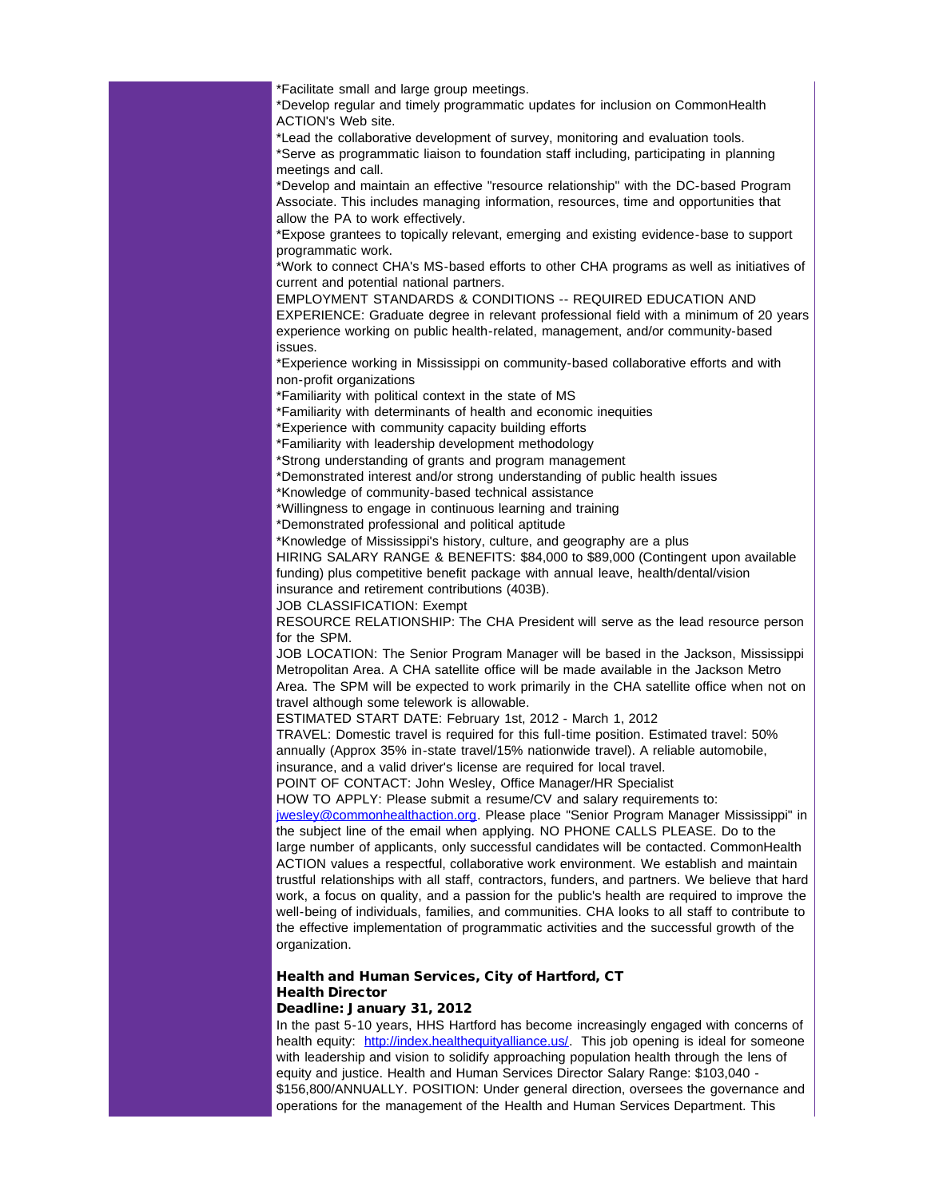\*Facilitate small and large group meetings.

\*Develop regular and timely programmatic updates for inclusion on CommonHealth ACTION's Web site.

\*Lead the collaborative development of survey, monitoring and evaluation tools. \*Serve as programmatic liaison to foundation staff including, participating in planning meetings and call.

\*Develop and maintain an effective "resource relationship" with the DC-based Program Associate. This includes managing information, resources, time and opportunities that allow the PA to work effectively.

\*Expose grantees to topically relevant, emerging and existing evidence-base to support programmatic work.

\*Work to connect CHA's MS-based efforts to other CHA programs as well as initiatives of current and potential national partners.

EMPLOYMENT STANDARDS & CONDITIONS -- REQUIRED EDUCATION AND EXPERIENCE: Graduate degree in relevant professional field with a minimum of 20 years experience working on public health-related, management, and/or community-based issues.

\*Experience working in Mississippi on community-based collaborative efforts and with non-profit organizations

\*Familiarity with political context in the state of MS

\*Familiarity with determinants of health and economic inequities

\*Experience with community capacity building efforts

\*Familiarity with leadership development methodology

\*Strong understanding of grants and program management

\*Demonstrated interest and/or strong understanding of public health issues

\*Knowledge of community-based technical assistance

\*Willingness to engage in continuous learning and training

\*Demonstrated professional and political aptitude

\*Knowledge of Mississippi's history, culture, and geography are a plus

HIRING SALARY RANGE & BENEFITS: \$84,000 to \$89,000 (Contingent upon available funding) plus competitive benefit package with annual leave, health/dental/vision

insurance and retirement contributions (403B).

JOB CLASSIFICATION: Exempt

RESOURCE RELATIONSHIP: The CHA President will serve as the lead resource person for the SPM.

JOB LOCATION: The Senior Program Manager will be based in the Jackson, Mississippi Metropolitan Area. A CHA satellite office will be made available in the Jackson Metro Area. The SPM will be expected to work primarily in the CHA satellite office when not on travel although some telework is allowable.

ESTIMATED START DATE: February 1st, 2012 - March 1, 2012

TRAVEL: Domestic travel is required for this full-time position. Estimated travel: 50% annually (Approx 35% in-state travel/15% nationwide travel). A reliable automobile, insurance, and a valid driver's license are required for local travel.

POINT OF CONTACT: John Wesley, Office Manager/HR Specialist

HOW TO APPLY: Please submit a resume/CV and salary requirements to:

[jwesley@commonhealthaction.org.](mailto:jwesley@commonhealthaction.org) Please place "Senior Program Manager Mississippi" in the subject line of the email when applying. NO PHONE CALLS PLEASE. Do to the large number of applicants, only successful candidates will be contacted. CommonHealth ACTION values a respectful, collaborative work environment. We establish and maintain trustful relationships with all staff, contractors, funders, and partners. We believe that hard work, a focus on quality, and a passion for the public's health are required to improve the well-being of individuals, families, and communities. CHA looks to all staff to contribute to the effective implementation of programmatic activities and the successful growth of the organization.

# Health and Human Services, City of Hartford, CT Health Director

## Deadline: January 31, 2012

In the past 5-10 years, HHS Hartford has become increasingly engaged with concerns of health equity: [http://index.healthequityalliance.us/](http://r20.rs6.net/tn.jsp?llr=5gytkqcab&et=1109071822203&s=1&e=001Rs1z22Qa5_dNcBb281wYoXtDJM33k2syMfBMrnEDS-9MhXWhawTHR6k6CUodPoiOfnYOgsFe_Q_x7KZ1OW1lv5eCTRuJYxaOfdnizGhkQimGELpeZ4uYzhEi1ygtYKx1). This job opening is ideal for someone with leadership and vision to solidify approaching population health through the lens of equity and justice. Health and Human Services Director Salary Range: \$103,040 - \$156,800/ANNUALLY. POSITION: Under general direction, oversees the governance and operations for the management of the Health and Human Services Department. This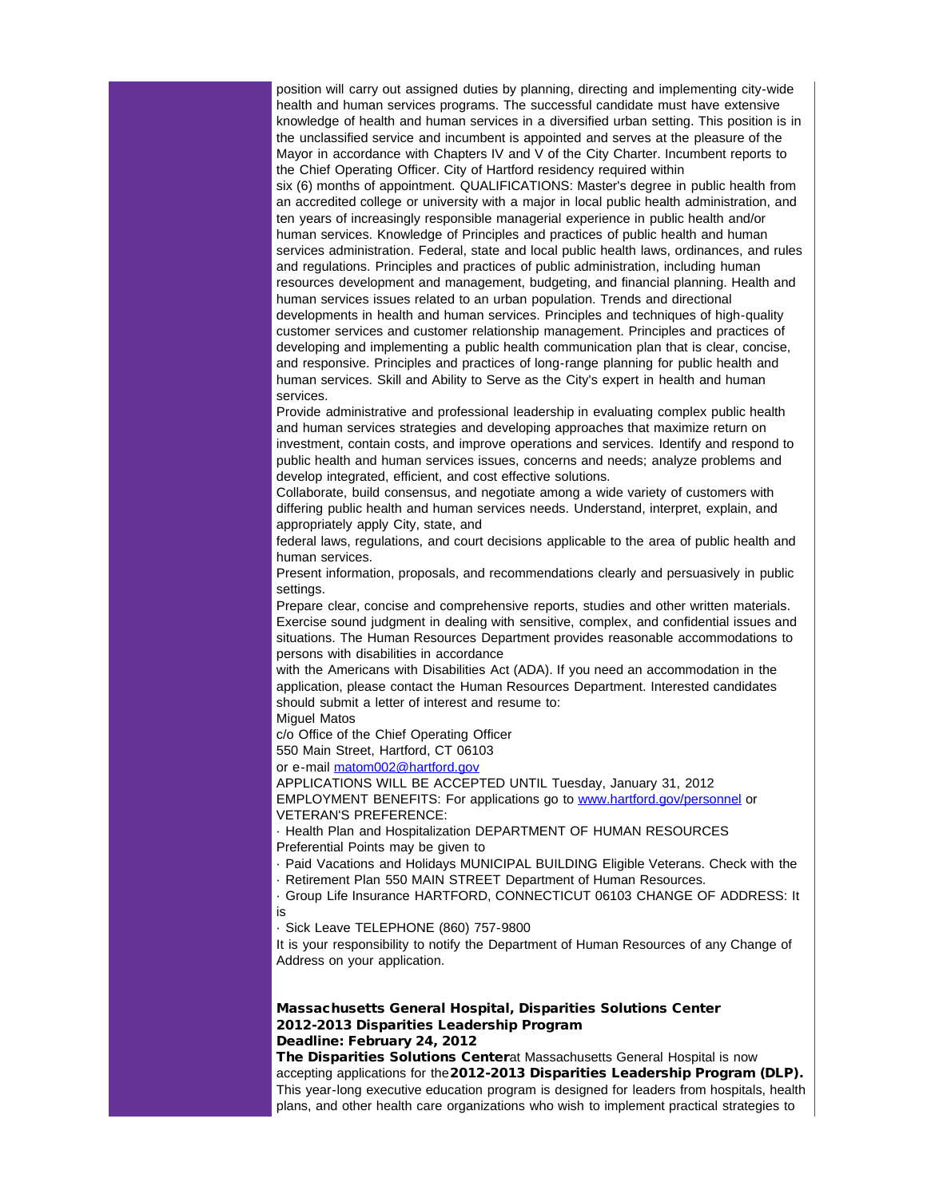position will carry out assigned duties by planning, directing and implementing city-wide health and human services programs. The successful candidate must have extensive knowledge of health and human services in a diversified urban setting. This position is in the unclassified service and incumbent is appointed and serves at the pleasure of the Mayor in accordance with Chapters IV and V of the City Charter. Incumbent reports to the Chief Operating Officer. City of Hartford residency required within six (6) months of appointment. QUALIFICATIONS: Master's degree in public health from an accredited college or university with a major in local public health administration, and ten years of increasingly responsible managerial experience in public health and/or human services. Knowledge of Principles and practices of public health and human services administration. Federal, state and local public health laws, ordinances, and rules and regulations. Principles and practices of public administration, including human resources development and management, budgeting, and financial planning. Health and human services issues related to an urban population. Trends and directional developments in health and human services. Principles and techniques of high-quality customer services and customer relationship management. Principles and practices of developing and implementing a public health communication plan that is clear, concise, and responsive. Principles and practices of long-range planning for public health and human services. Skill and Ability to Serve as the City's expert in health and human services.

Provide administrative and professional leadership in evaluating complex public health and human services strategies and developing approaches that maximize return on investment, contain costs, and improve operations and services. Identify and respond to public health and human services issues, concerns and needs; analyze problems and develop integrated, efficient, and cost effective solutions.

Collaborate, build consensus, and negotiate among a wide variety of customers with differing public health and human services needs. Understand, interpret, explain, and appropriately apply City, state, and

federal laws, regulations, and court decisions applicable to the area of public health and human services.

Present information, proposals, and recommendations clearly and persuasively in public settings.

Prepare clear, concise and comprehensive reports, studies and other written materials. Exercise sound judgment in dealing with sensitive, complex, and confidential issues and situations. The Human Resources Department provides reasonable accommodations to persons with disabilities in accordance

with the Americans with Disabilities Act (ADA). If you need an accommodation in the application, please contact the Human Resources Department. Interested candidates should submit a letter of interest and resume to:

Miguel Matos

c/o Office of the Chief Operating Officer

550 Main Street, Hartford, CT 06103

or e-mail [matom002@hartford.gov](mailto:matom002@hartford.gov)

APPLICATIONS WILL BE ACCEPTED UNTIL Tuesday, January 31, 2012 EMPLOYMENT BENEFITS: For applications go to [www.hartford.gov/personnel](http://r20.rs6.net/tn.jsp?llr=5gytkqcab&et=1109071822203&s=1&e=001Rs1z22Qa5_fWFgCSSONVL4rrMqiMZb2iDhpbidVWxxAE0guARkvyPXqnNDi04UJ3d74MXwPNmoUXu9H6J2wgMuHNvFVRJtBdmi3K2KVUQEh0NJS0A0k8tIadv5ikpDOd) or

VETERAN'S PREFERENCE:

· Health Plan and Hospitalization DEPARTMENT OF HUMAN RESOURCES Preferential Points may be given to

· Paid Vacations and Holidays MUNICIPAL BUILDING Eligible Veterans. Check with the

· Retirement Plan 550 MAIN STREET Department of Human Resources.

· Group Life Insurance HARTFORD, CONNECTICUT 06103 CHANGE OF ADDRESS: It is

· Sick Leave TELEPHONE (860) 757-9800

It is your responsibility to notify the Department of Human Resources of any Change of Address on your application.

### Massachusetts General Hospital, Disparities Solutions Center 2012-2013 Disparities Leadership Program Deadline: February 24, 2012

The Disparities Solutions Centerat Massachusetts General Hospital is now accepting applications for the2012-2013 Disparities Leadership Program (DLP). This year-long executive education program is designed for leaders from hospitals, health plans, and other health care organizations who wish to implement practical strategies to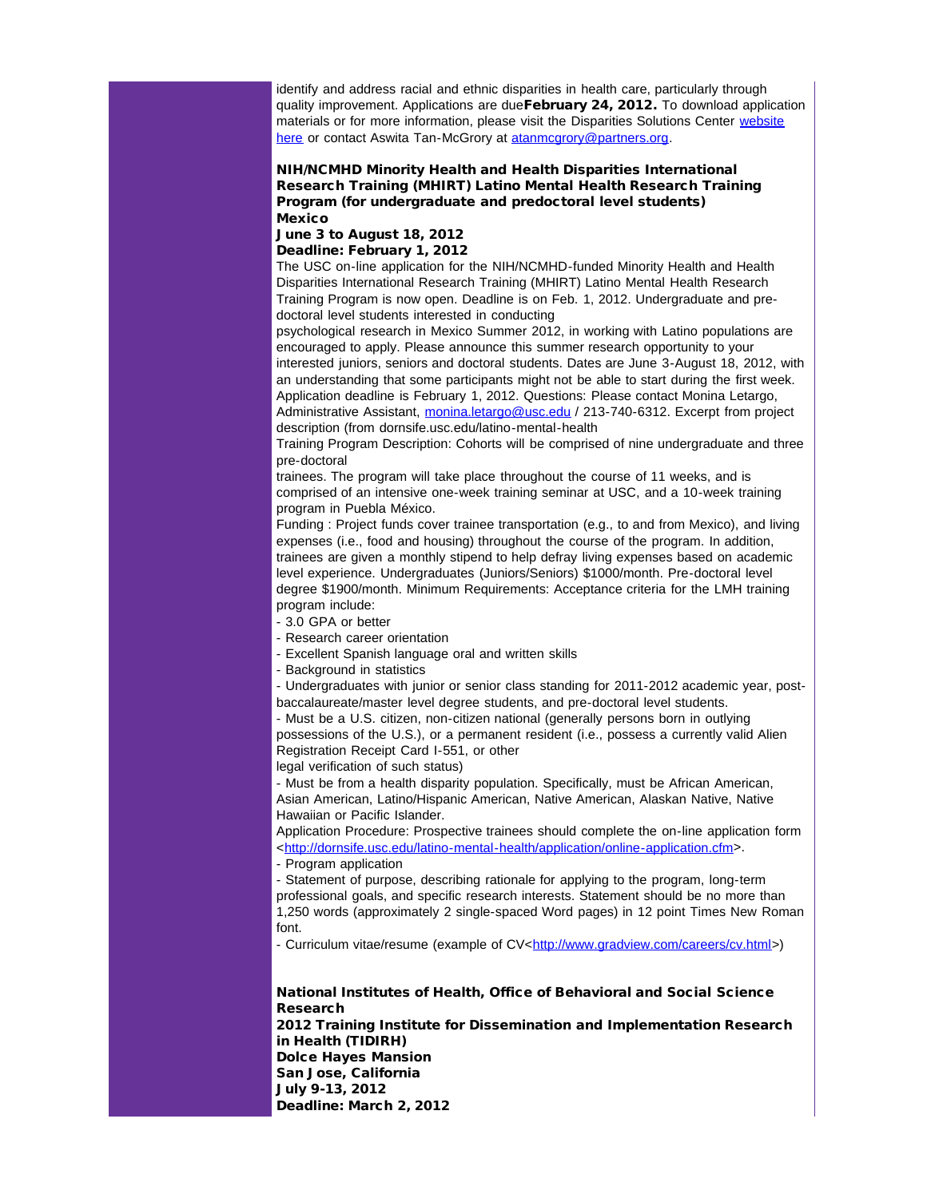identify and address racial and ethnic disparities in health care, particularly through quality improvement. Applications are dueFebruary 24, 2012. To download application materials or for more information, please visit the Disparities Solutions Center [website](http://r20.rs6.net/tn.jsp?llr=5gytkqcab&et=1109071822203&s=1&e=001Rs1z22Qa5_dLEnZ6pKxx7p9QoVs6CZYBMcLZ_6NRqDJGBr5hS9pb1rheLfv4rUgv0n6MbRevT3-6-UcvRExRB3Qy41pCSX9S-l90GhRA3qmGdRRctt2Qh1xZ5P9DJgLzYJctemlrG6ZrIDnAS4UMr98SnzhHFZ9f6o97MzCXUmM=) [here](http://r20.rs6.net/tn.jsp?llr=5gytkqcab&et=1109071822203&s=1&e=001Rs1z22Qa5_dLEnZ6pKxx7p9QoVs6CZYBMcLZ_6NRqDJGBr5hS9pb1rheLfv4rUgv0n6MbRevT3-6-UcvRExRB3Qy41pCSX9S-l90GhRA3qmGdRRctt2Qh1xZ5P9DJgLzYJctemlrG6ZrIDnAS4UMr98SnzhHFZ9f6o97MzCXUmM=) or contact Aswita Tan-McGrory at [atanmcgrory@partners.org](mailto:atanmcgrory@partners.org).

### NIH/NCMHD Minority Health and Health Disparities International Research Training (MHIRT) Latino Mental Health Research Training Program (for undergraduate and predoctoral level students) Mexico

### June 3 to August 18, 2012

#### Deadline: February 1, 2012

The USC on-line application for the NIH/NCMHD-funded Minority Health and Health Disparities International Research Training (MHIRT) Latino Mental Health Research Training Program is now open. Deadline is on Feb. 1, 2012. Undergraduate and predoctoral level students interested in conducting

psychological research in Mexico Summer 2012, in working with Latino populations are encouraged to apply. Please announce this summer research opportunity to your interested juniors, seniors and doctoral students. Dates are June 3-August 18, 2012, with an understanding that some participants might not be able to start during the first week. Application deadline is February 1, 2012. Questions: Please contact Monina Letargo, Administrative Assistant, [monina.letargo@usc.edu](mailto:monina.letargo@usc.edu?) / 213-740-6312. Excerpt from project description (from dornsife.usc.edu/latino-mental-health

Training Program Description: Cohorts will be comprised of nine undergraduate and three pre-doctoral

trainees. The program will take place throughout the course of 11 weeks, and is comprised of an intensive one-week training seminar at USC, and a 10-week training program in Puebla México.

Funding : Project funds cover trainee transportation (e.g., to and from Mexico), and living expenses (i.e., food and housing) throughout the course of the program. In addition, trainees are given a monthly stipend to help defray living expenses based on academic level experience. Undergraduates (Juniors/Seniors) \$1000/month. Pre-doctoral level degree \$1900/month. Minimum Requirements: Acceptance criteria for the LMH training program include:

- 3.0 GPA or better

- Research career orientation

- Excellent Spanish language oral and written skills

- Background in statistics

- Undergraduates with junior or senior class standing for 2011-2012 academic year, postbaccalaureate/master level degree students, and pre-doctoral level students.

- Must be a U.S. citizen, non-citizen national (generally persons born in outlying possessions of the U.S.), or a permanent resident (i.e., possess a currently valid Alien Registration Receipt Card I-551, or other legal verification of such status)

- Must be from a health disparity population. Specifically, must be African American, Asian American, Latino/Hispanic American, Native American, Alaskan Native, Native Hawaiian or Pacific Islander.

Application Procedure: Prospective trainees should complete the on-line application form <[http://dornsife.usc.edu/latino-mental-health/application/online-application.cfm>](http://r20.rs6.net/tn.jsp?llr=5gytkqcab&et=1109071822203&s=1&e=001Rs1z22Qa5_dObWEURfch8GlcIb5jULnvv7x1t49xgyX52SJ_pX9SFw6E-Pv5uqeWWLjpLQhF63FzaKeTNqOwi8GvF3PTLcLfUPwD_yRWv3PMG_EcpVsNC0Js1j-3yArCxUppAS667XvHAA7BvBi44oq0ig33G2KfZMPrYsw-eQLbs4V6ygf5T8swJ8PS3br3).

- Program application

- Statement of purpose, describing rationale for applying to the program, long-term professional goals, and specific research interests. Statement should be no more than 1,250 words (approximately 2 single-spaced Word pages) in 12 point Times New Roman font.

- Curriculum vitae/resume (example of CV<[http://www.gradview.com/careers/cv.html](http://r20.rs6.net/tn.jsp?llr=5gytkqcab&et=1109071822203&s=1&e=001Rs1z22Qa5_cu4cdV3Pc-n1nFpOSudC4502CupY1NCshQh-8smBbswHkHZEcIXZMIGcn0vtHEYXtNwThToTlOSkVkNAnmEM_YZKuIi8jAwHhXUIZ7Z5am0YRjMGI19H5Sl8kE9Z4TqBU=)>)

### National Institutes of Health, Office of Behavioral and Social Science Research

2012 Training Institute for Dissemination and Implementation Research in Health (TIDIRH)

Dolce Hayes Mansion San Jose, California July 9-13, 2012 Deadline: March 2, 2012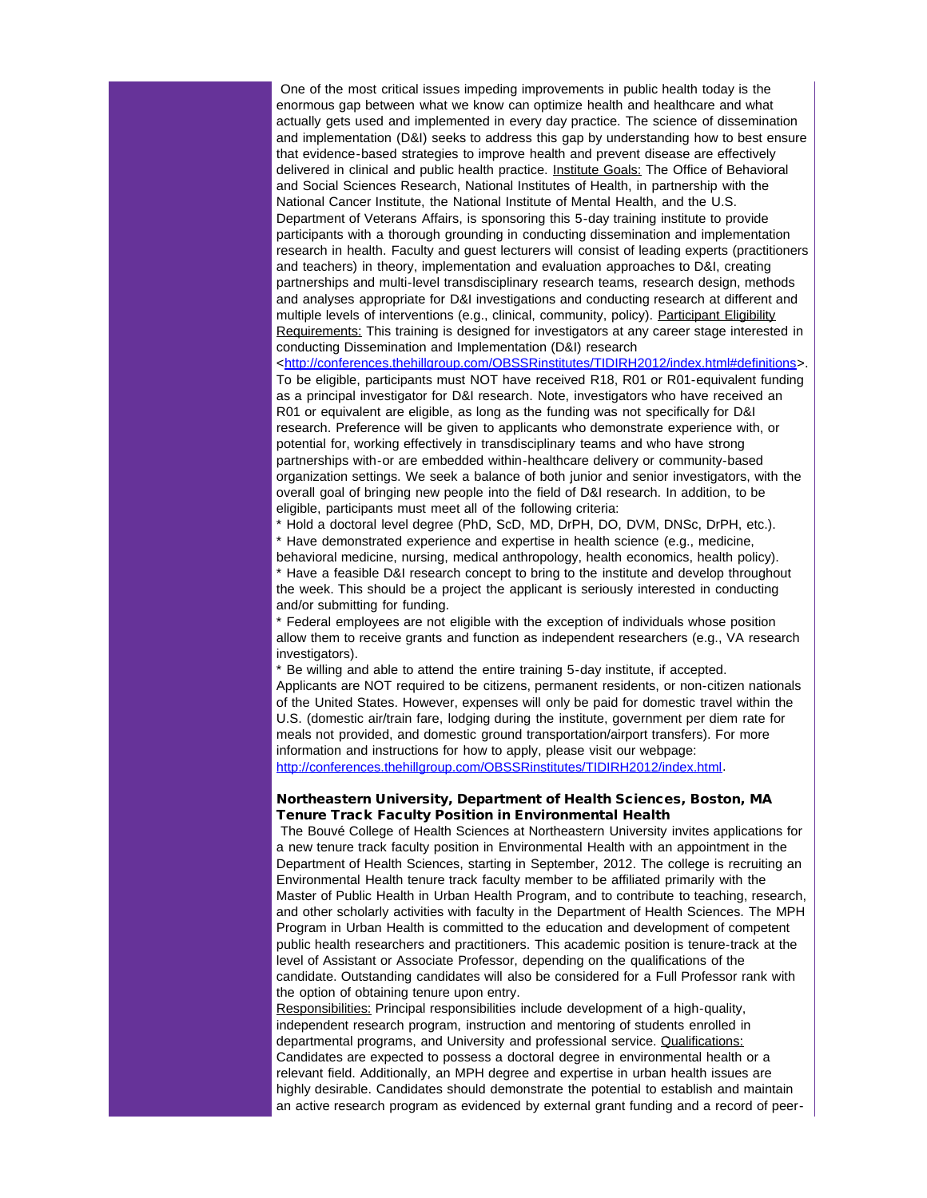One of the most critical issues impeding improvements in public health today is the enormous gap between what we know can optimize health and healthcare and what actually gets used and implemented in every day practice. The science of dissemination and implementation (D&I) seeks to address this gap by understanding how to best ensure that evidence-based strategies to improve health and prevent disease are effectively delivered in clinical and public health practice. Institute Goals: The Office of Behavioral and Social Sciences Research, National Institutes of Health, in partnership with the National Cancer Institute, the National Institute of Mental Health, and the U.S. Department of Veterans Affairs, is sponsoring this 5-day training institute to provide participants with a thorough grounding in conducting dissemination and implementation research in health. Faculty and guest lecturers will consist of leading experts (practitioners and teachers) in theory, implementation and evaluation approaches to D&I, creating partnerships and multi-level transdisciplinary research teams, research design, methods and analyses appropriate for D&I investigations and conducting research at different and multiple levels of interventions (e.g., clinical, community, policy). Participant Eligibility Requirements: This training is designed for investigators at any career stage interested in conducting Dissemination and Implementation (D&I) research

<[http://conferences.thehillgroup.com/OBSSRinstitutes/TIDIRH2012/index.html#definitions>](http://r20.rs6.net/tn.jsp?llr=5gytkqcab&et=1109071822203&s=1&e=001Rs1z22Qa5_ejb05gCwm43F_FRhTAWRoZJ3s-mNZgcv6emqE48blF2U56J1layzCnEzkE-fDM2kQfNqO72fAswzGAGtY869Ea44zPdKQAZ-KVB2W58BII_2f35YxE2IfQh0yCkABYO_KpNE8-dx4hFjrICu9g5lZ6orJBvuRDIEN7yj_tXqemxrXlneX81WtLh6pt0N-lHnk=). To be eligible, participants must NOT have received R18, R01 or R01-equivalent funding as a principal investigator for D&I research. Note, investigators who have received an R01 or equivalent are eligible, as long as the funding was not specifically for D&I research. Preference will be given to applicants who demonstrate experience with, or potential for, working effectively in transdisciplinary teams and who have strong partnerships with-or are embedded within-healthcare delivery or community-based organization settings. We seek a balance of both junior and senior investigators, with the overall goal of bringing new people into the field of D&I research. In addition, to be eligible, participants must meet all of the following criteria:

\* Hold a doctoral level degree (PhD, ScD, MD, DrPH, DO, DVM, DNSc, DrPH, etc.). \* Have demonstrated experience and expertise in health science (e.g., medicine, behavioral medicine, nursing, medical anthropology, health economics, health policy). \* Have a feasible D&I research concept to bring to the institute and develop throughout the week. This should be a project the applicant is seriously interested in conducting and/or submitting for funding.

\* Federal employees are not eligible with the exception of individuals whose position allow them to receive grants and function as independent researchers (e.g., VA research investigators).

\* Be willing and able to attend the entire training 5-day institute, if accepted. Applicants are NOT required to be citizens, permanent residents, or non-citizen nationals of the United States. However, expenses will only be paid for domestic travel within the U.S. (domestic air/train fare, lodging during the institute, government per diem rate for meals not provided, and domestic ground transportation/airport transfers). For more information and instructions for how to apply, please visit our webpage: [http://conferences.thehillgroup.com/OBSSRinstitutes/TIDIRH2012/index.html.](http://r20.rs6.net/tn.jsp?llr=5gytkqcab&et=1109071822203&s=1&e=001Rs1z22Qa5_dXfdppoDa9IpCkvAb54_53Gjbm_NVvbehH-akpiv___pw8t0mM50I8lE7GZ-HADL8WNfkgai5oojDHxRF4oZKI7RScq0arIdWEIisugSoM99S1B3SP-cgQwKG4w1qJEa2FPJyjRa359ZDA3nkufCp9n3fgdlPU-MsWjb03tCjeuA==)

### Northeastern University, Department of Health Sciences, Boston, MA Tenure Track Faculty Position in Environmental Health

The Bouvé College of Health Sciences at Northeastern University invites applications for a new tenure track faculty position in Environmental Health with an appointment in the Department of Health Sciences, starting in September, 2012. The college is recruiting an Environmental Health tenure track faculty member to be affiliated primarily with the Master of Public Health in Urban Health Program, and to contribute to teaching, research, and other scholarly activities with faculty in the Department of Health Sciences. The MPH Program in Urban Health is committed to the education and development of competent public health researchers and practitioners. This academic position is tenure-track at the level of Assistant or Associate Professor, depending on the qualifications of the candidate. Outstanding candidates will also be considered for a Full Professor rank with the option of obtaining tenure upon entry.

Responsibilities: Principal responsibilities include development of a high-quality, independent research program, instruction and mentoring of students enrolled in departmental programs, and University and professional service. Qualifications: Candidates are expected to possess a doctoral degree in environmental health or a relevant field. Additionally, an MPH degree and expertise in urban health issues are highly desirable. Candidates should demonstrate the potential to establish and maintain an active research program as evidenced by external grant funding and a record of peer-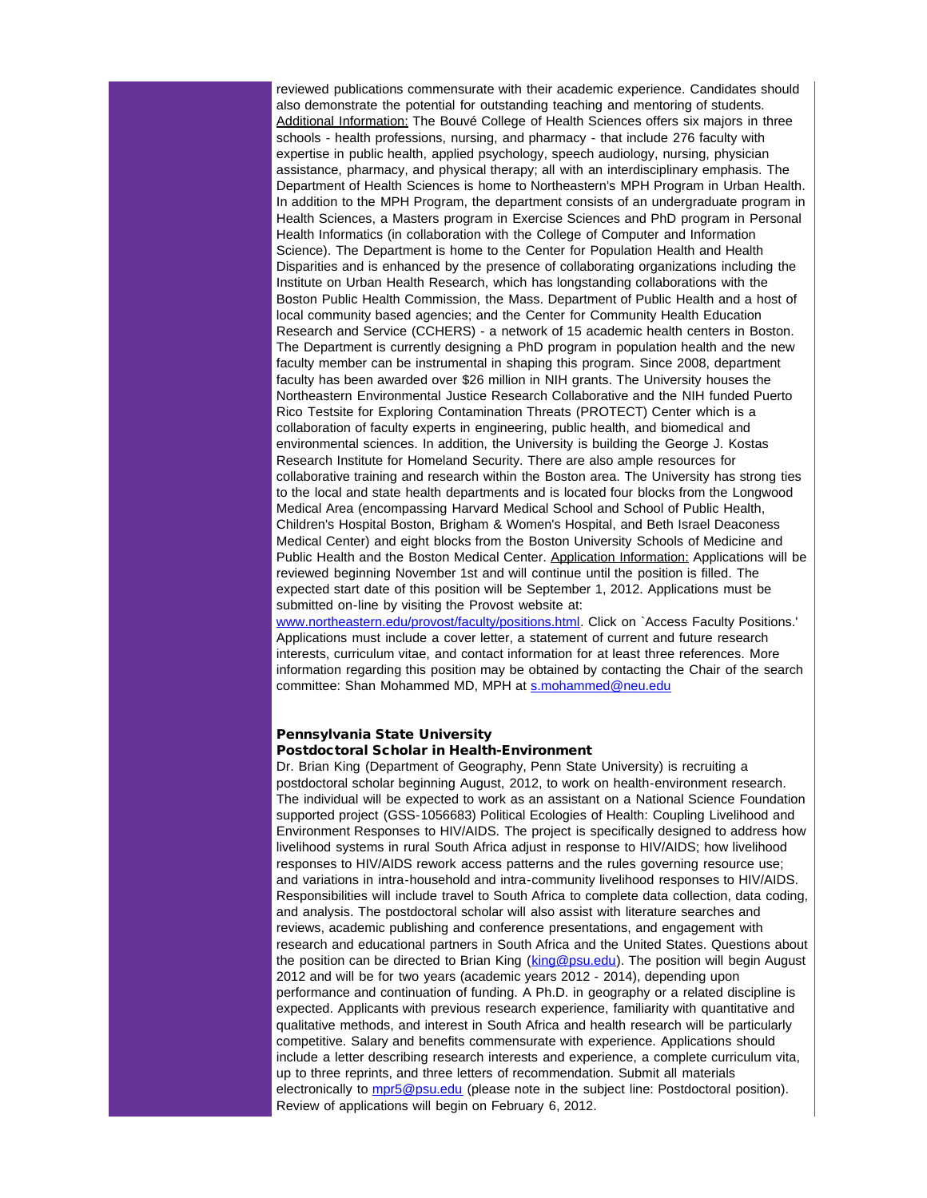reviewed publications commensurate with their academic experience. Candidates should also demonstrate the potential for outstanding teaching and mentoring of students. Additional Information: The Bouvé College of Health Sciences offers six majors in three schools - health professions, nursing, and pharmacy - that include 276 faculty with expertise in public health, applied psychology, speech audiology, nursing, physician assistance, pharmacy, and physical therapy; all with an interdisciplinary emphasis. The Department of Health Sciences is home to Northeastern's MPH Program in Urban Health. In addition to the MPH Program, the department consists of an undergraduate program in Health Sciences, a Masters program in Exercise Sciences and PhD program in Personal Health Informatics (in collaboration with the College of Computer and Information Science). The Department is home to the Center for Population Health and Health Disparities and is enhanced by the presence of collaborating organizations including the Institute on Urban Health Research, which has longstanding collaborations with the Boston Public Health Commission, the Mass. Department of Public Health and a host of local community based agencies; and the Center for Community Health Education Research and Service (CCHERS) - a network of 15 academic health centers in Boston. The Department is currently designing a PhD program in population health and the new faculty member can be instrumental in shaping this program. Since 2008, department faculty has been awarded over \$26 million in NIH grants. The University houses the Northeastern Environmental Justice Research Collaborative and the NIH funded Puerto Rico Testsite for Exploring Contamination Threats (PROTECT) Center which is a collaboration of faculty experts in engineering, public health, and biomedical and environmental sciences. In addition, the University is building the George J. Kostas Research Institute for Homeland Security. There are also ample resources for collaborative training and research within the Boston area. The University has strong ties to the local and state health departments and is located four blocks from the Longwood Medical Area (encompassing Harvard Medical School and School of Public Health, Children's Hospital Boston, Brigham & Women's Hospital, and Beth Israel Deaconess Medical Center) and eight blocks from the Boston University Schools of Medicine and Public Health and the Boston Medical Center. Application Information: Applications will be reviewed beginning November 1st and will continue until the position is filled. The expected start date of this position will be September 1, 2012. Applications must be submitted on-line by visiting the Provost website at:

[www.northeastern.edu/provost/faculty/positions.html.](http://r20.rs6.net/tn.jsp?llr=5gytkqcab&et=1109071822203&s=1&e=001Rs1z22Qa5_d489JG14wGkyYL732qynQIypNgOXKD5ytEqT0D3S5xwyhzsqfosG2jzQqv7IkqfC9FUTTn7XsFoCaLs2WUgBsdhpmKLMkFcAC0v7UxdD-3zdi9XxiURHOFKcCKqyxy1_XB6xRqb1t-o-5Z42WFk5Sd) Click on `Access Faculty Positions.' Applications must include a cover letter, a statement of current and future research interests, curriculum vitae, and contact information for at least three references. More information regarding this position may be obtained by contacting the Chair of the search committee: Shan Mohammed MD, MPH at [s.mohammed@neu.edu](mailto:s.mohammed@neu.edu?)

### Pennsylvania State University Postdoctoral Scholar in Health-Environment

Dr. Brian King (Department of Geography, Penn State University) is recruiting a postdoctoral scholar beginning August, 2012, to work on health-environment research. The individual will be expected to work as an assistant on a National Science Foundation supported project (GSS-1056683) Political Ecologies of Health: Coupling Livelihood and Environment Responses to HIV/AIDS. The project is specifically designed to address how livelihood systems in rural South Africa adjust in response to HIV/AIDS; how livelihood responses to HIV/AIDS rework access patterns and the rules governing resource use; and variations in intra-household and intra-community livelihood responses to HIV/AIDS. Responsibilities will include travel to South Africa to complete data collection, data coding, and analysis. The postdoctoral scholar will also assist with literature searches and reviews, academic publishing and conference presentations, and engagement with research and educational partners in South Africa and the United States. Questions about the position can be directed to Brian King ([king@psu.edu](mailto:king@psu.edu?)). The position will begin August 2012 and will be for two years (academic years 2012 - 2014), depending upon performance and continuation of funding. A Ph.D. in geography or a related discipline is expected. Applicants with previous research experience, familiarity with quantitative and qualitative methods, and interest in South Africa and health research will be particularly competitive. Salary and benefits commensurate with experience. Applications should include a letter describing research interests and experience, a complete curriculum vita, up to three reprints, and three letters of recommendation. Submit all materials electronically to [mpr5@psu.edu](mailto:mpr5@psu.edu?) (please note in the subject line: Postdoctoral position). Review of applications will begin on February 6, 2012.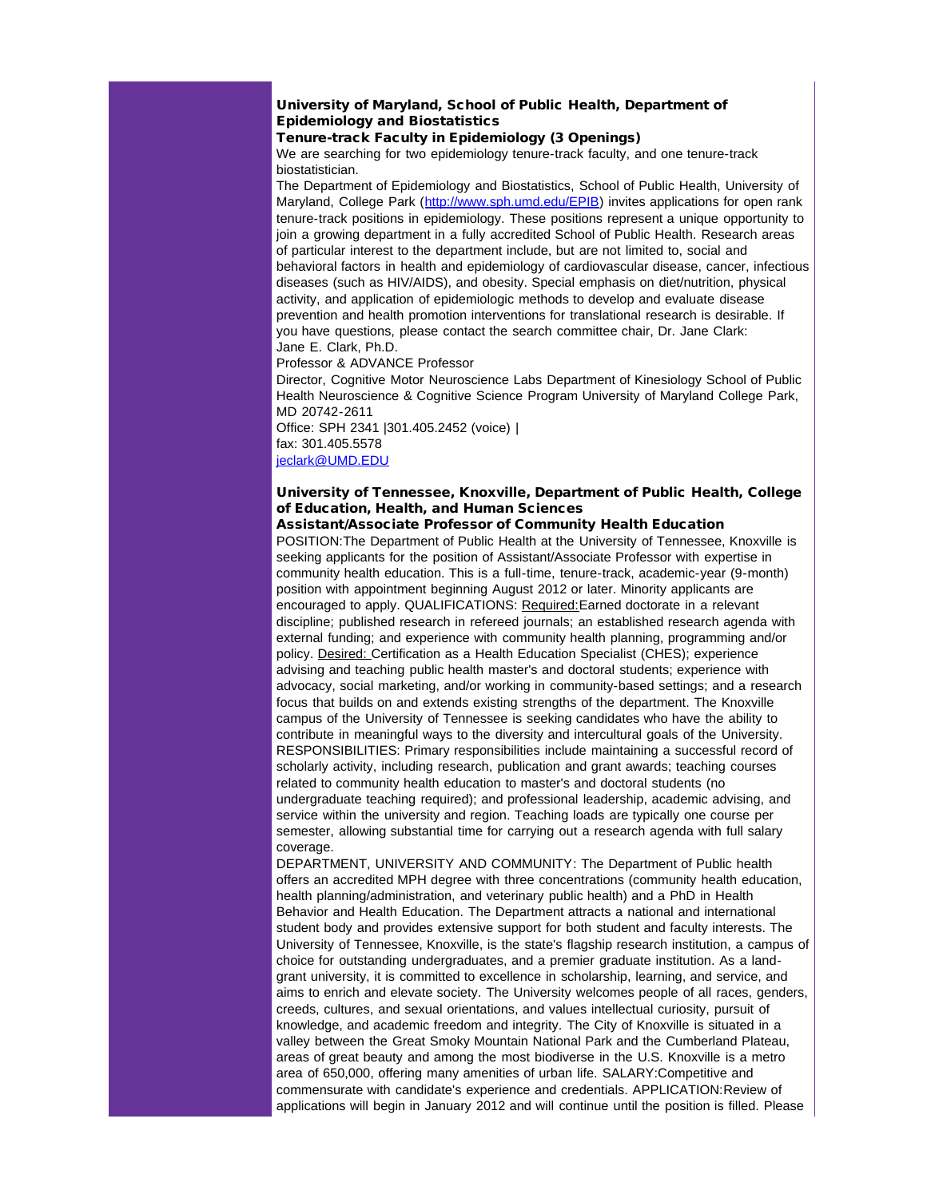## University of Maryland, School of Public Health, Department of Epidemiology and Biostatistics

## Tenure-track Faculty in Epidemiology (3 Openings)

We are searching for two epidemiology tenure-track faculty, and one tenure-track biostatistician.

The Department of Epidemiology and Biostatistics, School of Public Health, University of Maryland, College Park ([http://www.sph.umd.edu/EPIB](http://r20.rs6.net/tn.jsp?llr=5gytkqcab&et=1109071822203&s=1&e=001Rs1z22Qa5_d9pZfLRi3upciAJ49Zze85qIgj7pJlUmONl1z-rcv8rc7OBB38g9xM7feUac0T6PVS2hFf_P6JyRAwfuqPIYWb7wp8w1EZY4AhlOBpveyAOQ==)) invites applications for open rank tenure-track positions in epidemiology. These positions represent a unique opportunity to join a growing department in a fully accredited School of Public Health. Research areas of particular interest to the department include, but are not limited to, social and behavioral factors in health and epidemiology of cardiovascular disease, cancer, infectious diseases (such as HIV/AIDS), and obesity. Special emphasis on diet/nutrition, physical activity, and application of epidemiologic methods to develop and evaluate disease prevention and health promotion interventions for translational research is desirable. If you have questions, please contact the search committee chair, Dr. Jane Clark: Jane E. Clark, Ph.D.

Professor & ADVANCE Professor

Director, Cognitive Motor Neuroscience Labs Department of Kinesiology School of Public Health Neuroscience & Cognitive Science Program University of Maryland College Park, MD 20742-2611

Office: SPH 2341 |301.405.2452 (voice) | fax: 301.405.5578 [jeclark@UMD.EDU](mailto:jeclark@UMD.EDU)

## University of Tennessee, Knoxville, Department of Public Health, College of Education, Health, and Human Sciences

Assistant/Associate Professor of Community Health Education POSITION:The Department of Public Health at the University of Tennessee, Knoxville is seeking applicants for the position of Assistant/Associate Professor with expertise in community health education. This is a full-time, tenure-track, academic-year (9-month) position with appointment beginning August 2012 or later. Minority applicants are encouraged to apply. QUALIFICATIONS: Required:Earned doctorate in a relevant discipline; published research in refereed journals; an established research agenda with external funding; and experience with community health planning, programming and/or policy. Desired: Certification as a Health Education Specialist (CHES); experience advising and teaching public health master's and doctoral students; experience with advocacy, social marketing, and/or working in community-based settings; and a research focus that builds on and extends existing strengths of the department. The Knoxville campus of the University of Tennessee is seeking candidates who have the ability to contribute in meaningful ways to the diversity and intercultural goals of the University. RESPONSIBILITIES: Primary responsibilities include maintaining a successful record of scholarly activity, including research, publication and grant awards; teaching courses related to community health education to master's and doctoral students (no undergraduate teaching required); and professional leadership, academic advising, and service within the university and region. Teaching loads are typically one course per semester, allowing substantial time for carrying out a research agenda with full salary coverage.

DEPARTMENT, UNIVERSITY AND COMMUNITY: The Department of Public health offers an accredited MPH degree with three concentrations (community health education, health planning/administration, and veterinary public health) and a PhD in Health Behavior and Health Education. The Department attracts a national and international student body and provides extensive support for both student and faculty interests. The University of Tennessee, Knoxville, is the state's flagship research institution, a campus of choice for outstanding undergraduates, and a premier graduate institution. As a landgrant university, it is committed to excellence in scholarship, learning, and service, and aims to enrich and elevate society. The University welcomes people of all races, genders, creeds, cultures, and sexual orientations, and values intellectual curiosity, pursuit of knowledge, and academic freedom and integrity. The City of Knoxville is situated in a valley between the Great Smoky Mountain National Park and the Cumberland Plateau, areas of great beauty and among the most biodiverse in the U.S. Knoxville is a metro area of 650,000, offering many amenities of urban life. SALARY:Competitive and commensurate with candidate's experience and credentials. APPLICATION:Review of applications will begin in January 2012 and will continue until the position is filled. Please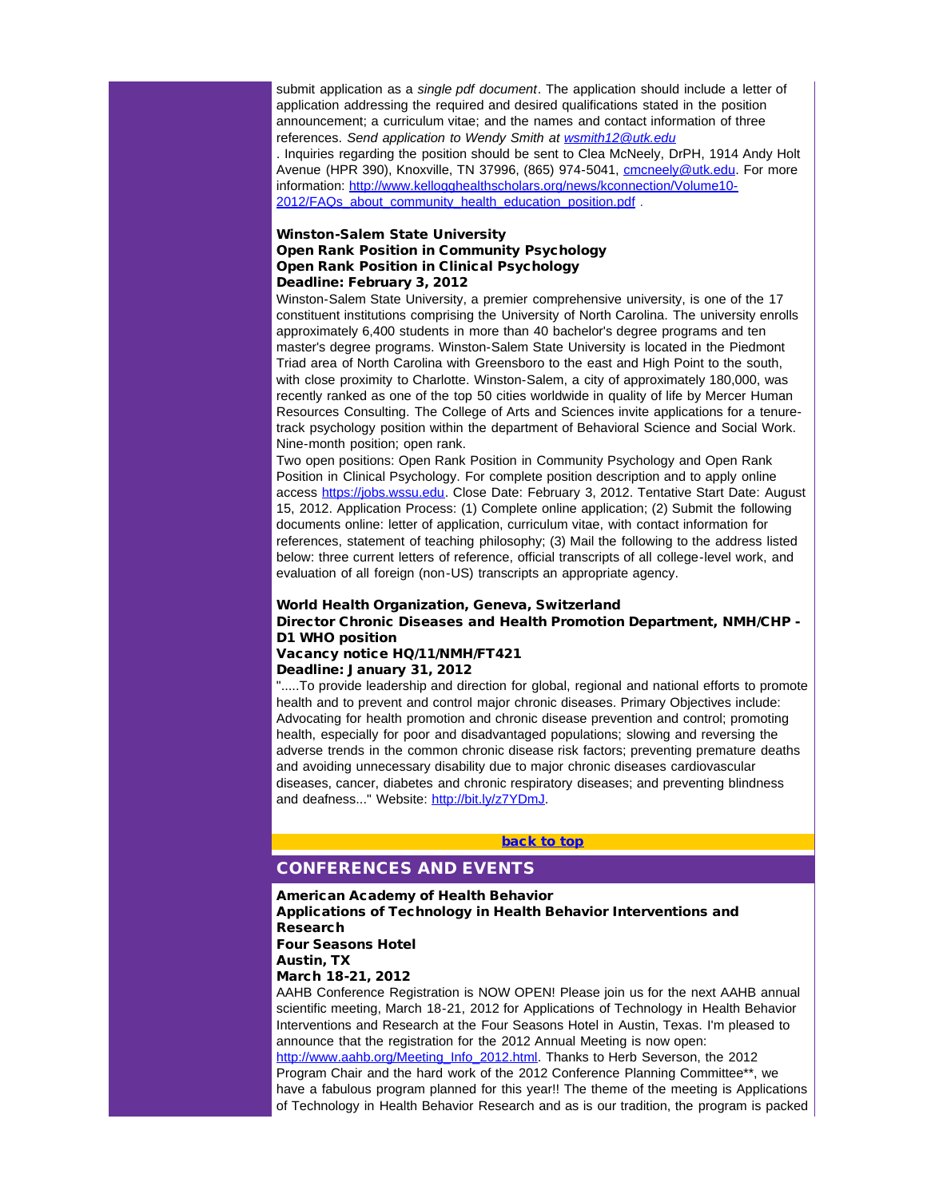submit application as a *single pdf document*. The application should include a letter of application addressing the required and desired qualifications stated in the position announcement; a curriculum vitae; and the names and contact information of three references. *Send application to Wendy Smith at [wsmith12@utk.edu](mailto:wsmith12@utk.edu)*

. Inquiries regarding the position should be sent to Clea McNeely, DrPH, 1914 Andy Holt Avenue (HPR 390), Knoxville, TN 37996, (865) 974-5041, [cmcneely@utk.edu](mailto:cmcneely@utk.edu). For more information: [http://www.kellogghealthscholars.org/news/kconnection/Volume10-](http://r20.rs6.net/tn.jsp?llr=5gytkqcab&et=1109071822203&s=1&e=001Rs1z22Qa5_dHfoyd6R-2K3r3QwZ71HUWSNGD_dlAbi6Qod8PILizfG2C8xbocVfOuSoxNXbywbSE7xweTbyMONSYk68woLJmaU8zMUsrqaz40J7kaiD-KkDF-3SjXQiCtmcT3-dIFy7W_uJa49VGm9GtSXwnrjl9OEyaP3Jhc_Ivpz-i9QHAav38Z7MzOciGTchPJMI36M7dRxXwVyXuh9ljk-arPEgJyhhEDMpJrq4G4mBArATmyA==) [2012/FAQs\\_about\\_community\\_health\\_education\\_position.pdf](http://r20.rs6.net/tn.jsp?llr=5gytkqcab&et=1109071822203&s=1&e=001Rs1z22Qa5_dHfoyd6R-2K3r3QwZ71HUWSNGD_dlAbi6Qod8PILizfG2C8xbocVfOuSoxNXbywbSE7xweTbyMONSYk68woLJmaU8zMUsrqaz40J7kaiD-KkDF-3SjXQiCtmcT3-dIFy7W_uJa49VGm9GtSXwnrjl9OEyaP3Jhc_Ivpz-i9QHAav38Z7MzOciGTchPJMI36M7dRxXwVyXuh9ljk-arPEgJyhhEDMpJrq4G4mBArATmyA==) .

### Winston-Salem State University Open Rank Position in Community Psychology Open Rank Position in Clinical Psychology Deadline: February 3, 2012

Winston-Salem State University, a premier comprehensive university, is one of the 17 constituent institutions comprising the University of North Carolina. The university enrolls approximately 6,400 students in more than 40 bachelor's degree programs and ten master's degree programs. Winston-Salem State University is located in the Piedmont Triad area of North Carolina with Greensboro to the east and High Point to the south, with close proximity to Charlotte. Winston-Salem, a city of approximately 180,000, was recently ranked as one of the top 50 cities worldwide in quality of life by Mercer Human Resources Consulting. The College of Arts and Sciences invite applications for a tenuretrack psychology position within the department of Behavioral Science and Social Work. Nine-month position; open rank.

Two open positions: Open Rank Position in Community Psychology and Open Rank Position in Clinical Psychology. For complete position description and to apply online access [https://jobs.wssu.edu](http://r20.rs6.net/tn.jsp?llr=5gytkqcab&et=1109071822203&s=1&e=001Rs1z22Qa5_fHxcdx3bJvf6WnB5fg_TIOVgo4qOKsHuRJf0iOtBnbf8VL1nRYck66NBgEJVk4Nm5Fd3jzpt26Ly2EGiypXouiFLeG6p_CKT4=). Close Date: February 3, 2012. Tentative Start Date: August 15, 2012. Application Process: (1) Complete online application; (2) Submit the following documents online: letter of application, curriculum vitae, with contact information for references, statement of teaching philosophy; (3) Mail the following to the address listed below: three current letters of reference, official transcripts of all college-level work, and evaluation of all foreign (non-US) transcripts an appropriate agency.

# World Health Organization, Geneva, Switzerland Director Chronic Diseases and Health Promotion Department, NMH/CHP - D1 WHO position

# Vacancy notice HQ/11/NMH/FT421

### <span id="page-22-0"></span>Deadline: January 31, 2012

".....To provide leadership and direction for global, regional and national efforts to promote health and to prevent and control major chronic diseases. Primary Objectives include: Advocating for health promotion and chronic disease prevention and control; promoting health, especially for poor and disadvantaged populations; slowing and reversing the adverse trends in the common chronic disease risk factors; preventing premature deaths and avoiding unnecessary disability due to major chronic diseases cardiovascular diseases, cancer, diabetes and chronic respiratory diseases; and preventing blindness and deafness..." Website: [http://bit.ly/z7YDmJ](http://r20.rs6.net/tn.jsp?llr=5gytkqcab&et=1109071822203&s=1&e=001Rs1z22Qa5_cUpBcbb90MX-kKNS-pDfoJ-6HeHPSCGewRTaIb4hVqSqqiw-mdd-1MuwPP4djfZz2z8MdoCbYFEPdCmwzsN2oTNRGUfgWJQ_4=).

#### [back to top](#page-0-4)

# CONFERENCES AND EVENTS

## American Academy of Health Behavior Applications of Technology in Health Behavior Interventions and Research Four Seasons Hotel Austin, TX

March 18-21, 2012

AAHB Conference Registration is NOW OPEN! Please join us for the next AAHB annual scientific meeting, March 18-21, 2012 for Applications of Technology in Health Behavior Interventions and Research at the Four Seasons Hotel in Austin, Texas. I'm pleased to announce that the registration for the 2012 Annual Meeting is now open: [http://www.aahb.org/Meeting\\_Info\\_2012.html.](http://r20.rs6.net/tn.jsp?llr=5gytkqcab&et=1109071822203&s=1&e=001Rs1z22Qa5_doNvVAczjT1vl4hyOXFzVQpK9opsJ74Ipm9hHCUN6z0OfzWG8ophywCpb_1NrAgmp3tT29ClwMWCGkd6HQADjNKWrFR85MSTTyw4uwJsAY5G2k1rii0ruFsZZdfWDUOgw=) Thanks to Herb Severson, the 2012 Program Chair and the hard work of the 2012 Conference Planning Committee\*\*, we have a fabulous program planned for this year!! The theme of the meeting is Applications of Technology in Health Behavior Research and as is our tradition, the program is packed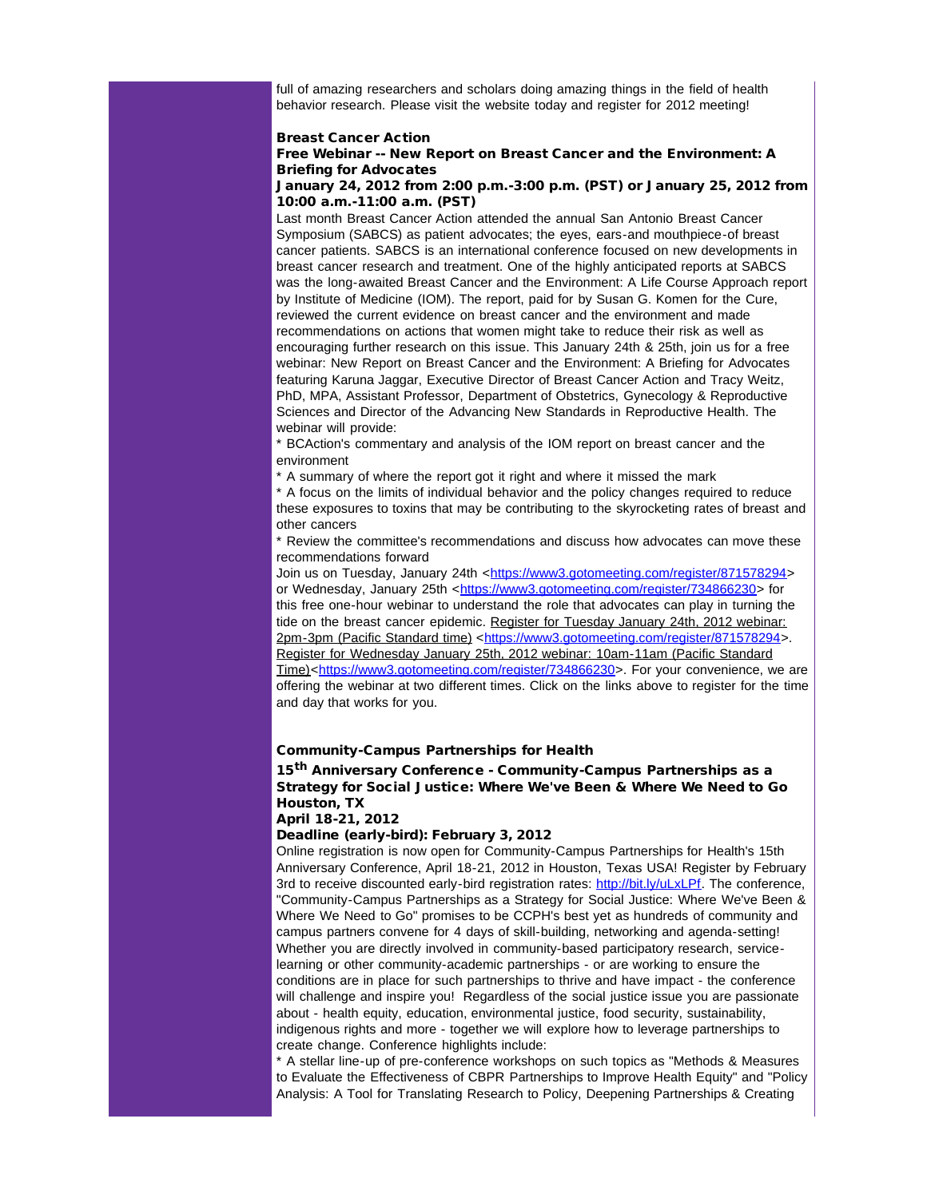full of amazing researchers and scholars doing amazing things in the field of health behavior research. Please visit the website today and register for 2012 meeting!

#### Breast Cancer Action

### Free Webinar -- New Report on Breast Cancer and the Environment: A Briefing for Advocates

### January 24, 2012 from 2:00 p.m.-3:00 p.m. (PST) or January 25, 2012 from 10:00 a.m.-11:00 a.m. (PST)

Last month Breast Cancer Action attended the annual San Antonio Breast Cancer Symposium (SABCS) as patient advocates; the eyes, ears-and mouthpiece-of breast cancer patients. SABCS is an international conference focused on new developments in breast cancer research and treatment. One of the highly anticipated reports at SABCS was the long-awaited Breast Cancer and the Environment: A Life Course Approach report by Institute of Medicine (IOM). The report, paid for by Susan G. Komen for the Cure, reviewed the current evidence on breast cancer and the environment and made recommendations on actions that women might take to reduce their risk as well as encouraging further research on this issue. This January 24th & 25th, join us for a free webinar: New Report on Breast Cancer and the Environment: A Briefing for Advocates featuring Karuna Jaggar, Executive Director of Breast Cancer Action and Tracy Weitz, PhD, MPA, Assistant Professor, Department of Obstetrics, Gynecology & Reproductive Sciences and Director of the Advancing New Standards in Reproductive Health. The webinar will provide:

\* BCAction's commentary and analysis of the IOM report on breast cancer and the environment

\* A summary of where the report got it right and where it missed the mark

\* A focus on the limits of individual behavior and the policy changes required to reduce these exposures to toxins that may be contributing to the skyrocketing rates of breast and other cancers

\* Review the committee's recommendations and discuss how advocates can move these recommendations forward

Join us on Tuesday, January 24th <[https://www3.gotomeeting.com/register/871578294](http://r20.rs6.net/tn.jsp?llr=5gytkqcab&et=1109071822203&s=1&e=001Rs1z22Qa5_fJfLN7Ev4RF6TtpmULd4wm_cObv8PAJppL8Jq85v95gzxtfN7_34iNM1vclsLwYGrMT37vPVYl3e8_tBo5KDDx_xW6UL66OCIApCf3SXF2hkEXQ1LsGuZ86hPK6KIPq3o0V7-tjt7F3w==)> or Wednesday, January 25th <[https://www3.gotomeeting.com/register/734866230](http://r20.rs6.net/tn.jsp?llr=5gytkqcab&et=1109071822203&s=1&e=001Rs1z22Qa5_e_CrDTSIF5GVD_rbQoA0mzu_FnehWU45A0hS53-L_BXkLVdMtcazTa7-YjxHOsnd20NuG65aa3fFowWh-I00pmDhBAd3n3iouBVdPiUQ1K2JNN31fWJmTbnrs65H9I9WOgyEJ2Y2Spog==)> for this free one-hour webinar to understand the role that advocates can play in turning the tide on the breast cancer epidemic. Register for Tuesday January 24th, 2012 webinar: 2pm-3pm (Pacific Standard time) <[https://www3.gotomeeting.com/register/871578294](http://r20.rs6.net/tn.jsp?llr=5gytkqcab&et=1109071822203&s=1&e=001Rs1z22Qa5_fJfLN7Ev4RF6TtpmULd4wm_cObv8PAJppL8Jq85v95gzxtfN7_34iNM1vclsLwYGrMT37vPVYl3e8_tBo5KDDx_xW6UL66OCIApCf3SXF2hkEXQ1LsGuZ86hPK6KIPq3o0V7-tjt7F3w==)>. Register for Wednesday January 25th, 2012 webinar: 10am-11am (Pacific Standard Time)<[https://www3.gotomeeting.com/register/734866230>](http://r20.rs6.net/tn.jsp?llr=5gytkqcab&et=1109071822203&s=1&e=001Rs1z22Qa5_e_CrDTSIF5GVD_rbQoA0mzu_FnehWU45A0hS53-L_BXkLVdMtcazTa7-YjxHOsnd20NuG65aa3fFowWh-I00pmDhBAd3n3iouBVdPiUQ1K2JNN31fWJmTbnrs65H9I9WOgyEJ2Y2Spog==). For your convenience, we are offering the webinar at two different times. Click on the links above to register for the time and day that works for you.

### Community-Campus Partnerships for Health

# 15<sup>th</sup> Anniversary Conference - Community-Campus Partnerships as a Strategy for Social Justice: Where We've Been & Where We Need to Go Houston, TX

April 18-21, 2012

## Deadline (early-bird): February 3, 2012

Online registration is now open for Community-Campus Partnerships for Health's 15th Anniversary Conference, April 18-21, 2012 in Houston, Texas USA! Register by February 3rd to receive discounted early-bird registration rates: [http://bit.ly/uLxLPf](http://r20.rs6.net/tn.jsp?llr=5gytkqcab&et=1109071822203&s=1&e=001Rs1z22Qa5_eWXekva7kuko9plaf4Ms6ZmwwR0N83-gV-wSE045MFztQljIrV3zuf0qt35vTmVUXSO0_whtK6qLvfe7JpIYOUg8zoZxV2p_4=). The conference, "Community-Campus Partnerships as a Strategy for Social Justice: Where We've Been & Where We Need to Go" promises to be CCPH's best yet as hundreds of community and campus partners convene for 4 days of skill-building, networking and agenda-setting! Whether you are directly involved in community-based participatory research, servicelearning or other community-academic partnerships - or are working to ensure the conditions are in place for such partnerships to thrive and have impact - the conference will challenge and inspire you! Regardless of the social justice issue you are passionate about - health equity, education, environmental justice, food security, sustainability, indigenous rights and more - together we will explore how to leverage partnerships to create change. Conference highlights include:

\* A stellar line-up of pre-conference workshops on such topics as "Methods & Measures to Evaluate the Effectiveness of CBPR Partnerships to Improve Health Equity" and "Policy Analysis: A Tool for Translating Research to Policy, Deepening Partnerships & Creating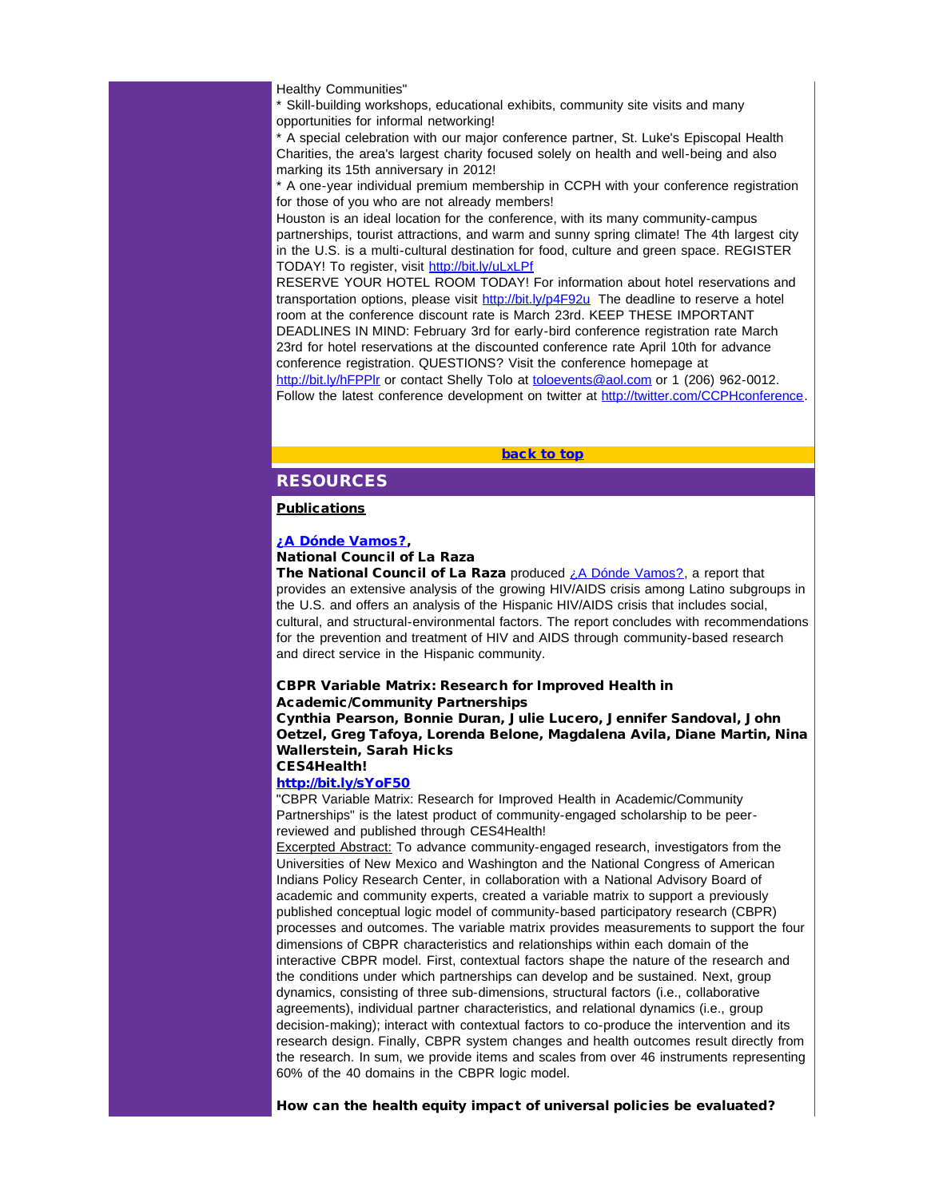Healthy Communities"

\* Skill-building workshops, educational exhibits, community site visits and many opportunities for informal networking!

\* A special celebration with our major conference partner, St. Luke's Episcopal Health Charities, the area's largest charity focused solely on health and well-being and also marking its 15th anniversary in 2012!

\* A one-year individual premium membership in CCPH with your conference registration for those of you who are not already members!

<span id="page-24-0"></span>Houston is an ideal location for the conference, with its many community-campus partnerships, tourist attractions, and warm and sunny spring climate! The 4th largest city in the U.S. is a multi-cultural destination for food, culture and green space. REGISTER TODAY! To register, visit [http://bit.ly/uLxLPf](http://r20.rs6.net/tn.jsp?llr=5gytkqcab&et=1109071822203&s=1&e=001Rs1z22Qa5_eWXekva7kuko9plaf4Ms6ZmwwR0N83-gV-wSE045MFztQljIrV3zuf0qt35vTmVUXSO0_whtK6qLvfe7JpIYOUg8zoZxV2p_4=)

RESERVE YOUR HOTEL ROOM TODAY! For information about hotel reservations and transportation options, please visit [http://bit.ly/p4F92u](http://r20.rs6.net/tn.jsp?llr=5gytkqcab&et=1109071822203&s=1&e=001Rs1z22Qa5_edevjG1-l-zvytbQBnWMlbu67xrSRzg7_P8mx0CIUgtlk16lcxAmF3PGEMePUi0X6inxAbBqXHJpR5U8w6gRnKZlspoiS2J2M=) The deadline to reserve a hotel room at the conference discount rate is March 23rd. KEEP THESE IMPORTANT DEADLINES IN MIND: February 3rd for early-bird conference registration rate March 23rd for hotel reservations at the discounted conference rate April 10th for advance conference registration. QUESTIONS? Visit the conference homepage at [http://bit.ly/hFPPlr](http://r20.rs6.net/tn.jsp?llr=5gytkqcab&et=1109071822203&s=1&e=001Rs1z22Qa5_eeOSJzZ9YTGAA1Q7s5QCxIUTexecS6j4faCRWUtHDrk1HQqrwRN6-54HXtXYDkiiRogWN6FqL8B2q0Gu5kYqTYw1ol71Dc-jw=) or contact Shelly Tolo at [toloevents@aol.com](mailto:toloevents@aol.com) or 1 (206) 962-0012.

Follow the latest conference development on twitter at [http://twitter.com/CCPHconference](http://r20.rs6.net/tn.jsp?llr=5gytkqcab&et=1109071822203&s=1&e=001Rs1z22Qa5_fg7T43SJqdkQAilh93O_ux6yY85hj7Jwvbo3mIfYkmU1635-3UvFU5ntAKNRFYglIYFCxi9aorNbSm00HFq6Iktj-Vu4rQ772Dckp-6-mot1C2gIjHT0lA).

#### [back to top](#page-0-4)

# **RESOURCES**

## **Publications**

## [¿A Dónde Vamos?,](http://r20.rs6.net/tn.jsp?llr=5gytkqcab&et=1109071822203&s=1&e=001Rs1z22Qa5_ejrIyloyQlWY24jUv8BsGM5-zvR_MT2y3zfSghZHgatRKxW3psK8xmyCkGOZPuL1v5EIj-3Eqh2Smu9T2tGnb7S6B4wxOR1nA1lU7vIoOIETFn05_KZQnCKLBIzKA8r97f3WU4QCkYErOkUWtwQ2eTC9QeEx4yfcY48SUdhS5rGfljPGAOnXNAySwWfLFQKxk=)

# National Council of La Raza

The National Council of La Raza produced  $i$  A Dónde Vamos?, a report that provides an extensive analysis of the growing HIV/AIDS crisis among Latino subgroups in the U.S. and offers an analysis of the Hispanic HIV/AIDS crisis that includes social, cultural, and structural-environmental factors. The report concludes with recommendations for the prevention and treatment of HIV and AIDS through community-based research and direct service in the Hispanic community.

#### CBPR Variable Matrix: Research for Improved Health in Academic/Community Partnerships

Cynthia Pearson, Bonnie Duran, Julie Lucero, Jennifer Sandoval, John Oetzel, Greg Tafoya, Lorenda Belone, Magdalena Avila, Diane Martin, Nina Wallerstein, Sarah Hicks CES4Health!

### [http://bit.ly/sYoF50](http://r20.rs6.net/tn.jsp?llr=5gytkqcab&et=1109071822203&s=1&e=001Rs1z22Qa5_fNlXjP2Vj5au3ybbFUcdZa1YP2FZp3pMYhcytcLrm7sKQbc0_8YW6a4VBVmu23lskXr3xq8jyN2ioC8_Hqc1U10Z48QUqNA-Y=)

"CBPR Variable Matrix: Research for Improved Health in Academic/Community Partnerships" is the latest product of community-engaged scholarship to be peerreviewed and published through CES4Health!

Excerpted Abstract: To advance community-engaged research, investigators from the Universities of New Mexico and Washington and the National Congress of American Indians Policy Research Center, in collaboration with a National Advisory Board of academic and community experts, created a variable matrix to support a previously published conceptual logic model of community-based participatory research (CBPR) processes and outcomes. The variable matrix provides measurements to support the four dimensions of CBPR characteristics and relationships within each domain of the interactive CBPR model. First, contextual factors shape the nature of the research and the conditions under which partnerships can develop and be sustained. Next, group dynamics, consisting of three sub-dimensions, structural factors (i.e., collaborative agreements), individual partner characteristics, and relational dynamics (i.e., group decision-making); interact with contextual factors to co-produce the intervention and its research design. Finally, CBPR system changes and health outcomes result directly from the research. In sum, we provide items and scales from over 46 instruments representing 60% of the 40 domains in the CBPR logic model.

How can the health equity impact of universal policies be evaluated?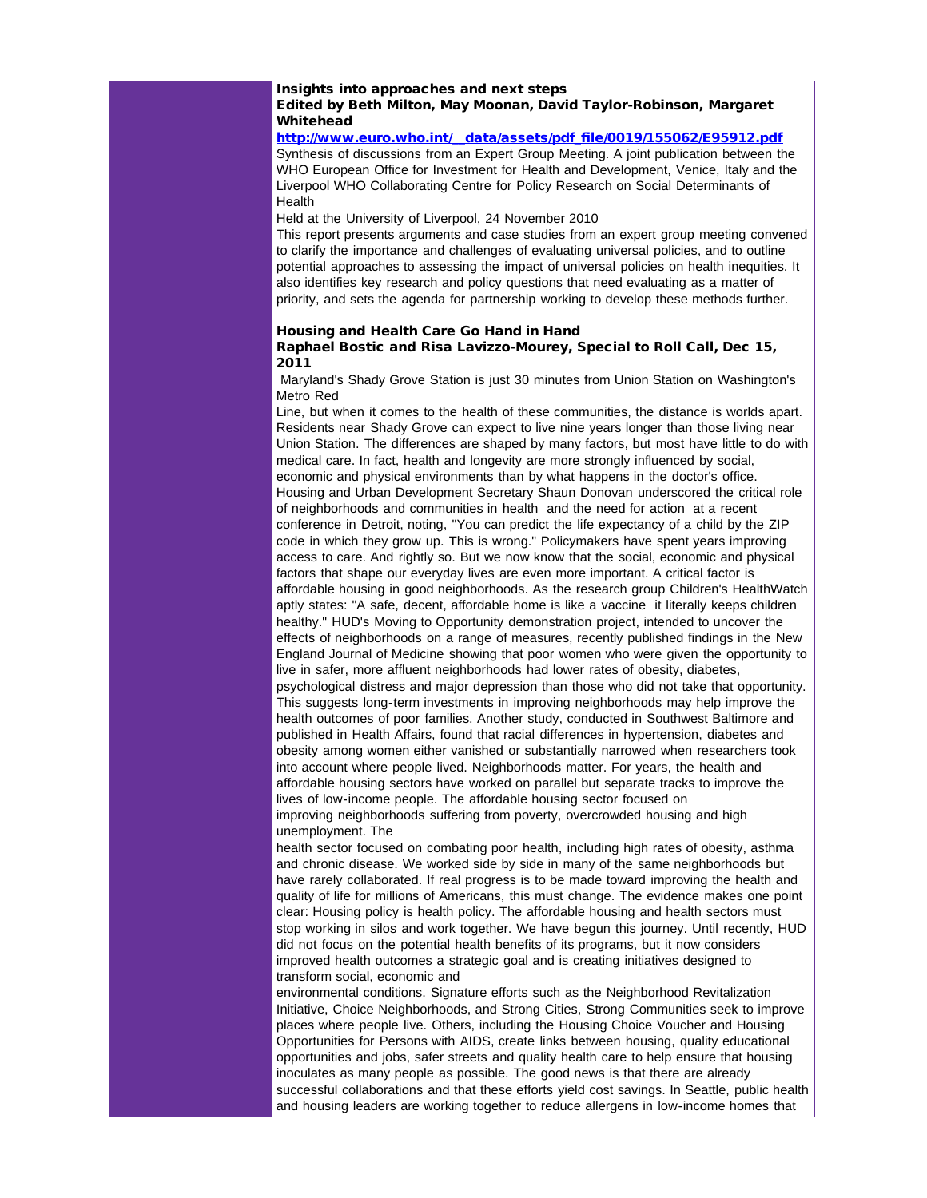### Insights into approaches and next steps Edited by Beth Milton, May Moonan, David Taylor-Robinson, Margaret Whitehead

## [http://www.euro.who.int/\\_\\_data/assets/pdf\\_file/0019/155062/E95912.pdf](http://r20.rs6.net/tn.jsp?llr=5gytkqcab&et=1109071822203&s=1&e=001Rs1z22Qa5_cTSdFm3CGBnuvd6oKrRCuk5sfMj-mmeTZDv-x9qWDn3oaRw1AAexro0w5GWZzKRn_prvsnKl8fkPyirpXctpCas6aTim5fDu15vOBz25_rZHHM0VFEckBM7e2MgCHkjptH86WvFr7oWXX2Wz7hXL8WPaZVJaWd9CghdLJkmsMg1A==)

Synthesis of discussions from an Expert Group Meeting. A joint publication between the WHO European Office for Investment for Health and Development, Venice, Italy and the Liverpool WHO Collaborating Centre for Policy Research on Social Determinants of **Health** 

Held at the University of Liverpool, 24 November 2010

This report presents arguments and case studies from an expert group meeting convened to clarify the importance and challenges of evaluating universal policies, and to outline potential approaches to assessing the impact of universal policies on health inequities. It also identifies key research and policy questions that need evaluating as a matter of priority, and sets the agenda for partnership working to develop these methods further.

### Housing and Health Care Go Hand in Hand

### Raphael Bostic and Risa Lavizzo-Mourey, Special to Roll Call, Dec 15, 2011

Maryland's Shady Grove Station is just 30 minutes from Union Station on Washington's Metro Red

Line, but when it comes to the health of these communities, the distance is worlds apart. Residents near Shady Grove can expect to live nine years longer than those living near Union Station. The differences are shaped by many factors, but most have little to do with medical care. In fact, health and longevity are more strongly influenced by social, economic and physical environments than by what happens in the doctor's office. Housing and Urban Development Secretary Shaun Donovan underscored the critical role of neighborhoods and communities in health and the need for action at a recent conference in Detroit, noting, "You can predict the life expectancy of a child by the ZIP code in which they grow up. This is wrong." Policymakers have spent years improving access to care. And rightly so. But we now know that the social, economic and physical factors that shape our everyday lives are even more important. A critical factor is affordable housing in good neighborhoods. As the research group Children's HealthWatch aptly states: "A safe, decent, affordable home is like a vaccine it literally keeps children healthy." HUD's Moving to Opportunity demonstration project, intended to uncover the effects of neighborhoods on a range of measures, recently published findings in the New England Journal of Medicine showing that poor women who were given the opportunity to live in safer, more affluent neighborhoods had lower rates of obesity, diabetes, psychological distress and major depression than those who did not take that opportunity. This suggests long-term investments in improving neighborhoods may help improve the health outcomes of poor families. Another study, conducted in Southwest Baltimore and published in Health Affairs, found that racial differences in hypertension, diabetes and obesity among women either vanished or substantially narrowed when researchers took into account where people lived. Neighborhoods matter. For years, the health and affordable housing sectors have worked on parallel but separate tracks to improve the lives of low-income people. The affordable housing sector focused on improving neighborhoods suffering from poverty, overcrowded housing and high unemployment. The

health sector focused on combating poor health, including high rates of obesity, asthma and chronic disease. We worked side by side in many of the same neighborhoods but have rarely collaborated. If real progress is to be made toward improving the health and quality of life for millions of Americans, this must change. The evidence makes one point clear: Housing policy is health policy. The affordable housing and health sectors must stop working in silos and work together. We have begun this journey. Until recently, HUD did not focus on the potential health benefits of its programs, but it now considers improved health outcomes a strategic goal and is creating initiatives designed to transform social, economic and

environmental conditions. Signature efforts such as the Neighborhood Revitalization Initiative, Choice Neighborhoods, and Strong Cities, Strong Communities seek to improve places where people live. Others, including the Housing Choice Voucher and Housing Opportunities for Persons with AIDS, create links between housing, quality educational opportunities and jobs, safer streets and quality health care to help ensure that housing inoculates as many people as possible. The good news is that there are already successful collaborations and that these efforts yield cost savings. In Seattle, public health and housing leaders are working together to reduce allergens in low-income homes that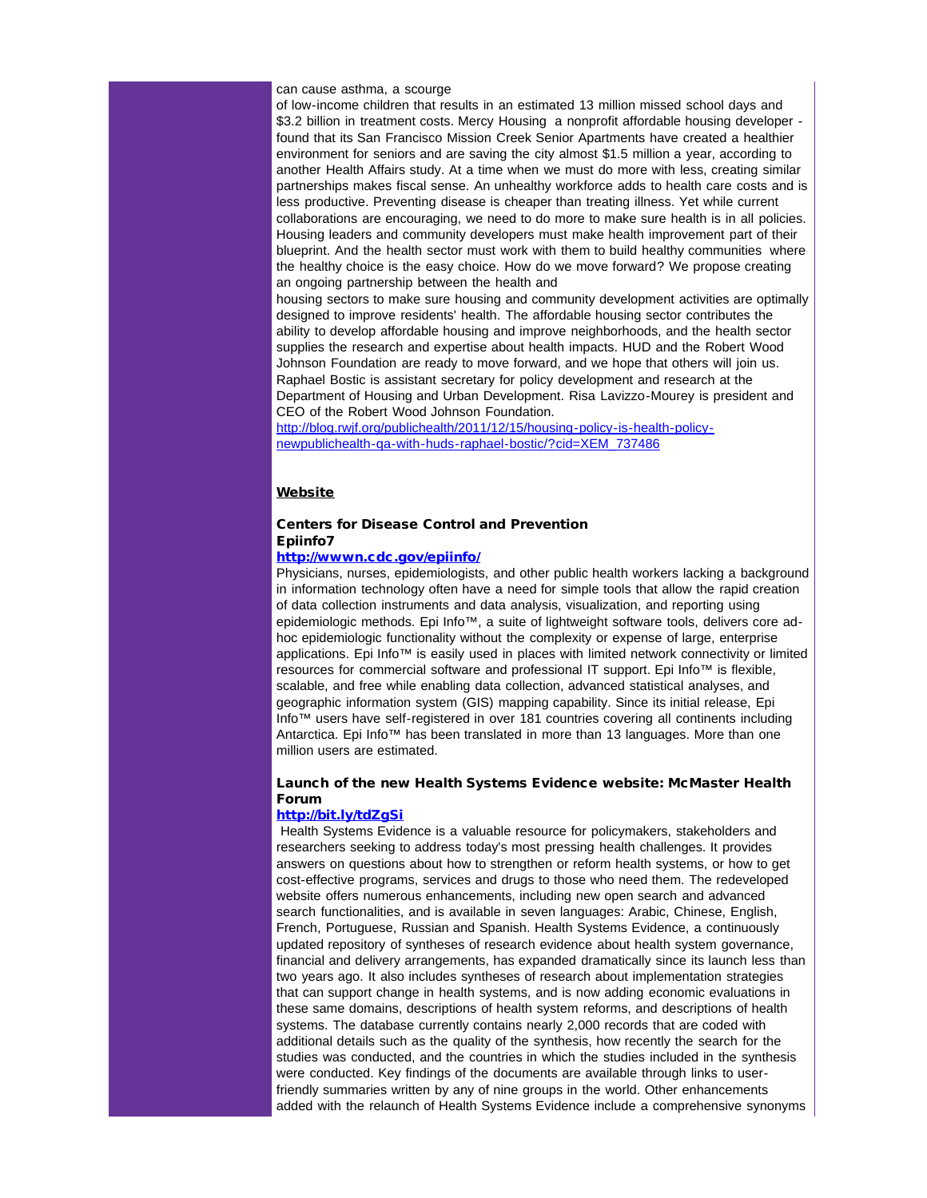can cause asthma, a scourge

of low-income children that results in an estimated 13 million missed school days and \$3.2 billion in treatment costs. Mercy Housing a nonprofit affordable housing developer found that its San Francisco Mission Creek Senior Apartments have created a healthier environment for seniors and are saving the city almost \$1.5 million a year, according to another Health Affairs study. At a time when we must do more with less, creating similar partnerships makes fiscal sense. An unhealthy workforce adds to health care costs and is less productive. Preventing disease is cheaper than treating illness. Yet while current collaborations are encouraging, we need to do more to make sure health is in all policies. Housing leaders and community developers must make health improvement part of their blueprint. And the health sector must work with them to build healthy communities where the healthy choice is the easy choice. How do we move forward? We propose creating an ongoing partnership between the health and

housing sectors to make sure housing and community development activities are optimally designed to improve residents' health. The affordable housing sector contributes the ability to develop affordable housing and improve neighborhoods, and the health sector supplies the research and expertise about health impacts. HUD and the Robert Wood Johnson Foundation are ready to move forward, and we hope that others will join us. Raphael Bostic is assistant secretary for policy development and research at the Department of Housing and Urban Development. Risa Lavizzo-Mourey is president and CEO of the Robert Wood Johnson Foundation.

[http://blog.rwjf.org/publichealth/2011/12/15/housing-policy-is-health-policy](http://r20.rs6.net/tn.jsp?llr=5gytkqcab&et=1109071822203&s=1&e=001Rs1z22Qa5_f7By4pA2UwE-iowl6I5G0zbPevt0dR7qfAnzJUk_LNB0Xv4bM7Su_Xe8SCvbajB6g8BSGGQ6uVb6Vz7jABhpD4olcnrZ6_6WjPhB4VGfD0J4NQESu_ZqBc1hrZrOCup7tDlyHO7gISJIh4ky7T4XIQsVYA9l8PCy6EqBDUHs5xorJR99EWkWxghhaNQoZqliMeDvyfJ7zxSeWwe6F4dYVqR28j1hckSt9vYP7w8t9FNFbZHSyPjtYsTSSvsrrBRcihK4T1UbiA9A==)[newpublichealth-qa-with-huds-raphael-bostic/?cid=XEM\\_737486](http://r20.rs6.net/tn.jsp?llr=5gytkqcab&et=1109071822203&s=1&e=001Rs1z22Qa5_f7By4pA2UwE-iowl6I5G0zbPevt0dR7qfAnzJUk_LNB0Xv4bM7Su_Xe8SCvbajB6g8BSGGQ6uVb6Vz7jABhpD4olcnrZ6_6WjPhB4VGfD0J4NQESu_ZqBc1hrZrOCup7tDlyHO7gISJIh4ky7T4XIQsVYA9l8PCy6EqBDUHs5xorJR99EWkWxghhaNQoZqliMeDvyfJ7zxSeWwe6F4dYVqR28j1hckSt9vYP7w8t9FNFbZHSyPjtYsTSSvsrrBRcihK4T1UbiA9A==)

### Website

### Centers for Disease Control and Prevention Epiinfo7

### [http://wwwn.cdc.gov/epiinfo/](http://r20.rs6.net/tn.jsp?llr=5gytkqcab&et=1109071822203&s=1&e=001Rs1z22Qa5_dL1ZEdeMMDf-BfRKcVl5a-Do48bAETzFNqmUpSGOOz3vF3YgJYWwCAXZpjYpQD4EudYE32V-56hcBr8EKj184c4lKrLY_WMzBP20A_-H4hqQ==)

Physicians, nurses, epidemiologists, and other public health workers lacking a background in information technology often have a need for simple tools that allow the rapid creation of data collection instruments and data analysis, visualization, and reporting using epidemiologic methods. Epi Info™, a suite of lightweight software tools, delivers core adhoc epidemiologic functionality without the complexity or expense of large, enterprise applications. Epi Info™ is easily used in places with limited network connectivity or limited resources for commercial software and professional IT support. Epi Info™ is flexible, scalable, and free while enabling data collection, advanced statistical analyses, and geographic information system (GIS) mapping capability. Since its initial release, Epi Info™ users have self-registered in over 181 countries covering all continents including Antarctica. Epi Info™ has been translated in more than 13 languages. More than one million users are estimated.

## Launch of the new Health Systems Evidence website: McMaster Health Forum

### [http://bit.ly/tdZgSi](http://r20.rs6.net/tn.jsp?llr=5gytkqcab&et=1109071822203&s=1&e=001Rs1z22Qa5_ep8CDp6xOkXosS7OJOBXmPFpVg8bpNjXhr_30g1A9y29XvXp0tmZKSb1K9GiAM_42Y-L5TaSCTF9m0JKDFdxweymQFyFdalA0=)

Health Systems Evidence is a valuable resource for policymakers, stakeholders and researchers seeking to address today's most pressing health challenges. It provides answers on questions about how to strengthen or reform health systems, or how to get cost-effective programs, services and drugs to those who need them. The redeveloped website offers numerous enhancements, including new open search and advanced search functionalities, and is available in seven languages: Arabic, Chinese, English, French, Portuguese, Russian and Spanish. Health Systems Evidence, a continuously updated repository of syntheses of research evidence about health system governance, financial and delivery arrangements, has expanded dramatically since its launch less than two years ago. It also includes syntheses of research about implementation strategies that can support change in health systems, and is now adding economic evaluations in these same domains, descriptions of health system reforms, and descriptions of health systems. The database currently contains nearly 2,000 records that are coded with additional details such as the quality of the synthesis, how recently the search for the studies was conducted, and the countries in which the studies included in the synthesis were conducted. Key findings of the documents are available through links to userfriendly summaries written by any of nine groups in the world. Other enhancements added with the relaunch of Health Systems Evidence include a comprehensive synonyms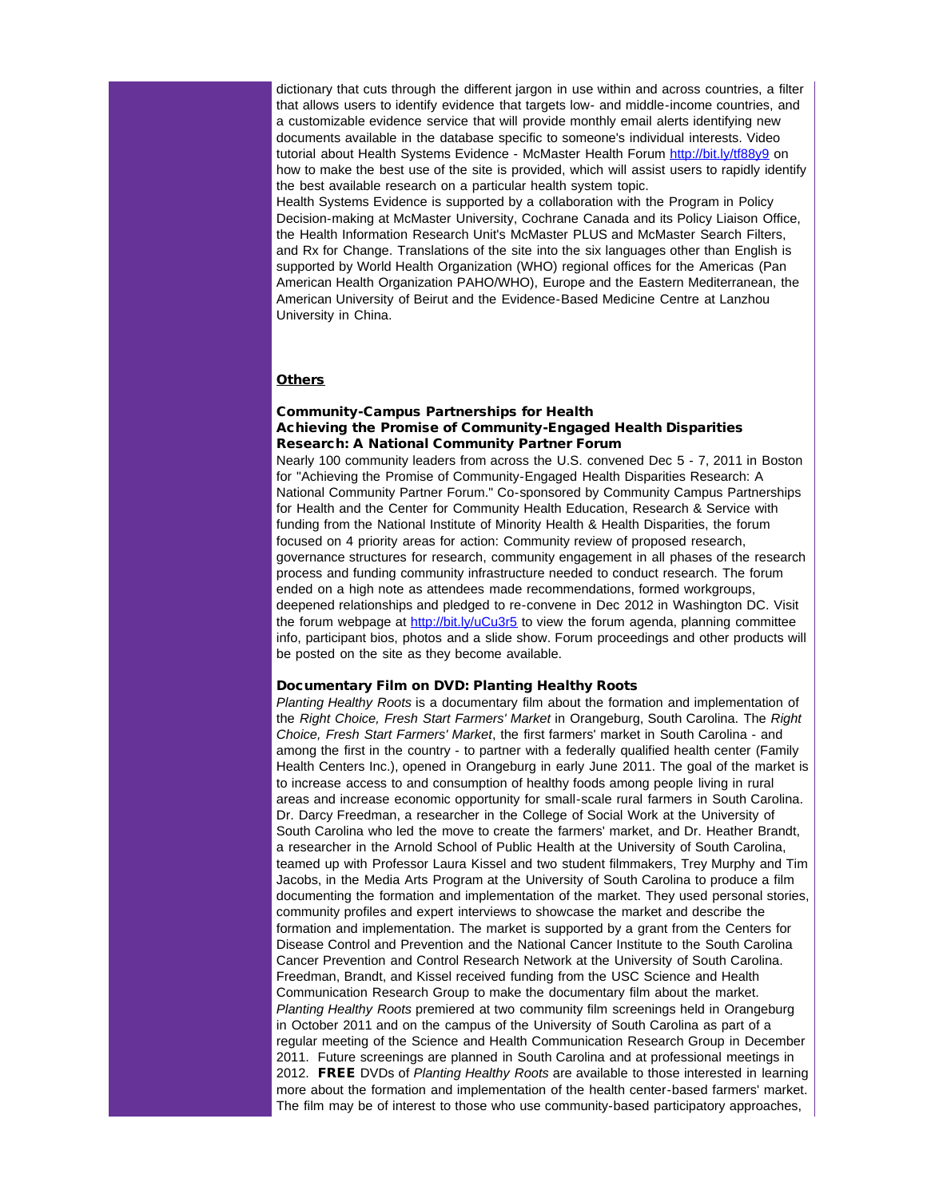dictionary that cuts through the different jargon in use within and across countries, a filter that allows users to identify evidence that targets low- and middle-income countries, and a customizable evidence service that will provide monthly email alerts identifying new documents available in the database specific to someone's individual interests. Video tutorial about Health Systems Evidence - McMaster Health Forum [http://bit.ly/tf88y9](http://r20.rs6.net/tn.jsp?llr=5gytkqcab&et=1109071822203&s=1&e=001Rs1z22Qa5_cLjPu7NwGMvFt8_0vOhohpXa4AO7UWoNc_NElqjBW1iiWCTf-mXpS6vMxAMZLBP07v8Wv6FK9tbkuiS1-QoeC9rSizoxW8CkM=) on how to make the best use of the site is provided, which will assist users to rapidly identify the best available research on a particular health system topic. Health Systems Evidence is supported by a collaboration with the Program in Policy Decision-making at McMaster University, Cochrane Canada and its Policy Liaison Office, the Health Information Research Unit's McMaster PLUS and McMaster Search Filters, and Rx for Change. Translations of the site into the six languages other than English is supported by World Health Organization (WHO) regional offices for the Americas (Pan American Health Organization PAHO/WHO), Europe and the Eastern Mediterranean, the American University of Beirut and the Evidence-Based Medicine Centre at Lanzhou University in China.

#### **Others**

### Community-Campus Partnerships for Health Achieving the Promise of Community-Engaged Health Disparities Research: A National Community Partner Forum

Nearly 100 community leaders from across the U.S. convened Dec 5 - 7, 2011 in Boston for "Achieving the Promise of Community-Engaged Health Disparities Research: A National Community Partner Forum." Co-sponsored by Community Campus Partnerships for Health and the Center for Community Health Education, Research & Service with funding from the National Institute of Minority Health & Health Disparities, the forum focused on 4 priority areas for action: Community review of proposed research, governance structures for research, community engagement in all phases of the research process and funding community infrastructure needed to conduct research. The forum ended on a high note as attendees made recommendations, formed workgroups, deepened relationships and pledged to re-convene in Dec 2012 in Washington DC. Visit the forum webpage at [http://bit.ly/uCu3r5](http://r20.rs6.net/tn.jsp?llr=5gytkqcab&et=1109071822203&s=1&e=001Rs1z22Qa5_c4JSfylvc1-4S-BCaac7VWUIMi1purxh9HXk38vcfR7TWUkMa_LLZX1KW2xK1XaRraMzjrDYzOXVuTNJy3IWlkWWlO0vBMj7o=) to view the forum agenda, planning committee info, participant bios, photos and a slide show. Forum proceedings and other products will be posted on the site as they become available.

#### Documentary Film on DVD: Planting Healthy Roots

*Planting Healthy Roots* is a documentary film about the formation and implementation of the *Right Choice, Fresh Start Farmers' Market* in Orangeburg, South Carolina. The *Right Choice, Fresh Start Farmers' Market*, the first farmers' market in South Carolina - and among the first in the country - to partner with a federally qualified health center (Family Health Centers Inc.), opened in Orangeburg in early June 2011. The goal of the market is to increase access to and consumption of healthy foods among people living in rural areas and increase economic opportunity for small-scale rural farmers in South Carolina. Dr. Darcy Freedman, a researcher in the College of Social Work at the University of South Carolina who led the move to create the farmers' market, and Dr. Heather Brandt, a researcher in the Arnold School of Public Health at the University of South Carolina, teamed up with Professor Laura Kissel and two student filmmakers, Trey Murphy and Tim Jacobs, in the Media Arts Program at the University of South Carolina to produce a film documenting the formation and implementation of the market. They used personal stories, community profiles and expert interviews to showcase the market and describe the formation and implementation. The market is supported by a grant from the Centers for Disease Control and Prevention and the National Cancer Institute to the South Carolina Cancer Prevention and Control Research Network at the University of South Carolina. Freedman, Brandt, and Kissel received funding from the USC Science and Health Communication Research Group to make the documentary film about the market. *Planting Healthy Roots* premiered at two community film screenings held in Orangeburg in October 2011 and on the campus of the University of South Carolina as part of a regular meeting of the Science and Health Communication Research Group in December 2011. Future screenings are planned in South Carolina and at professional meetings in 2012. FREE DVDs of *Planting Healthy Roots* are available to those interested in learning more about the formation and implementation of the health center-based farmers' market. The film may be of interest to those who use community-based participatory approaches,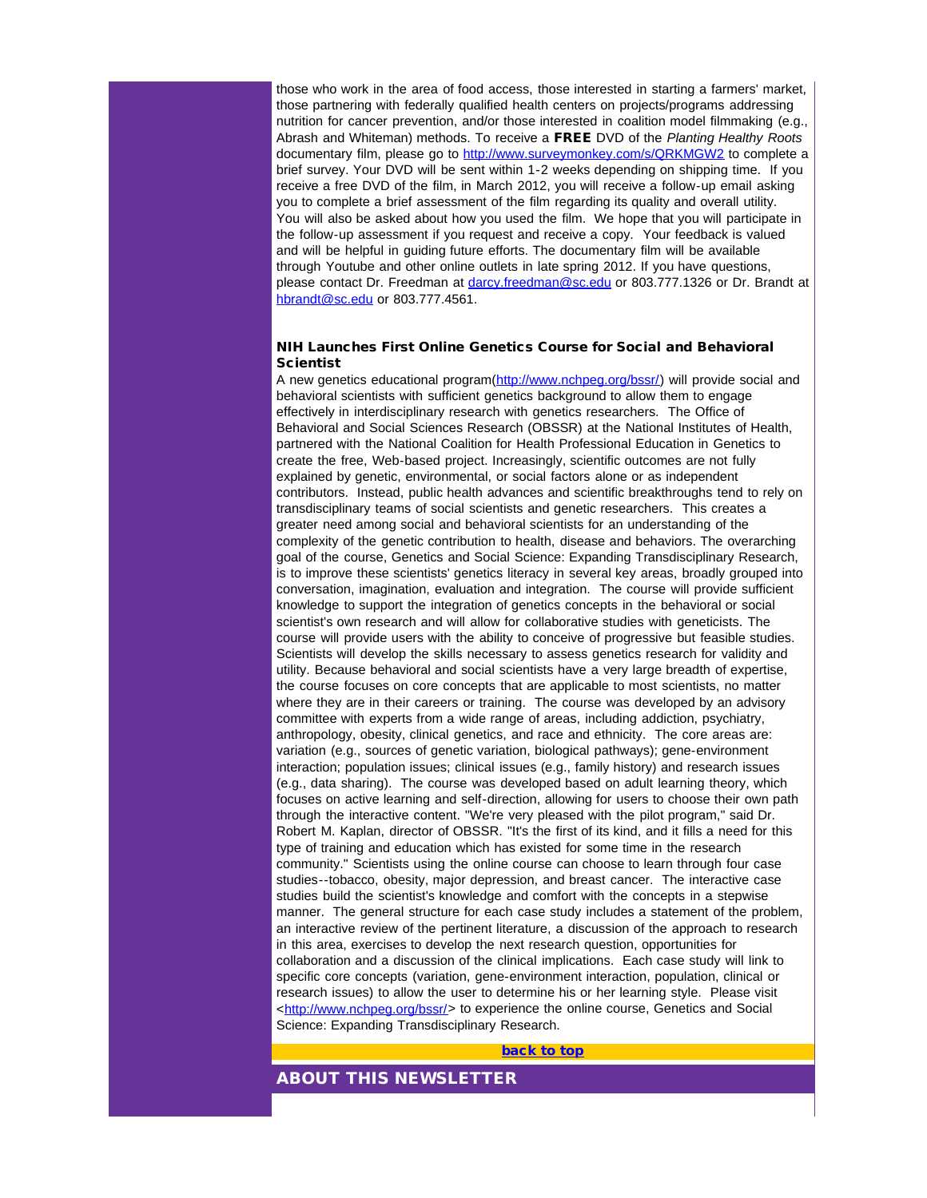those who work in the area of food access, those interested in starting a farmers' market, those partnering with federally qualified health centers on projects/programs addressing nutrition for cancer prevention, and/or those interested in coalition model filmmaking (e.g., Abrash and Whiteman) methods. To receive a FREE DVD of the *Planting Healthy Roots* documentary film, please go to [http://www.surveymonkey.com/s/QRKMGW2](http://r20.rs6.net/tn.jsp?llr=5gytkqcab&et=1109071822203&s=1&e=001Rs1z22Qa5_cjGbVQ5HwGY8t1IKKB8ADuBC8VdAUdtn5XhYiW0Hf-WIzzbZcwkH369GBQHsAGIERuk8CvNxd9yrpl6PGQYkurO18PjwTjZApiTt9bR3Fext79C_Khsg8H) to complete a brief survey. Your DVD will be sent within 1-2 weeks depending on shipping time. If you receive a free DVD of the film, in March 2012, you will receive a follow-up email asking you to complete a brief assessment of the film regarding its quality and overall utility. You will also be asked about how you used the film. We hope that you will participate in the follow-up assessment if you request and receive a copy. Your feedback is valued and will be helpful in guiding future efforts. The documentary film will be available through Youtube and other online outlets in late spring 2012. If you have questions, please contact Dr. Freedman at [darcy.freedman@sc.edu](mailto:darcy.freedman@sc.edu) or 803.777.1326 or Dr. Brandt at [hbrandt@sc.edu](mailto:hbrandt@sc.edu) or 803.777.4561.

### NIH Launches First Online Genetics Course for Social and Behavioral **Scientist**

A new genetics educational program([http://www.nchpeg.org/bssr/](http://r20.rs6.net/tn.jsp?llr=5gytkqcab&et=1109071822203&s=1&e=001Rs1z22Qa5_cQvf_T8kMauJPobaIztrgNmgFFDW5wYfESSAb05Xx6m8DEx2Lc9tWDWA_nUaxkQjNIkedOcLNthbvWWhyXngW0tpJHTDFy10l6zbYa_nixwg==)) will provide social and behavioral scientists with sufficient genetics background to allow them to engage effectively in interdisciplinary research with genetics researchers. The Office of Behavioral and Social Sciences Research (OBSSR) at the National Institutes of Health, partnered with the National Coalition for Health Professional Education in Genetics to create the free, Web-based project. Increasingly, scientific outcomes are not fully explained by genetic, environmental, or social factors alone or as independent contributors. Instead, public health advances and scientific breakthroughs tend to rely on transdisciplinary teams of social scientists and genetic researchers. This creates a greater need among social and behavioral scientists for an understanding of the complexity of the genetic contribution to health, disease and behaviors. The overarching goal of the course, Genetics and Social Science: Expanding Transdisciplinary Research, is to improve these scientists' genetics literacy in several key areas, broadly grouped into conversation, imagination, evaluation and integration. The course will provide sufficient knowledge to support the integration of genetics concepts in the behavioral or social scientist's own research and will allow for collaborative studies with geneticists. The course will provide users with the ability to conceive of progressive but feasible studies. Scientists will develop the skills necessary to assess genetics research for validity and utility. Because behavioral and social scientists have a very large breadth of expertise, the course focuses on core concepts that are applicable to most scientists, no matter where they are in their careers or training. The course was developed by an advisory committee with experts from a wide range of areas, including addiction, psychiatry, anthropology, obesity, clinical genetics, and race and ethnicity. The core areas are: variation (e.g., sources of genetic variation, biological pathways); gene-environment interaction; population issues; clinical issues (e.g., family history) and research issues (e.g., data sharing). The course was developed based on adult learning theory, which focuses on active learning and self-direction, allowing for users to choose their own path through the interactive content. "We're very pleased with the pilot program,'' said Dr. Robert M. Kaplan, director of OBSSR. "It's the first of its kind, and it fills a need for this type of training and education which has existed for some time in the research community." Scientists using the online course can choose to learn through four case studies--tobacco, obesity, major depression, and breast cancer. The interactive case studies build the scientist's knowledge and comfort with the concepts in a stepwise manner. The general structure for each case study includes a statement of the problem, an interactive review of the pertinent literature, a discussion of the approach to research in this area, exercises to develop the next research question, opportunities for collaboration and a discussion of the clinical implications. Each case study will link to specific core concepts (variation, gene-environment interaction, population, clinical or research issues) to allow the user to determine his or her learning style. Please visit <[http://www.nchpeg.org/bssr/](http://r20.rs6.net/tn.jsp?llr=5gytkqcab&et=1109071822203&s=1&e=001Rs1z22Qa5_cQvf_T8kMauJPobaIztrgNmgFFDW5wYfESSAb05Xx6m8DEx2Lc9tWDWA_nUaxkQjNIkedOcLNthbvWWhyXngW0tpJHTDFy10l6zbYa_nixwg==)> to experience the online course, Genetics and Social Science: Expanding Transdisciplinary Research.

#### [back to top](#page-0-4)

### ABOUT THIS NEWSLETTER